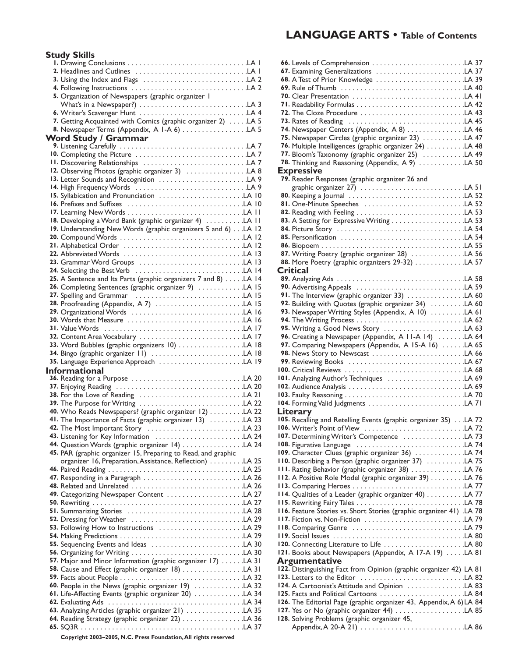#### **LANGUAGE ARTS • Table of Contents**

Levels of Comprehension . . . . . . . . . . . . . . . . . . . . . . . .LA 37 **66.** Examining Generalizations . . . . . . . . . . . . . . . . . . . . . . .LA 37 **67.** A Test of Prior Knowledge . . . . . . . . . . . . . . . . . . . . . . .LA 39 **68.** Rule of Thumb . . . . . . . . . . . . . . . . . . . . . . . . . . . . . . . .LA 40 **69.** Clear Presentation . . . . . . . . . . . . . . . . . . . . . . . . . . . . .LA 41 **70.** Readability Formulas . . . . . . . . . . . . . . . . . . . . . . . . . . . .LA 42 **71.** The Cloze Procedure . . . . . . . . . . . . . . . . . . . . . . . . . . .LA 43 **72.** Rates of Reading . . . . . . . . . . . . . . . . . . . . . . . . . . . . . .LA 45 **73.** Newspaper Centers (Appendix, A 8) . . . . . . . . . . . . . . .LA 46 **74.** Newspaper Circles (graphic organizer 23) . . . . . . . . . . .LA 47 **75. 76.** Multiple Intelligences (graphic organizer 24) . . . . . . . . . . .LA 48 Bloom's Taxonomy (graphic organizer 25) . . . . . . . . . . .LA 49 **77.** Thinking and Reasoning (Appendix, A 9) . . . . . . . . . . . .LA 50 **78.**

graphic organizer 27) . . . . . . . . . . . . . . . . . . . . . . . . . . .LA 51 Keeping a Journal . . . . . . . . . . . . . . . . . . . . . . . . . . . . . .LA 52 **80.** One-Minute Speeches . . . . . . . . . . . . . . . . . . . . . . . . . .LA 52 **81.** Reading with Feeling . . . . . . . . . . . . . . . . . . . . . . . . . . . .LA 53 **82.** A Setting for Expressive Writing . . . . . . . . . . . . . . . . . . .LA 53 **83.** Picture Story . . . . . . . . . . . . . . . . . . . . . . . . . . . . . . . . .LA 54 **84.** Personification . . . . . . . . . . . . . . . . . . . . . . . . . . . . . . . .LA 54 **85.** Biopoem . . . . . . . . . . . . . . . . . . . . . . . . . . . . . . . . . . . . .LA 55 **86.** Writing Poetry (graphic organizer 28) . . . . . . . . . . . . . .LA 56 **87.** More Poetry (graphic organizers 29-32) . . . . . . . . . . . . .LA 57 **88.** Analyzing Ads . . . . . . . . . . . . . . . . . . . . . . . . . . . . . . . . .LA 58 **89.** Advertising Appeals . . . . . . . . . . . . . . . . . . . . . . . . . . . .LA 59 **90. 91.** The Interview (graphic organizer 33) . . . . . . . . . . . . . . . . LA 60 Building with Quotes (graphic organizer 34) . . . . . . . . .LA 60 **92. 93.** Newspaper Writing Styles (Appendix, A 10)  $\dots\dots\dots$  LA 61 The Writing Process . . . . . . . . . . . . . . . . . . . . . . . . . . . .LA 62 **94.** Writing a Good News Story . . . . . . . . . . . . . . . . . . . . .LA 63 **95. 96.** Creating a Newspaper (Appendix, A 11-A 14)  $\dots$ ....LA 64 Comparing Newspapers (Appendix, A 15-A 16) . . . . . .LA 65 **97.** News Story to Newscast . . . . . . . . . . . . . . . . . . . . . . . .LA 66 **98.** Reviewing Books . . . . . . . . . . . . . . . . . . . . . . . . . . . . . .LA 67 **99.** Critical Reviews . . . . . . . . . . . . . . . . . . . . . . . . . . . . . . .LA 68 **100.** Analyzing Author's Techniques . . . . . . . . . . . . . . . . . . . .LA 69 **101.** Audience Analysis . . . . . . . . . . . . . . . . . . . . . . . . . . . . . .LA 69 **102.** Faulty Reasoning . . . . . . . . . . . . . . . . . . . . . . . . . . . . . . .LA 70 **103.** Forming Valid Judgments . . . . . . . . . . . . . . . . . . . . . . . . .LA 71 **104.** Recalling and Retelling Events (graphic organizer 35) . . .LA 72 **105.** Writer's Point of View . . . . . . . . . . . . . . . . . . . . . . . . . .LA 72 **106.** 107. Determining Writer's Competence ................LA 73 Figurative Language . . . . . . . . . . . . . . . . . . . . . . . . . . . .LA 74 **108.** 109. Character Clues (graphic organizer 36) . . . . . . . . . . . . . . LA 74 **110.** Describing a Person (graphic organizer 37) . . . . . . . . . . . LA 75 111. Rating Behavior (graphic organizer 38) . . . . . . . . . . . . . . . LA 76 A Positive Role Model (graphic organizer 39) . . . . . . . . .LA 76 **112.** Comparing Heroes . . . . . . . . . . . . . . . . . . . . . . . . . . . . .LA 77 **113.** 114. Qualities of a Leader (graphic organizer 40) . . . . . . . . . . . LA 77 Rewriting Fairy Tales . . . . . . . . . . . . . . . . . . . . . . . . . . . .LA 78 **115.** Feature Stories vs. Short Stories (graphic organizer 41) .LA 78 **116.** Fiction vs. Non-Fiction . . . . . . . . . . . . . . . . . . . . . . . . . .LA 79 **117.** Comparing Genre . . . . . . . . . . . . . . . . . . . . . . . . . . . . .LA 79 **118.** Social Issues . . . . . . . . . . . . . . . . . . . . . . . . . . . . . . . . . .LA 80 **119.** Connecting Literature to Life . . . . . . . . . . . . . . . . . . . . .LA 80 **120.** Books about Newspapers (Appendix, A 17-A 19) . . . . .LA 81 **121.** 122. Distinguishing Fact from Opinion (graphic organizer 42) LA 81 Letters to the Editor . . . . . . . . . . . . . . . . . . . . . . . . . . .LA 82 **123.** 124. A Cartoonist's Attitude and Opinion ................LA 83 Facts and Political Cartoons . . . . . . . . . . . . . . . . . . . . . .LA 84 **125.** 126. The Editorial Page (graphic organizer 43, Appendix, A 6) LA 84 Yes or No (graphic organizer 44) . . . . . . . . . . . . . . . . . .LA 85 **127.**

**79.** Reader Responses (graphic organizer 26 and

**Expressive**

**Critical**

**Literary**

#### **Study Skills**

| 5. Organization of Newspapers (graphic organizer 1              |  |
|-----------------------------------------------------------------|--|
|                                                                 |  |
| 7. Getting Acquainted with Comics (graphic organizer 2)  LA 5   |  |
| 8. Newspaper Terms (Appendix, A I-A 6) LA 5                     |  |
| <b>Word Study / Grammar</b>                                     |  |
|                                                                 |  |
| 10. Completing the Picture LA 7                                 |  |
|                                                                 |  |
| 12. Observing Photos (graphic organizer 3) LA 8                 |  |
| 13. Letter Sounds and Recognition LA 9                          |  |
|                                                                 |  |
| 15. Syllabication and Pronunciation LA 10                       |  |
|                                                                 |  |
|                                                                 |  |
| 18. Developing a Word Bank (graphic organizer 4) LA 11          |  |
| 19. Understanding New Words (graphic organizers 5 and 6) LA 12  |  |
|                                                                 |  |
|                                                                 |  |
|                                                                 |  |
| 23. Grammar Word Groups LA 13                                   |  |
|                                                                 |  |
| 25. A Sentence and Its Parts (graphic organizers 7 and 8) LA 14 |  |
| 26. Completing Sentences (graphic organizer 9) LA 15            |  |
|                                                                 |  |
| 29. Organizational Words LA 16                                  |  |
|                                                                 |  |
|                                                                 |  |
|                                                                 |  |
|                                                                 |  |
|                                                                 |  |
| 33. Word Bubbles (graphic organizers 10) LA 18                  |  |
| 35. Language Experience Approach LA 19                          |  |
| <b>Informational</b>                                            |  |
| 36. Reading for a Purpose LA 20                                 |  |
|                                                                 |  |
|                                                                 |  |
|                                                                 |  |
| 40. Who Reads Newspapers? (graphic organizer 12) LA 22          |  |
| 41. The Importance of Facts (graphic organizer 13) LA 23        |  |
|                                                                 |  |
|                                                                 |  |
| 44. Question Words (graphic organizer 14) LA 24                 |  |
| 45. PAR (graphic organizer 15, Preparing to Read, and graphic   |  |
| organizer 16, Preparation, Assistance, Reflection) LA 25        |  |
|                                                                 |  |
|                                                                 |  |
| 49. Categorizing Newspaper Content LA 27                        |  |
|                                                                 |  |
|                                                                 |  |
|                                                                 |  |
|                                                                 |  |
|                                                                 |  |
|                                                                 |  |
|                                                                 |  |
| 57. Major and Minor Information (graphic organizer 17) LA 31    |  |
| 58. Cause and Effect (graphic organizer 18) LA 31               |  |
|                                                                 |  |
| 60. People in the News (graphic organizer 19) LA 32             |  |
| 61. Life-Affecting Events (graphic organizer 20) LA 34          |  |
|                                                                 |  |
| 63. Analyzing Articles (graphic organizer 21) LA 35             |  |
|                                                                 |  |

**Argumentative**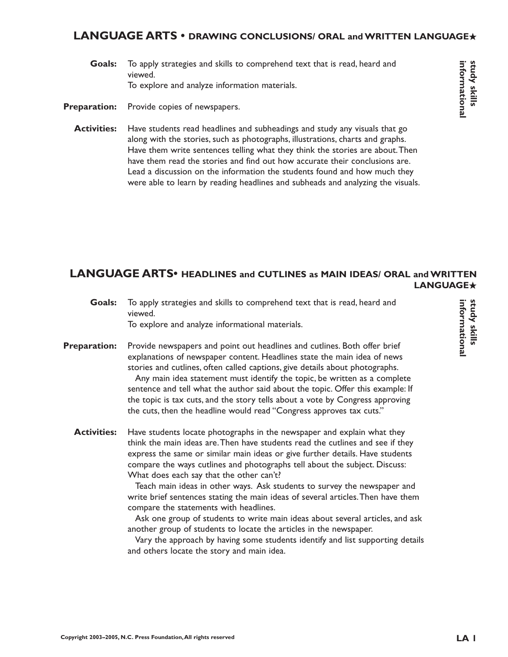#### **LANGUAGE ARTS • DRAWING CONCLUSIONS/ ORAL and WRITTEN LANGUAGE**★

To apply strategies and skills to comprehend text that is read, heard and viewed. To explore and analyze information materials. **Goals:**

Provide copies of newspapers. **Preparation:**

Have students read headlines and subheadings and study any visuals that go along with the stories, such as photographs, illustrations, charts and graphs. Have them write sentences telling what they think the stories are about.Then have them read the stories and find out how accurate their conclusions are. Lead a discussion on the information the students found and how much they were able to learn by reading headlines and subheads and analyzing the visuals. **Activities:**

**LANGUAGE ARTS• HEADLINES and CUTLINES as MAIN IDEAS/ ORAL and WRITTEN LANGUAGE**★

| Goals:              | To apply strategies and skills to comprehend text that is read, heard and<br>viewed.                                                                                                                                                                                                                                                                                                                                                                                                                                                                                                                                                                                                                                                                                                                                                                                  |
|---------------------|-----------------------------------------------------------------------------------------------------------------------------------------------------------------------------------------------------------------------------------------------------------------------------------------------------------------------------------------------------------------------------------------------------------------------------------------------------------------------------------------------------------------------------------------------------------------------------------------------------------------------------------------------------------------------------------------------------------------------------------------------------------------------------------------------------------------------------------------------------------------------|
|                     | To explore and analyze informational materials.                                                                                                                                                                                                                                                                                                                                                                                                                                                                                                                                                                                                                                                                                                                                                                                                                       |
| <b>Preparation:</b> | Provide newspapers and point out headlines and cutlines. Both offer brief<br>explanations of newspaper content. Headlines state the main idea of news<br>stories and cutlines, often called captions, give details about photographs.<br>Any main idea statement must identify the topic, be written as a complete<br>sentence and tell what the author said about the topic. Offer this example: If<br>the topic is tax cuts, and the story tells about a vote by Congress approving<br>the cuts, then the headline would read "Congress approves tax cuts."                                                                                                                                                                                                                                                                                                         |
| <b>Activities:</b>  | Have students locate photographs in the newspaper and explain what they<br>think the main ideas are. Then have students read the cutlines and see if they<br>express the same or similar main ideas or give further details. Have students<br>compare the ways cutlines and photographs tell about the subject. Discuss:<br>What does each say that the other can't?<br>Teach main ideas in other ways. Ask students to survey the newspaper and<br>write brief sentences stating the main ideas of several articles. Then have them<br>compare the statements with headlines.<br>Ask one group of students to write main ideas about several articles, and ask<br>another group of students to locate the articles in the newspaper.<br>Vary the approach by having some students identify and list supporting details<br>and others locate the story and main idea. |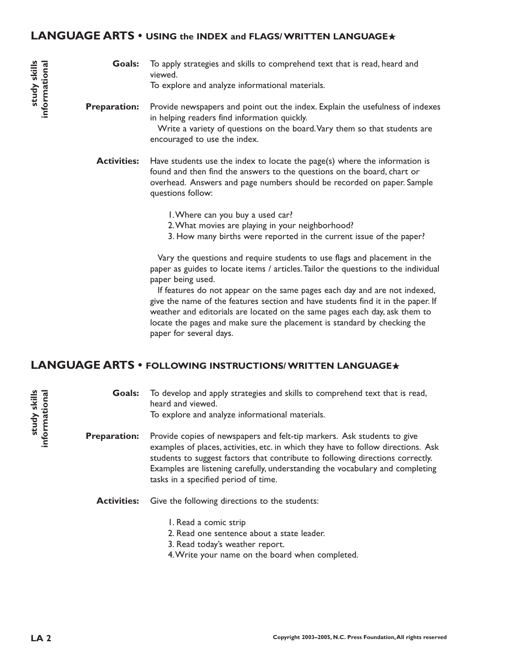#### **LANGUAGE ARTS • USING the INDEX and FLAGS/ WRITTEN LANGUAGE**★

To apply strategies and skills to comprehend text that is read, heard and viewed. To explore and analyze informational materials. **Goals:**

Provide newspapers and point out the index. Explain the usefulness of indexes in helping readers find information quickly. Write a variety of questions on the board.Vary them so that students are **Preparation:**

encouraged to use the index.

Have students use the index to locate the page(s) where the information is found and then find the answers to the questions on the board, chart or overhead. Answers and page numbers should be recorded on paper. Sample questions follow: **Activities:**

1.Where can you buy a used car?

- 2.What movies are playing in your neighborhood?
- 3. How many births were reported in the current issue of the paper?

Vary the questions and require students to use flags and placement in the paper as guides to locate items / articles.Tailor the questions to the individual paper being used.

If features do not appear on the same pages each day and are not indexed, give the name of the features section and have students find it in the paper. If weather and editorials are located on the same pages each day, ask them to locate the pages and make sure the placement is standard by checking the paper for several days.

#### **LANGUAGE ARTS • FOLLOWING INSTRUCTIONS/ WRITTEN LANGUAGE**★

**LA 2 study skills informational** study skills **study skills** informational **informational**

study skills informational

> To develop and apply strategies and skills to comprehend text that is read, heard and viewed. To explore and analyze informational materials. **Goals:**

Provide copies of newspapers and felt-tip markers. Ask students to give examples of places, activities, etc. in which they have to follow directions. Ask students to suggest factors that contribute to following directions correctly. Examples are listening carefully, understanding the vocabulary and completing tasks in a specified period of time. **Preparation:**

- Give the following directions to the students: **Activities:**
	- 1. Read a comic strip
	- 2. Read one sentence about a state leader.
	- 3. Read today's weather report.
	- 4.Write your name on the board when completed.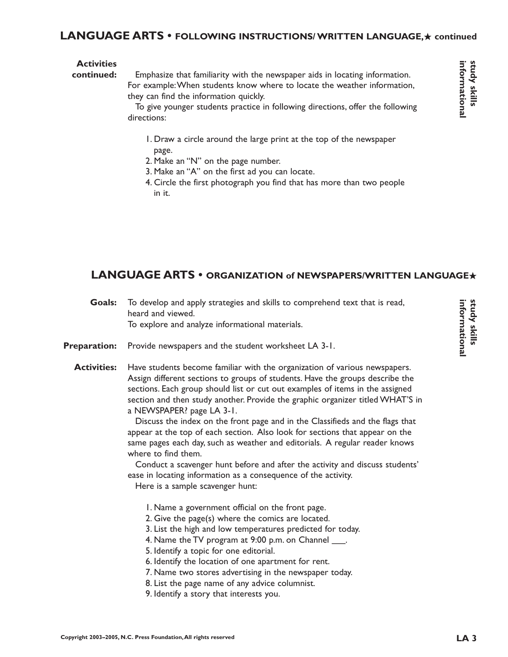## **LANGUAGE ARTS • FOLLOWING INSTRUCTIONS/ WRITTEN LANGUAGE,**★ **continued**

#### **Activities**

Emphasize that familiarity with the newspaper aids in locating information. For example:When students know where to locate the weather information, they can find the information quickly. **continued:**

> To give younger students practice in following directions, offer the following directions:

- 1. Draw a circle around the large print at the top of the newspaper page.
- 2. Make an "N" on the page number.
- 3. Make an "A" on the first ad you can locate.
- 4. Circle the first photograph you find that has more than two people in it.

# **LANGUAGE ARTS • ORGANIZATION of NEWSPAPERS/WRITTEN LANGUAGE**★

| <b>Goals:</b>       | To develop and apply strategies and skills to comprehend text that is read,<br>heard and viewed.<br>To explore and analyze informational materials.                                                                                                                                                                                                                                                                                                                                                                                                                                                                                                                                                                                                                                                                      |  |
|---------------------|--------------------------------------------------------------------------------------------------------------------------------------------------------------------------------------------------------------------------------------------------------------------------------------------------------------------------------------------------------------------------------------------------------------------------------------------------------------------------------------------------------------------------------------------------------------------------------------------------------------------------------------------------------------------------------------------------------------------------------------------------------------------------------------------------------------------------|--|
| <b>Preparation:</b> | Provide newspapers and the student worksheet LA 3-1.                                                                                                                                                                                                                                                                                                                                                                                                                                                                                                                                                                                                                                                                                                                                                                     |  |
| <b>Activities:</b>  | Have students become familiar with the organization of various newspapers.<br>Assign different sections to groups of students. Have the groups describe the<br>sections. Each group should list or cut out examples of items in the assigned<br>section and then study another. Provide the graphic organizer titled WHAT'S in<br>a NEWSPAPER? page LA 3-1.<br>Discuss the index on the front page and in the Classifieds and the flags that<br>appear at the top of each section. Also look for sections that appear on the<br>same pages each day, such as weather and editorials. A regular reader knows<br>where to find them.<br>Conduct a scavenger hunt before and after the activity and discuss students'<br>ease in locating information as a consequence of the activity.<br>Here is a sample scavenger hunt: |  |
|                     | I. Name a government official on the front page.<br>2. Give the page(s) where the comics are located.<br>3. List the high and low temperatures predicted for today.<br>4. Name the TV program at 9:00 p.m. on Channel ____.<br>5. Identify a topic for one editorial.<br>6. Identify the location of one apartment for rent.<br>7. Name two stores advertising in the newspaper today.<br>8. List the page name of any advice columnist.                                                                                                                                                                                                                                                                                                                                                                                 |  |

9. Identify a story that interests you.

study skills<br>informational **informational study skills**

**informational study skills**

study skills<br>informational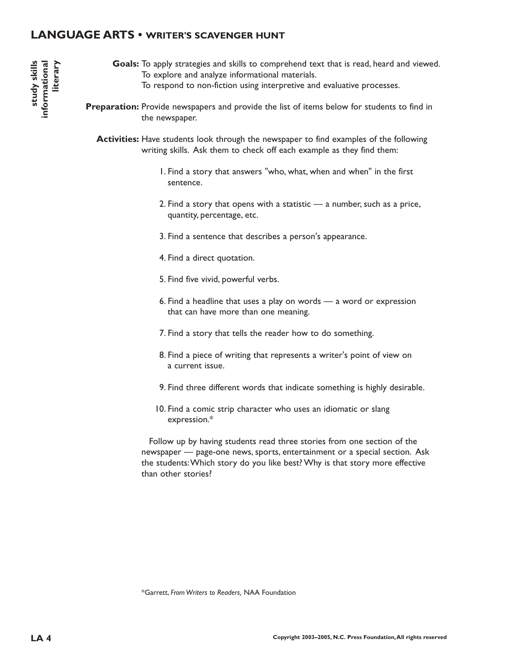#### **LANGUAGE ARTS • WRITER'S SCAVENGER HUNT**

Goals: To apply strategies and skills to comprehend text that is read, heard and viewed. To explore and analyze informational materials. To respond to non-fiction using interpretive and evaluative processes.

**Preparation:** Provide newspapers and provide the list of items below for students to find in the newspaper.

**Activities:** Have students look through the newspaper to find examples of the following writing skills. Ask them to check off each example as they find them:

- 1. Find a story that answers "who, what, when and when" in the first sentence.
- 2. Find a story that opens with a statistic  $-$  a number, such as a price, quantity, percentage, etc.
- 3. Find a sentence that describes a person's appearance.
- 4. Find a direct quotation.
- 5. Find five vivid, powerful verbs.
- 6. Find a headline that uses a play on words a word or expression that can have more than one meaning.
- 7. Find a story that tells the reader how to do something.
- 8. Find a piece of writing that represents a writer's point of view on a current issue.
- 9. Find three different words that indicate something is highly desirable.
- 10. Find a comic strip character who uses an idiomatic or slang expression.\*

Follow up by having students read three stories from one section of the newspaper — page-one news, sports, entertainment or a special section. Ask the students:Which story do you like best? Why is that story more effective than other stories?

\*Garrett, *From Writers to Readers,* NAA Foundation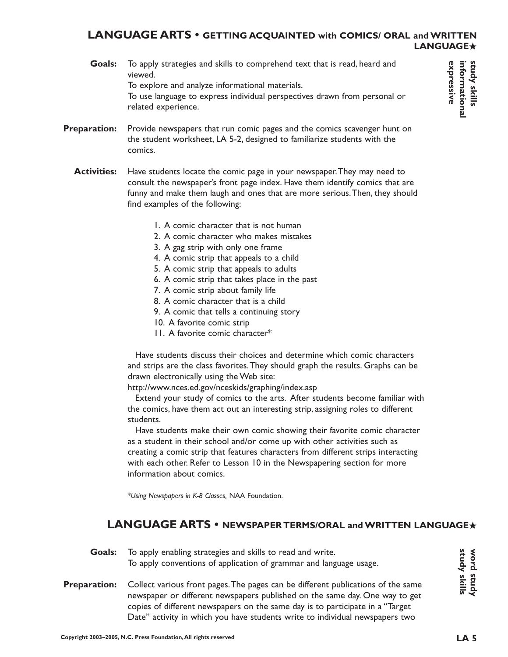#### **LANGUAGE ARTS • GETTING ACQUAINTED with COMICS/ ORAL and WRITTEN LANGUAGE**★

To apply strategies and skills to comprehend text that is read, heard and viewed. To explore and analyze informational materials. To use language to express individual perspectives drawn from personal or **Goals:**

related experience.

- Provide newspapers that run comic pages and the comics scavenger hunt on the student worksheet, LA 5-2, designed to familiarize students with the comics. **Preparation:**
	- Have students locate the comic page in your newspaper.They may need to consult the newspaper's front page index. Have them identify comics that are funny and make them laugh and ones that are more serious.Then, they should find examples of the following: **Activities:**
		- 1. A comic character that is not human
		- 2. A comic character who makes mistakes
		- 3. A gag strip with only one frame
		- 4. A comic strip that appeals to a child
		- 5. A comic strip that appeals to adults
		- 6. A comic strip that takes place in the past
		- 7. A comic strip about family life
		- 8. A comic character that is a child
		- 9. A comic that tells a continuing story
		- 10. A favorite comic strip
		- 11. A favorite comic character\*

Have students discuss their choices and determine which comic characters and strips are the class favorites.They should graph the results. Graphs can be drawn electronically using the Web site:

http://www.nces.ed.gov/nceskids/graphing/index.asp

Extend your study of comics to the arts. After students become familiar with the comics, have them act out an interesting strip, assigning roles to different students.

Have students make their own comic showing their favorite comic character as a student in their school and/or come up with other activities such as creating a comic strip that features characters from different strips interacting with each other. Refer to Lesson 10 in the Newspapering section for more information about comics.

\**Using Newspapers in K-8 Classes,* NAA Foundation.

## **LANGUAGE ARTS • NEWSPAPER TERMS/ORAL and WRITTEN LANGUAGE**★

**Goals:** To apply enabling strategies and skills to read and write. To apply conventions of application of grammar and language usage.

**Preparation:** Collect various front pages.The pages can be different publications of the same newspaper or different newspapers published on the same day. One way to get copies of different newspapers on the same day is to participate in a "Target Date" activity in which you have students write to individual newspapers two

**study skills word study**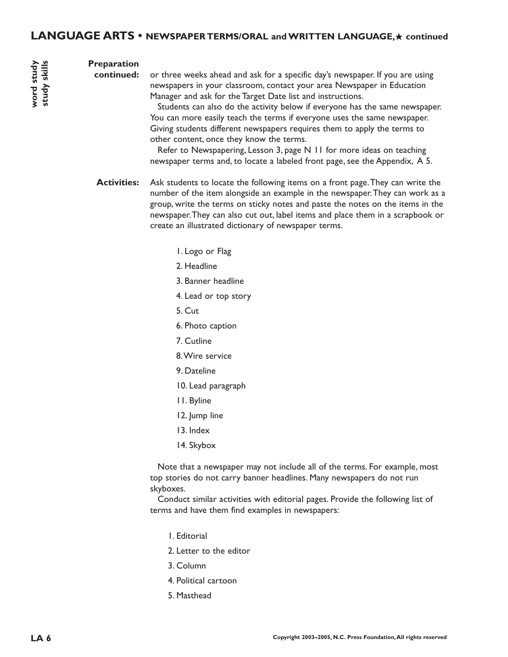#### **Preparation**

**continued:**

**word study study skills**

or three weeks ahead and ask for a specific day's newspaper. If you are using newspapers in your classroom, contact your area Newspaper in Education Manager and ask for the Target Date list and instructions.

Students can also do the activity below if everyone has the same newspaper. You can more easily teach the terms if everyone uses the same newspaper. Giving students different newspapers requires them to apply the terms to other content, once they know the terms.

Refer to Newspapering, Lesson 3, page N 11 for more ideas on teaching newspaper terms and, to locate a labeled front page, see the Appendix, A 5.

**Activities:** Ask students to locate the following items on a front page.They can write the number of the item alongside an example in the newspaper.They can work as a group, write the terms on sticky notes and paste the notes on the items in the newspaper.They can also cut out, label items and place them in a scrapbook or create an illustrated dictionary of newspaper terms.

- 1. Logo or Flag
- 2. Headline
- 3. Banner headline
- 4. Lead or top story
- 5. Cut
- 6. Photo caption
- 7. Cutline
- 8.Wire service
- 9. Dateline
- 10. Lead paragraph
- 11. Byline
- 12. Jump line
- 13. Index
- 14. Skybox

Note that a newspaper may not include all of the terms. For example, most top stories do not carry banner headlines. Many newspapers do not run skyboxes.

Conduct similar activities with editorial pages. Provide the following list of terms and have them find examples in newspapers:

- 1. Editorial
- 2. Letter to the editor
- 3. Column
- 4. Political cartoon
- 5. Masthead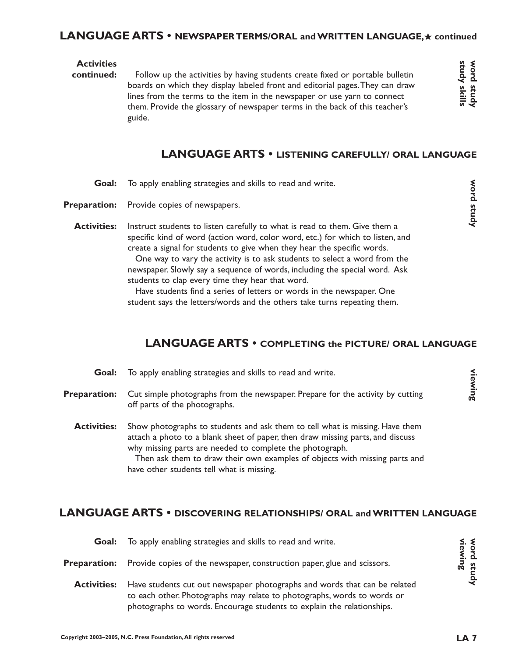#### **LANGUAGE ARTS • NEWSPAPER TERMS/ORAL and WRITTEN LANGUAGE,**★ **continued**

#### **Activities**

Follow up the activities by having students create fixed or portable bulletin boards on which they display labeled front and editorial pages.They can draw lines from the terms to the item in the newspaper or use yarn to connect them. Provide the glossary of newspaper terms in the back of this teacher's guide. **continued:**

**word study**

Word study

# **LANGUAGE ARTS • LISTENING CAREFULLY/ ORAL LANGUAGE**

- To apply enabling strategies and skills to read and write. **Goal:**
- Provide copies of newspapers. **Preparation:**
	- Instruct students to listen carefully to what is read to them. Give them a specific kind of word (action word, color word, etc.) for which to listen, and create a signal for students to give when they hear the specific words. **Activities:**

One way to vary the activity is to ask students to select a word from the newspaper. Slowly say a sequence of words, including the special word. Ask students to clap every time they hear that word.

Have students find a series of letters or words in the newspaper. One student says the letters/words and the others take turns repeating them.

# **LANGUAGE ARTS • COMPLETING the PICTURE/ ORAL LANGUAGE**

To apply enabling strategies and skills to read and write. Cut simple photographs from the newspaper. Prepare for the activity by cutting off parts of the photographs. Show photographs to students and ask them to tell what is missing. Have them attach a photo to a blank sheet of paper, then draw missing parts, and discuss why missing parts are needed to complete the photograph. Then ask them to draw their own examples of objects with missing parts and have other students tell what is missing. **viewing Goal: Preparation: Activities:**

# **LANGUAGE ARTS • DISCOVERING RELATIONSHIPS/ ORAL and WRITTEN LANGUAGE**

| Goal:               | To apply enabling strategies and skills to read and write.                                                                                                                                                                     |                       |
|---------------------|--------------------------------------------------------------------------------------------------------------------------------------------------------------------------------------------------------------------------------|-----------------------|
| <b>Preparation:</b> | Provide copies of the newspaper, construction paper, glue and scissors.                                                                                                                                                        | word study<br>viewing |
| <b>Activities:</b>  | Have students cut out newspaper photographs and words that can be related<br>to each other. Photographs may relate to photographs, words to words or<br>photographs to words. Encourage students to explain the relationships. |                       |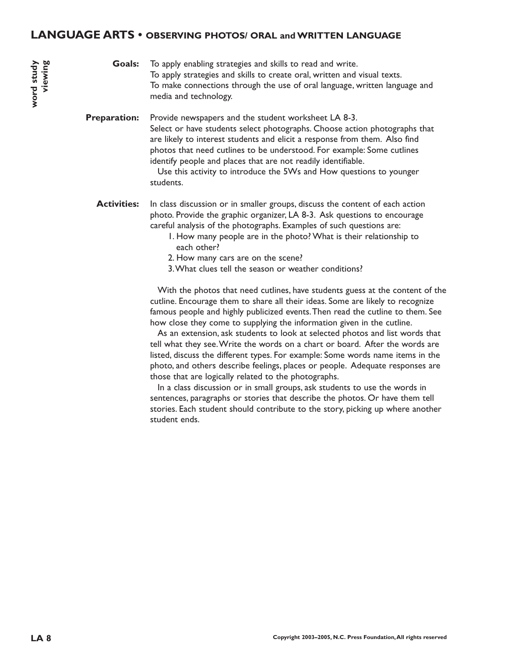#### **LANGUAGE ARTS • OBSERVING PHOTOS/ ORAL and WRITTEN LANGUAGE**

To apply enabling strategies and skills to read and write. To apply strategies and skills to create oral, written and visual texts. To make connections through the use of oral language, written language and media and technology. **Goals:**

Provide newspapers and the student worksheet LA 8-3. Select or have students select photographs. Choose action photographs that are likely to interest students and elicit a response from them. Also find photos that need cutlines to be understood. For example: Some cutlines identify people and places that are not readily identifiable. **Preparation:**

> Use this activity to introduce the 5Ws and How questions to younger students.

In class discussion or in smaller groups, discuss the content of each action photo. Provide the graphic organizer, LA 8-3. Ask questions to encourage careful analysis of the photographs. Examples of such questions are: **Activities:**

- 1. How many people are in the photo? What is their relationship to each other?
- 2. How many cars are on the scene?
- 3.What clues tell the season or weather conditions?

With the photos that need cutlines, have students guess at the content of the cutline. Encourage them to share all their ideas. Some are likely to recognize famous people and highly publicized events.Then read the cutline to them. See how close they come to supplying the information given in the cutline.

As an extension, ask students to look at selected photos and list words that tell what they see.Write the words on a chart or board. After the words are listed, discuss the different types. For example: Some words name items in the photo, and others describe feelings, places or people. Adequate responses are those that are logically related to the photographs.

In a class discussion or in small groups, ask students to use the words in sentences, paragraphs or stories that describe the photos. Or have them tell stories. Each student should contribute to the story, picking up where another student ends.

**word study viewing**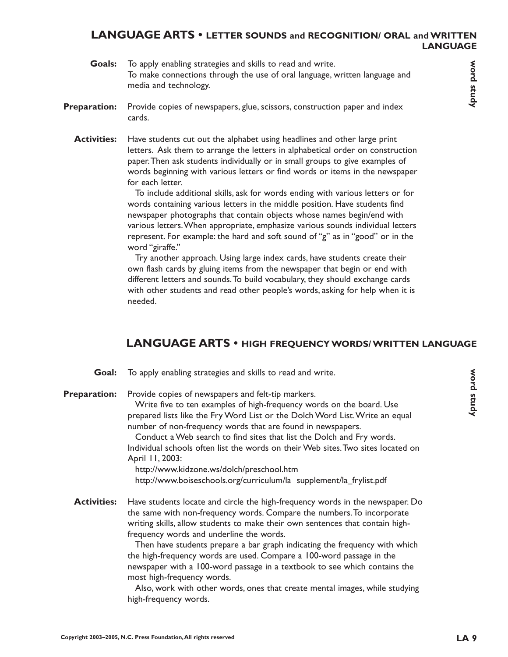#### **LANGUAGE ARTS • LETTER SOUNDS and RECOGNITION/ ORAL and WRITTEN LANGUAGE**

- To apply enabling strategies and skills to read and write. To make connections through the use of oral language, written language and media and technology. **Goals:**
- Provide copies of newspapers, glue, scissors, construction paper and index cards. **Preparation:**
	- Have students cut out the alphabet using headlines and other large print letters. Ask them to arrange the letters in alphabetical order on construction paper.Then ask students individually or in small groups to give examples of words beginning with various letters or find words or items in the newspaper for each letter. **Activities:**

To include additional skills, ask for words ending with various letters or for words containing various letters in the middle position. Have students find newspaper photographs that contain objects whose names begin/end with various letters.When appropriate, emphasize various sounds individual letters represent. For example: the hard and soft sound of "g" as in "good" or in the word "giraffe."

Try another approach. Using large index cards, have students create their own flash cards by gluing items from the newspaper that begin or end with different letters and sounds.To build vocabulary, they should exchange cards with other students and read other people's words, asking for help when it is needed.

## **LANGUAGE ARTS • HIGH FREQUENCY WORDS/ WRITTEN LANGUAGE**

To apply enabling strategies and skills to read and write. Provide copies of newspapers and felt-tip markers. Write five to ten examples of high-frequency words on the board. Use prepared lists like the Fry Word List or the Dolch Word List.Write an equal number of non-frequency words that are found in newspapers. Conduct a Web search to find sites that list the Dolch and Fry words. Individual schools often list the words on their Web sites.Two sites located on April 11, 2003: http://www.kidzone.ws/dolch/preschool.htm http://www.boiseschools.org/curriculum/la supplement/la\_frylist.pdf Have students locate and circle the high-frequency words in the newspaper. Do the same with non-frequency words. Compare the numbers.To incorporate writing skills, allow students to make their own sentences that contain highfrequency words and underline the words. Then have students prepare a bar graph indicating the frequency with which the high-frequency words are used. Compare a 100-word passage in the newspaper with a 100-word passage in a textbook to see which contains the **Preparation: Activities:**

> most high-frequency words. Also, work with other words, ones that create mental images, while studying high-frequency words.

**word study**

Word study

**Goal:**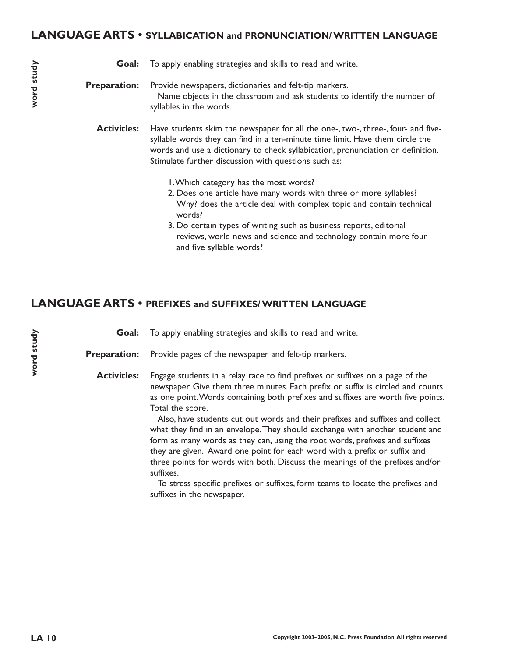#### **LANGUAGE ARTS • SYLLABICATION and PRONUNCIATION/ WRITTEN LANGUAGE**

|  | <b>Goal:</b> To apply enabling strategies and skills to read and write. |
|--|-------------------------------------------------------------------------|
|--|-------------------------------------------------------------------------|

Provide newspapers, dictionaries and felt-tip markers. Name objects in the classroom and ask students to identify the number of syllables in the words. **Preparation:**

Have students skim the newspaper for all the one-, two-, three-, four- and fivesyllable words they can find in a ten-minute time limit. Have them circle the words and use a dictionary to check syllabication, pronunciation or definition. Stimulate further discussion with questions such as: **Activities:**

- 1.Which category has the most words?
- 2. Does one article have many words with three or more syllables? Why? does the article deal with complex topic and contain technical words?
- 3. Do certain types of writing such as business reports, editorial reviews, world news and science and technology contain more four and five syllable words?

#### **LANGUAGE ARTS • PREFIXES and SUFFIXES/ WRITTEN LANGUAGE**

To apply enabling strategies and skills to read and write. **Goal:**

Provide pages of the newspaper and felt-tip markers. **Preparation:**

Engage students in a relay race to find prefixes or suffixes on a page of the newspaper. Give them three minutes. Each prefix or suffix is circled and counts as one point.Words containing both prefixes and suffixes are worth five points. Total the score. **Activities:**

> Also, have students cut out words and their prefixes and suffixes and collect what they find in an envelope.They should exchange with another student and form as many words as they can, using the root words, prefixes and suffixes they are given. Award one point for each word with a prefix or suffix and three points for words with both. Discuss the meanings of the prefixes and/or suffixes.

To stress specific prefixes or suffixes, form teams to locate the prefixes and suffixes in the newspaper.

word study **word study**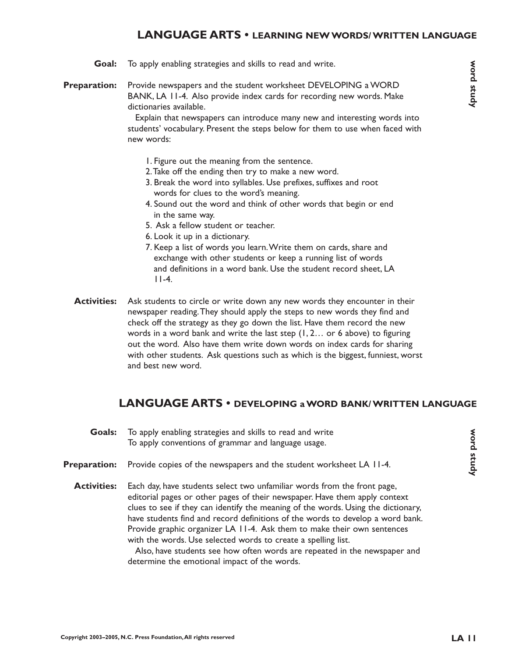## **LANGUAGE ARTS • LEARNING NEW WORDS/ WRITTEN LANGUAGE**

- To apply enabling strategies and skills to read and write. **Goal:**
- Provide newspapers and the student worksheet DEVELOPING a WORD BANK, LA 11-4. Also provide index cards for recording new words. Make dictionaries available. **Preparation:**

Explain that newspapers can introduce many new and interesting words into students' vocabulary. Present the steps below for them to use when faced with new words:

- 1. Figure out the meaning from the sentence.
- 2.Take off the ending then try to make a new word.
- 3. Break the word into syllables. Use prefixes, suffixes and root words for clues to the word's meaning.
- 4. Sound out the word and think of other words that begin or end in the same way.
- 5. Ask a fellow student or teacher.
- 6. Look it up in a dictionary.
- 7. Keep a list of words you learn.Write them on cards, share and exchange with other students or keep a running list of words and definitions in a word bank. Use the student record sheet, LA 11-4.
- Ask students to circle or write down any new words they encounter in their newspaper reading.They should apply the steps to new words they find and check off the strategy as they go down the list. Have them record the new words in a word bank and write the last step (1, 2… or 6 above) to figuring out the word. Also have them write down words on index cards for sharing with other students. Ask questions such as which is the biggest, funniest, worst and best new word. **Activities:**

#### **LANGUAGE ARTS • DEVELOPING a WORD BANK/ WRITTEN LANGUAGE**

To apply enabling strategies and skills to read and write To apply conventions of grammar and language usage. Provide copies of the newspapers and the student worksheet LA 11-4. Each day, have students select two unfamiliar words from the front page, editorial pages or other pages of their newspaper. Have them apply context clues to see if they can identify the meaning of the words. Using the dictionary, have students find and record definitions of the words to develop a word bank. Provide graphic organizer LA 11-4. Ask them to make their own sentences **Goals: Preparation: Activities:**

> Also, have students see how often words are repeated in the newspaper and determine the emotional impact of the words.

with the words. Use selected words to create a spelling list.

word study **word study**

**word study**

Word study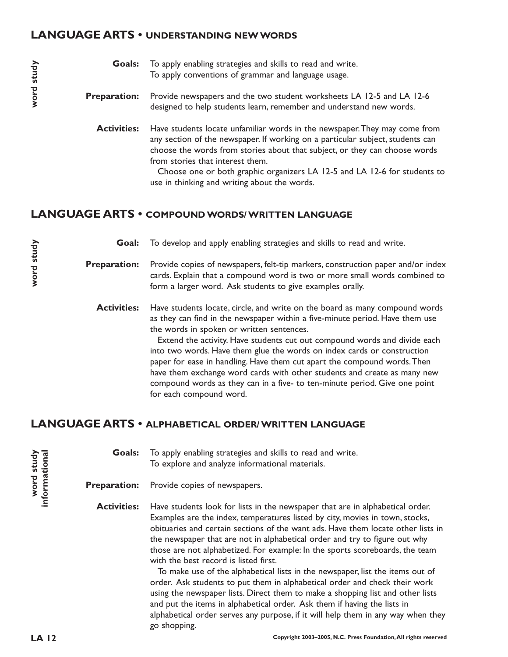#### **LANGUAGE ARTS • UNDERSTANDING NEW WORDS**

To apply enabling strategies and skills to read and write. To apply conventions of grammar and language usage. **Goals:**

- Provide newspapers and the two student worksheets LA 12-5 and LA 12-6 designed to help students learn, remember and understand new words. **Preparation:**
	- Have students locate unfamiliar words in the newspaper.They may come from any section of the newspaper. If working on a particular subject, students can choose the words from stories about that subject, or they can choose words from stories that interest them. **Activities:**

Choose one or both graphic organizers LA 12-5 and LA 12-6 for students to use in thinking and writing about the words.

#### **LANGUAGE ARTS • COMPOUND WORDS/ WRITTEN LANGUAGE**

To develop and apply enabling strategies and skills to read and write. **Goal:**

Provide copies of newspapers, felt-tip markers, construction paper and/or index cards. Explain that a compound word is two or more small words combined to form a larger word. Ask students to give examples orally. **Preparation:**

Have students locate, circle, and write on the board as many compound words as they can find in the newspaper within a five-minute period. Have them use the words in spoken or written sentences. **Activities:**

> Extend the activity. Have students cut out compound words and divide each into two words. Have them glue the words on index cards or construction paper for ease in handling. Have them cut apart the compound words.Then have them exchange word cards with other students and create as many new compound words as they can in a five- to ten-minute period. Give one point for each compound word.

#### **LANGUAGE ARTS • ALPHABETICAL ORDER/ WRITTEN LANGUAGE**

To apply enabling strategies and skills to read and write. To explore and analyze informational materials. **Goals:**

Provide copies of newspapers. **Preparation:**

Have students look for lists in the newspaper that are in alphabetical order. Examples are the index, temperatures listed by city, movies in town, stocks, obituaries and certain sections of the want ads. Have them locate other lists in the newspaper that are not in alphabetical order and try to figure out why those are not alphabetized. For example: In the sports scoreboards, the team with the best record is listed first. **Activities:**

> To make use of the alphabetical lists in the newspaper, list the items out of order. Ask students to put them in alphabetical order and check their work using the newspaper lists. Direct them to make a shopping list and other lists and put the items in alphabetical order. Ask them if having the lists in alphabetical order serves any purpose, if it will help them in any way when they go shopping.

word study **word study** informational **informational**

**word study**

word study

**word study**

word study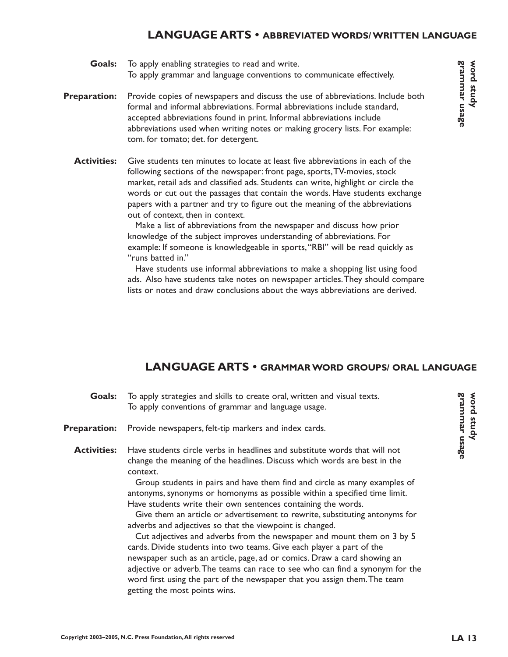#### **LANGUAGE ARTS • ABBREVIATED WORDS/ WRITTEN LANGUAGE**

To apply enabling strategies to read and write. To apply grammar and language conventions to communicate effectively. **Goals:**

- Provide copies of newspapers and discuss the use of abbreviations. Include both formal and informal abbreviations. Formal abbreviations include standard, accepted abbreviations found in print. Informal abbreviations include abbreviations used when writing notes or making grocery lists. For example: tom. for tomato; det. for detergent. **Preparation:**
	- Give students ten minutes to locate at least five abbreviations in each of the following sections of the newspaper: front page, sports,TV-movies, stock market, retail ads and classified ads. Students can write, highlight or circle the words or cut out the passages that contain the words. Have students exchange papers with a partner and try to figure out the meaning of the abbreviations out of context, then in context. **Activities:**

Make a list of abbreviations from the newspaper and discuss how prior knowledge of the subject improves understanding of abbreviations. For example: If someone is knowledgeable in sports,"RBI" will be read quickly as "runs batted in."

Have students use informal abbreviations to make a shopping list using food ads. Also have students take notes on newspaper articles.They should compare lists or notes and draw conclusions about the ways abbreviations are derived.

## **LANGUAGE ARTS • GRAMMAR WORD GROUPS/ ORAL LANGUAGE**

| Goals:              | To apply strategies and skills to create oral, written and visual texts.<br>To apply conventions of grammar and language usage.                                                                                                                                                                                                                                                           |  |
|---------------------|-------------------------------------------------------------------------------------------------------------------------------------------------------------------------------------------------------------------------------------------------------------------------------------------------------------------------------------------------------------------------------------------|--|
| <b>Preparation:</b> | Provide newspapers, felt-tip markers and index cards.                                                                                                                                                                                                                                                                                                                                     |  |
| <b>Activities:</b>  | Have students circle verbs in headlines and substitute words that will not<br>change the meaning of the headlines. Discuss which words are best in the<br>context.                                                                                                                                                                                                                        |  |
|                     | Group students in pairs and have them find and circle as many examples of<br>antonyms, synonyms or homonyms as possible within a specified time limit.<br>Have students write their own sentences containing the words.<br>Give them an article or advertisement to rewrite, substituting antonyms for<br>adverbs and adjectives so that the viewpoint is changed.                        |  |
|                     | Cut adjectives and adverbs from the newspaper and mount them on 3 by 5<br>cards. Divide students into two teams. Give each player a part of the<br>newspaper such as an article, page, ad or comics. Draw a card showing an<br>adjective or adverb. The teams can race to see who can find a synonym for the<br>word first using the part of the newspaper that you assign them. The team |  |

getting the most points wins.

**grammar usage word study**

grammar usage Word study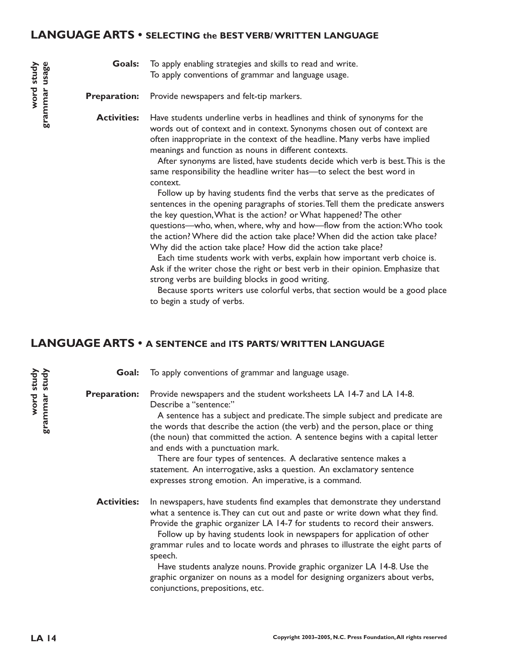#### **LANGUAGE ARTS • SELECTING the BEST VERB/ WRITTEN LANGUAGE**

To apply enabling strategies and skills to read and write. To apply conventions of grammar and language usage. **Goals:**

Provide newspapers and felt-tip markers. **Preparation:**

Have students underline verbs in headlines and think of synonyms for the words out of context and in context. Synonyms chosen out of context are often inappropriate in the context of the headline. Many verbs have implied meanings and function as nouns in different contexts. **Activities:**

> After synonyms are listed, have students decide which verb is best.This is the same responsibility the headline writer has—to select the best word in context.

> Follow up by having students find the verbs that serve as the predicates of sentences in the opening paragraphs of stories.Tell them the predicate answers the key question,What is the action? or What happened? The other questions—who, when, where, why and how—flow from the action:Who took the action? Where did the action take place? When did the action take place? Why did the action take place? How did the action take place?

Each time students work with verbs, explain how important verb choice is. Ask if the writer chose the right or best verb in their opinion. Emphasize that strong verbs are building blocks in good writing.

Because sports writers use colorful verbs, that section would be a good place to begin a study of verbs.

# **LANGUAGE ARTS • A SENTENCE and ITS PARTS/ WRITTEN LANGUAGE**

To apply conventions of grammar and language usage. Provide newspapers and the student worksheets LA 14-7 and LA 14-8. Describe a "sentence:" A sentence has a subject and predicate.The simple subject and predicate are the words that describe the action (the verb) and the person, place or thing (the noun) that committed the action. A sentence begins with a capital letter and ends with a punctuation mark. There are four types of sentences. A declarative sentence makes a statement. An interrogative, asks a question. An exclamatory sentence expresses strong emotion. An imperative, is a command. In newspapers, have students find examples that demonstrate they understand what a sentence is.They can cut out and paste or write down what they find. Provide the graphic organizer LA 14-7 for students to record their answers. Follow up by having students look in newspapers for application of other grammar rules and to locate words and phrases to illustrate the eight parts of speech. Have students analyze nouns. Provide graphic organizer LA 14-8. Use the graphic organizer on nouns as a model for designing organizers about verbs, conjunctions, prepositions, etc. **Goal: Preparation: Activities:**

**word study grammar study**

grammar study word study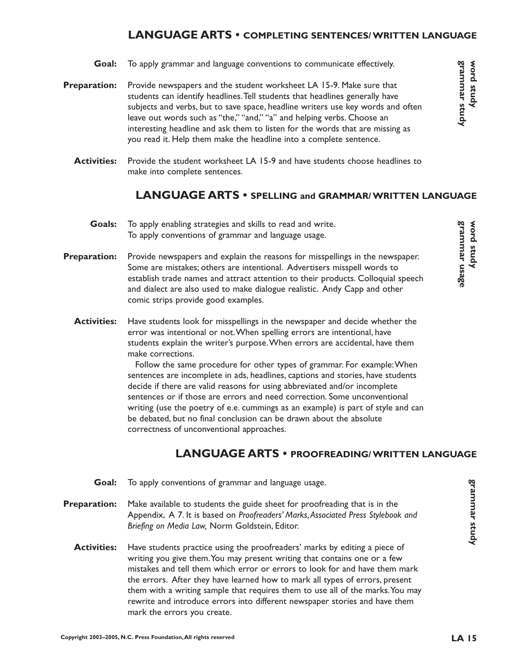## **LANGUAGE ARTS • COMPLETING SENTENCES/ WRITTEN LANGUAGE**

- To apply grammar and language conventions to communicate effectively. **Goal:**
- Provide newspapers and the student worksheet LA 15-9. Make sure that students can identify headlines.Tell students that headlines generally have subjects and verbs, but to save space, headline writers use key words and often leave out words such as "the," "and," "a" and helping verbs. Choose an interesting headline and ask them to listen for the words that are missing as you read it. Help them make the headline into a complete sentence. **Preparation:**
	- Provide the student worksheet LA 15-9 and have students choose headlines to make into complete sentences. **Activities:**

#### **LANGUAGE ARTS • SPELLING and GRAMMAR/ WRITTEN LANGUAGE**

- To apply enabling strategies and skills to read and write. To apply conventions of grammar and language usage. **Goals:**
- Provide newspapers and explain the reasons for misspellings in the newspaper. Some are mistakes; others are intentional. Advertisers misspell words to establish trade names and attract attention to their products. Colloquial speech and dialect are also used to make dialogue realistic. Andy Capp and other comic strips provide good examples. **Preparation:**
	- Have students look for misspellings in the newspaper and decide whether the error was intentional or not.When spelling errors are intentional, have students explain the writer's purpose.When errors are accidental, have them make corrections. **Activities:**

Follow the same procedure for other types of grammar. For example:When sentences are incomplete in ads, headlines, captions and stories, have students decide if there are valid reasons for using abbreviated and/or incomplete sentences or if those are errors and need correction. Some unconventional writing (use the poetry of e.e. cummings as an example) is part of style and can be debated, but no final conclusion can be drawn about the absolute correctness of unconventional approaches.

## **LANGUAGE ARTS • PROOFREADING/ WRITTEN LANGUAGE**

- To apply conventions of grammar and language usage. **Goal:**
- Make available to students the guide sheet for proofreading that is in the Appendix, A 7. It is based on *Proofreaders' Marks,Associated Press Stylebook and Briefing on Media Law,* Norm Goldstein, Editor. **Preparation:**
	- Have students practice using the proofreaders' marks by editing a piece of writing you give them.You may present writing that contains one or a few mistakes and tell them which error or errors to look for and have them mark the errors. After they have learned how to mark all types of errors, present them with a writing sample that requires them to use all of the marks.You may rewrite and introduce errors into different newspaper stories and have them mark the errors you create. **Activities:**

**grammar study word study**

grammar study Word study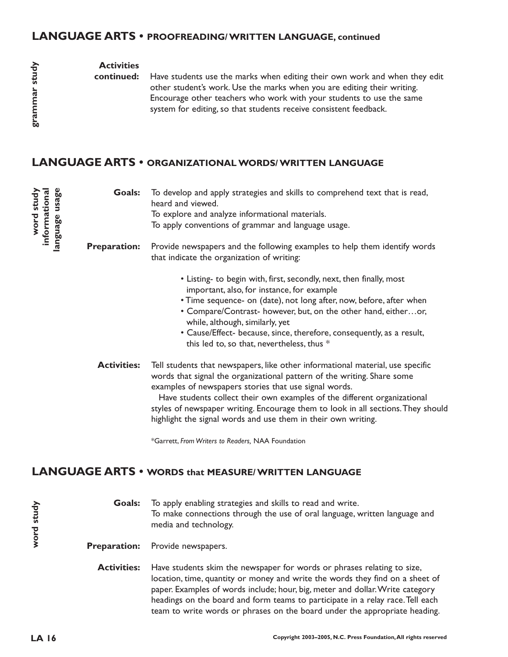#### **LANGUAGE ARTS • PROOFREADING/ WRITTEN LANGUAGE, continued**

#### **Activities**

**continued:**

Have students use the marks when editing their own work and when they edit other student's work. Use the marks when you are editing their writing. Encourage other teachers who work with your students to use the same system for editing, so that students receive consistent feedback.

# **LANGUAGE ARTS • ORGANIZATIONAL WORDS/ WRITTEN LANGUAGE**

| word study<br>informational<br>usage<br>language | Goals:              | To develop and apply strategies and skills to comprehend text that is read,<br>heard and viewed.<br>To explore and analyze informational materials.<br>To apply conventions of grammar and language usage.                                                                                                                                                                                                                                          |
|--------------------------------------------------|---------------------|-----------------------------------------------------------------------------------------------------------------------------------------------------------------------------------------------------------------------------------------------------------------------------------------------------------------------------------------------------------------------------------------------------------------------------------------------------|
|                                                  | <b>Preparation:</b> | Provide newspapers and the following examples to help them identify words<br>that indicate the organization of writing:                                                                                                                                                                                                                                                                                                                             |
|                                                  |                     | • Listing- to begin with, first, secondly, next, then finally, most<br>important, also, for instance, for example<br>• Time sequence- on (date), not long after, now, before, after when<br>• Compare/Contrast- however, but, on the other hand, eitheror,<br>while, although, similarly, yet<br>• Cause/Effect- because, since, therefore, consequently, as a result,<br>this led to, so that, nevertheless, thus *                                |
|                                                  | <b>Activities:</b>  | Tell students that newspapers, like other informational material, use specific<br>words that signal the organizational pattern of the writing. Share some<br>examples of newspapers stories that use signal words.<br>Have students collect their own examples of the different organizational<br>styles of newspaper writing. Encourage them to look in all sections. They should<br>highlight the signal words and use them in their own writing. |
|                                                  |                     | *Garrett, From Writers to Readers, NAA Foundation                                                                                                                                                                                                                                                                                                                                                                                                   |

# **LANGUAGE ARTS • WORDS that MEASURE/ WRITTEN LANGUAGE**

To apply enabling strategies and skills to read and write. To make connections through the use of oral language, written language and media and technology. **Goals:**

Provide newspapers. **Preparation:**

Have students skim the newspaper for words or phrases relating to size, location, time, quantity or money and write the words they find on a sheet of paper. Examples of words include; hour, big, meter and dollar.Write category headings on the board and form teams to participate in a relay race.Tell each team to write words or phrases on the board under the appropriate heading. **Activities:**

**word study**

word study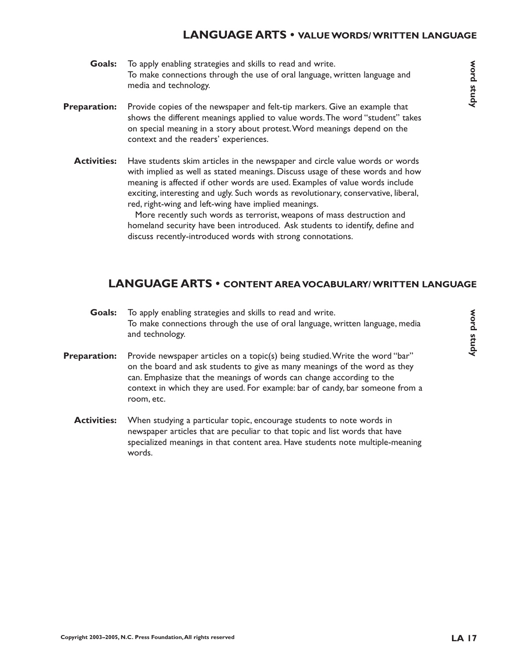#### **LANGUAGE ARTS • VALUE WORDS/ WRITTEN LANGUAGE**

- To apply enabling strategies and skills to read and write. To make connections through the use of oral language, written language and media and technology. **Goals:**
- Provide copies of the newspaper and felt-tip markers. Give an example that shows the different meanings applied to value words.The word "student" takes on special meaning in a story about protest.Word meanings depend on the context and the readers' experiences. **Preparation:**
	- Have students skim articles in the newspaper and circle value words or words with implied as well as stated meanings. Discuss usage of these words and how meaning is affected if other words are used. Examples of value words include exciting, interesting and ugly. Such words as revolutionary, conservative, liberal, red, right-wing and left-wing have implied meanings. **Activities:**

More recently such words as terrorist, weapons of mass destruction and homeland security have been introduced. Ask students to identify, define and discuss recently-introduced words with strong connotations.

#### **LANGUAGE ARTS • CONTENT AREA VOCABULARY/ WRITTEN LANGUAGE**

- To apply enabling strategies and skills to read and write. To make connections through the use of oral language, written language, media and technology. **Goals:**
- Provide newspaper articles on a topic(s) being studied.Write the word "bar" on the board and ask students to give as many meanings of the word as they can. Emphasize that the meanings of words can change according to the context in which they are used. For example: bar of candy, bar someone from a room, etc. **Preparation:**
	- When studying a particular topic, encourage students to note words in newspaper articles that are peculiar to that topic and list words that have specialized meanings in that content area. Have students note multiple-meaning words. **Activities:**

**word study**

Word study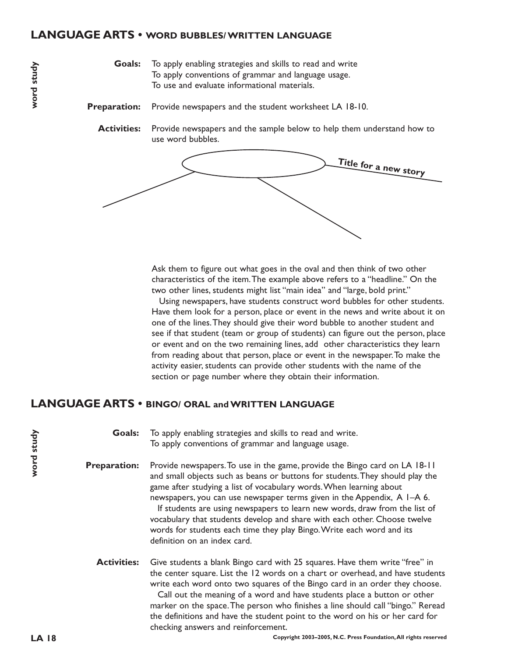#### **LANGUAGE ARTS • WORD BUBBLES/ WRITTEN LANGUAGE**

To apply enabling strategies and skills to read and write To apply conventions of grammar and language usage. To use and evaluate informational materials. **Goals:**

- Provide newspapers and the student worksheet LA 18-10. **Preparation:**
	- Provide newspapers and the sample below to help them understand how to use word bubbles. **Activities:**



Ask them to figure out what goes in the oval and then think of two other characteristics of the item.The example above refers to a "headline." On the two other lines, students might list "main idea" and "large, bold print."

Using newspapers, have students construct word bubbles for other students. Have them look for a person, place or event in the news and write about it on one of the lines.They should give their word bubble to another student and see if that student (team or group of students) can figure out the person, place or event and on the two remaining lines, add other characteristics they learn from reading about that person, place or event in the newspaper.To make the activity easier, students can provide other students with the name of the section or page number where they obtain their information.

#### **LANGUAGE ARTS • BINGO/ ORAL and WRITTEN LANGUAGE**

To apply enabling strategies and skills to read and write. To apply conventions of grammar and language usage. **Goals:**

Provide newspapers.To use in the game, provide the Bingo card on LA 18-11 and small objects such as beans or buttons for students.They should play the game after studying a list of vocabulary words.When learning about newspapers, you can use newspaper terms given in the Appendix, A 1–A 6. If students are using newspapers to learn new words, draw from the list of vocabulary that students develop and share with each other. Choose twelve words for students each time they play Bingo.Write each word and its definition on an index card. **Preparation:**

Give students a blank Bingo card with 25 squares. Have them write "free" in the center square. List the 12 words on a chart or overhead, and have students write each word onto two squares of the Bingo card in an order they choose. **Activities:**

> Call out the meaning of a word and have students place a button or other marker on the space.The person who finishes a line should call "bingo." Reread the definitions and have the student point to the word on his or her card for checking answers and reinforcement.

**word study**

word study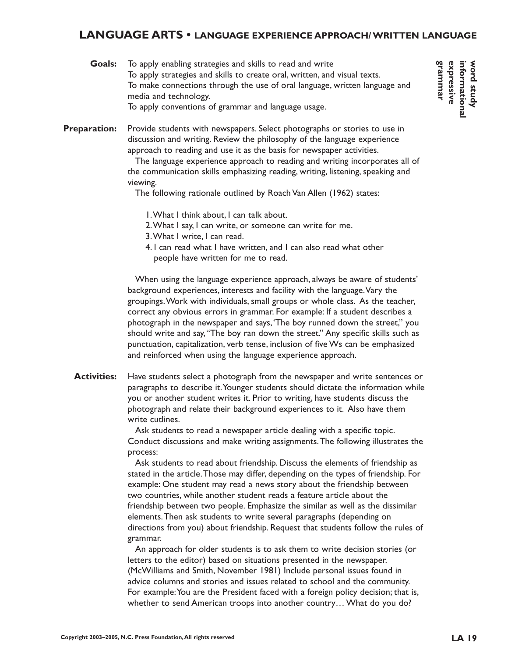#### **LANGUAGE ARTS • LANGUAGE EXPERIENCE APPROACH/ WRITTEN LANGUAGE**

| Goals: | To apply enabling strategies and skills to read and write                  |
|--------|----------------------------------------------------------------------------|
|        | To apply strategies and skills to create oral, written, and visual texts.  |
|        | To make connections through the use of oral language, written language and |
|        | media and technology.                                                      |
|        | To apply conventions of grammar and language usage.                        |

Provide students with newspapers. Select photographs or stories to use in discussion and writing. Review the philosophy of the language experience approach to reading and use it as the basis for newspaper activities. **Preparation:**

> The language experience approach to reading and writing incorporates all of the communication skills emphasizing reading, writing, listening, speaking and viewing.

The following rationale outlined by Roach Van Allen (1962) states:

- 1.What I think about, I can talk about.
- 2.What I say, I can write, or someone can write for me.
- 3.What I write, I can read.
- 4. I can read what I have written, and I can also read what other people have written for me to read.

When using the language experience approach, always be aware of students' background experiences, interests and facility with the language.Vary the groupings.Work with individuals, small groups or whole class. As the teacher, correct any obvious errors in grammar. For example: If a student describes a photograph in the newspaper and says,'The boy runned down the street," you should write and say,"The boy ran down the street." Any specific skills such as punctuation, capitalization, verb tense, inclusion of five Ws can be emphasized and reinforced when using the language experience approach.

Have students select a photograph from the newspaper and write sentences or paragraphs to describe it.Younger students should dictate the information while you or another student writes it. Prior to writing, have students discuss the photograph and relate their background experiences to it. Also have them write cutlines. **Activities:**

> Ask students to read a newspaper article dealing with a specific topic. Conduct discussions and make writing assignments.The following illustrates the process:

> Ask students to read about friendship. Discuss the elements of friendship as stated in the article.Those may differ, depending on the types of friendship. For example: One student may read a news story about the friendship between two countries, while another student reads a feature article about the friendship between two people. Emphasize the similar as well as the dissimilar elements.Then ask students to write several paragraphs (depending on directions from you) about friendship. Request that students follow the rules of grammar.

An approach for older students is to ask them to write decision stories (or letters to the editor) based on situations presented in the newspaper. (McWilliams and Smith, November 1981) Include personal issues found in advice columns and stories and issues related to school and the community. For example:You are the President faced with a foreign policy decision; that is, whether to send American troops into another country… What do you do?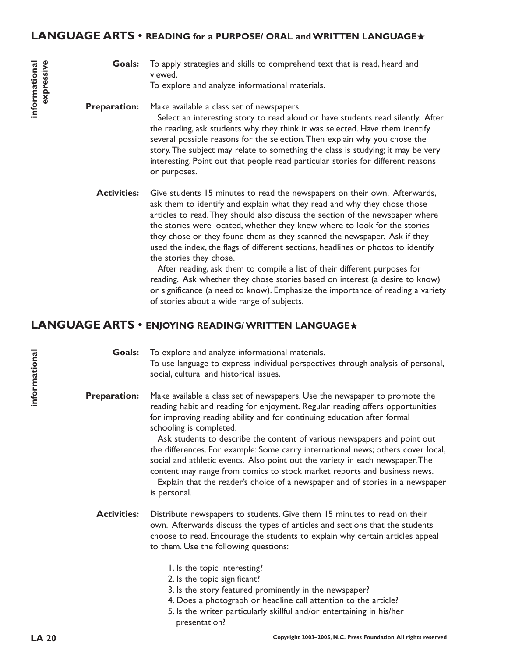#### **LANGUAGE ARTS • READING for a PURPOSE/ ORAL and WRITTEN LANGUAGE**★

To apply strategies and skills to comprehend text that is read, heard and viewed. **Goals:**

To explore and analyze informational materials.

#### Make available a class set of newspapers. Select an interesting story to read aloud or have students read silently. After the reading, ask students why they think it was selected. Have them identify several possible reasons for the selection.Then explain why you chose the story.The subject may relate to something the class is studying; it may be very interesting. Point out that people read particular stories for different reasons or purposes. **Preparation:**

Give students 15 minutes to read the newspapers on their own. Afterwards, ask them to identify and explain what they read and why they chose those articles to read.They should also discuss the section of the newspaper where the stories were located, whether they knew where to look for the stories they chose or they found them as they scanned the newspaper. Ask if they used the index, the flags of different sections, headlines or photos to identify the stories they chose. **Activities:**

> After reading, ask them to compile a list of their different purposes for reading. Ask whether they chose stories based on interest (a desire to know) or significance (a need to know). Emphasize the importance of reading a variety of stories about a wide range of subjects.

# **LANGUAGE ARTS • ENJOYING READING/ WRITTEN LANGUAGE**★

To explore and analyze informational materials. To use language to express individual perspectives through analysis of personal, social, cultural and historical issues. **Goals:**

Make available a class set of newspapers. Use the newspaper to promote the reading habit and reading for enjoyment. Regular reading offers opportunities for improving reading ability and for continuing education after formal schooling is completed. **Preparation:**

> Ask students to describe the content of various newspapers and point out the differences. For example: Some carry international news; others cover local, social and athletic events. Also point out the variety in each newspaper.The content may range from comics to stock market reports and business news.

> Explain that the reader's choice of a newspaper and of stories in a newspaper is personal.

- Distribute newspapers to students. Give them 15 minutes to read on their own. Afterwards discuss the types of articles and sections that the students choose to read. Encourage the students to explain why certain articles appeal to them. Use the following questions: **Activities:**
	- 1. Is the topic interesting?
	- 2. Is the topic significant?
	- 3. Is the story featured prominently in the newspaper?
	- 4. Does a photograph or headline call attention to the article?
	- 5. Is the writer particularly skillful and/or entertaining in his/her presentation?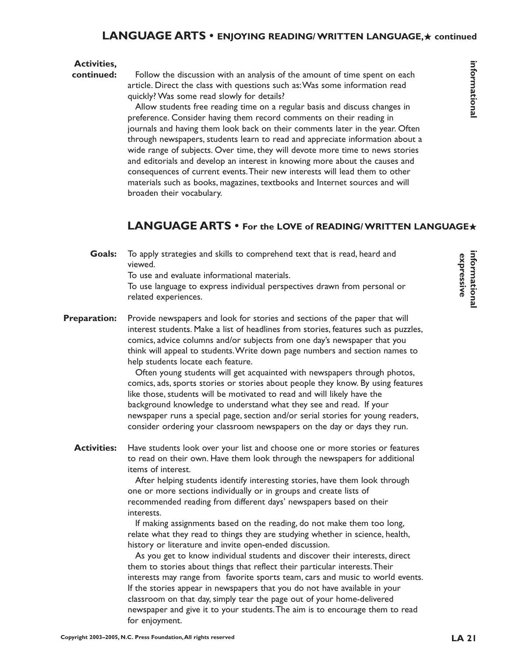#### **Activities,**

**continued:**

Follow the discussion with an analysis of the amount of time spent on each article. Direct the class with questions such as:Was some information read quickly? Was some read slowly for details?

Allow students free reading time on a regular basis and discuss changes in preference. Consider having them record comments on their reading in journals and having them look back on their comments later in the year. Often through newspapers, students learn to read and appreciate information about a wide range of subjects. Over time, they will devote more time to news stories and editorials and develop an interest in knowing more about the causes and consequences of current events.Their new interests will lead them to other materials such as books, magazines, textbooks and Internet sources and will broaden their vocabulary.

# **LANGUAGE ARTS • For the LOVE of READING/ WRITTEN LANGUAGE**★

To apply strategies and skills to comprehend text that is read, heard and viewed. **Goals:**

To use and evaluate informational materials.

To use language to express individual perspectives drawn from personal or related experiences.

Provide newspapers and look for stories and sections of the paper that will interest students. Make a list of headlines from stories, features such as puzzles, comics, advice columns and/or subjects from one day's newspaper that you think will appeal to students.Write down page numbers and section names to help students locate each feature. **Preparation:**

> Often young students will get acquainted with newspapers through photos, comics, ads, sports stories or stories about people they know. By using features like those, students will be motivated to read and will likely have the background knowledge to understand what they see and read. If your newspaper runs a special page, section and/or serial stories for young readers, consider ordering your classroom newspapers on the day or days they run.

Have students look over your list and choose one or more stories or features to read on their own. Have them look through the newspapers for additional items of interest. **Activities:**

> After helping students identify interesting stories, have them look through one or more sections individually or in groups and create lists of recommended reading from different days' newspapers based on their interests.

> If making assignments based on the reading, do not make them too long, relate what they read to things they are studying whether in science, health, history or literature and invite open-ended discussion.

As you get to know individual students and discover their interests, direct them to stories about things that reflect their particular interests.Their interests may range from favorite sports team, cars and music to world events. If the stories appear in newspapers that you do not have available in your classroom on that day, simply tear the page out of your home-delivered newspaper and give it to your students.The aim is to encourage them to read for enjoyment.

**informational**

informational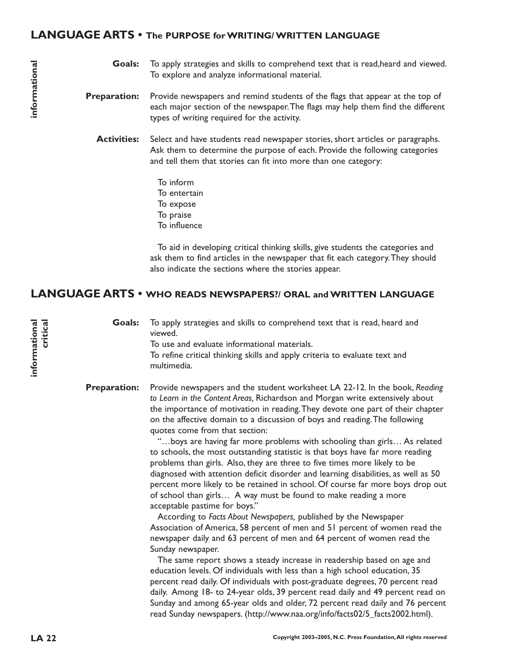#### **LANGUAGE ARTS • The PURPOSE for WRITING/ WRITTEN LANGUAGE**

- To apply strategies and skills to comprehend text that is read,heard and viewed. To explore and analyze informational material. **Goals:**
- Provide newspapers and remind students of the flags that appear at the top of each major section of the newspaper.The flags may help them find the different types of writing required for the activity. **Preparation:**
	- Select and have students read newspaper stories, short articles or paragraphs. Ask them to determine the purpose of each. Provide the following categories and tell them that stories can fit into more than one category: **Activities:**
		- To inform To entertain To expose To praise To influence

To aid in developing critical thinking skills, give students the categories and ask them to find articles in the newspaper that fit each category.They should also indicate the sections where the stories appear.

#### **LANGUAGE ARTS • WHO READS NEWSPAPERS?/ ORAL and WRITTEN LANGUAGE**

To apply strategies and skills to comprehend text that is read, heard and viewed. To use and evaluate informational materials. To refine critical thinking skills and apply criteria to evaluate text and multimedia. **Goals:**

Provide newspapers and the student worksheet LA 22-12. In the book, *Reading to Learn in the Content Areas,* Richardson and Morgan write extensively about the importance of motivation in reading.They devote one part of their chapter on the affective domain to a discussion of boys and reading.The following quotes come from that section: **Preparation:**

> "…boys are having far more problems with schooling than girls… As related to schools, the most outstanding statistic is that boys have far more reading problems than girls. Also, they are three to five times more likely to be diagnosed with attention deficit disorder and learning disabilities, as well as 50 percent more likely to be retained in school. Of course far more boys drop out of school than girls… A way must be found to make reading a more acceptable pastime for boys."

According to *Facts About Newspapers,* published by the Newspaper Association of America, 58 percent of men and 51 percent of women read the newspaper daily and 63 percent of men and 64 percent of women read the Sunday newspaper.

The same report shows a steady increase in readership based on age and education levels. Of individuals with less than a high school education, 35 percent read daily. Of individuals with post-graduate degrees, 70 percent read daily. Among 18- to 24-year olds, 39 percent read daily and 49 percent read on Sunday and among 65-year olds and older, 72 percent read daily and 76 percent read Sunday newspapers. (http://www.naa.org/info/facts02/5\_facts2002.html).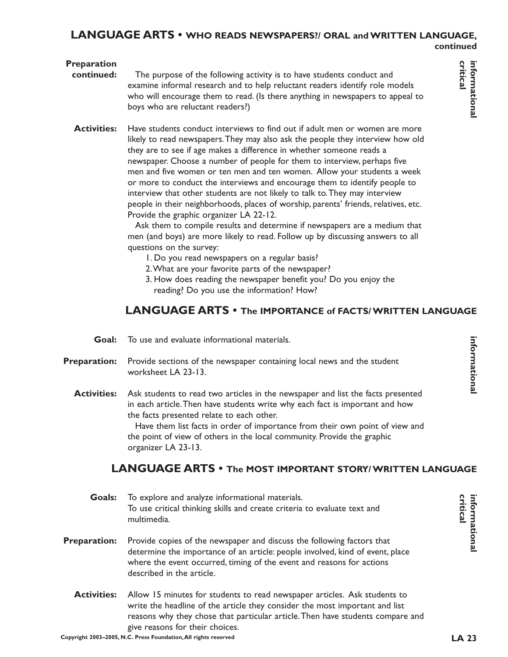#### **LANGUAGE ARTS • WHO READS NEWSPAPERS?/ ORAL and WRITTEN LANGUAGE, continued**

# critical informational

**Preparation**

- The purpose of the following activity is to have students conduct and examine informal research and to help reluctant readers identify role models who will encourage them to read. (Is there anything in newspapers to appeal to boys who are reluctant readers?) **continued:**
- Have students conduct interviews to find out if adult men or women are more likely to read newspapers.They may also ask the people they interview how old they are to see if age makes a difference in whether someone reads a newspaper. Choose a number of people for them to interview, perhaps five men and five women or ten men and ten women. Allow your students a week or more to conduct the interviews and encourage them to identify people to interview that other students are not likely to talk to.They may interview people in their neighborhoods, places of worship, parents' friends, relatives, etc. Provide the graphic organizer LA 22-12. **Activities:**

Ask them to compile results and determine if newspapers are a medium that men (and boys) are more likely to read. Follow up by discussing answers to all questions on the survey:

- 1. Do you read newspapers on a regular basis?
- 2.What are your favorite parts of the newspaper?
- 3. How does reading the newspaper benefit you? Do you enjoy the reading? Do you use the information? How?

# **LANGUAGE ARTS • The IMPORTANCE of FACTS/ WRITTEN LANGUAGE**

- To use and evaluate informational materials. **Goal:**
- Provide sections of the newspaper containing local news and the student worksheet LA 23-13. **Preparation:**
	- Ask students to read two articles in the newspaper and list the facts presented in each article.Then have students write why each fact is important and how the facts presented relate to each other. **Activities:**

Have them list facts in order of importance from their own point of view and the point of view of others in the local community. Provide the graphic organizer LA 23-13.

# **LANGUAGE ARTS • The MOST IMPORTANT STORY/ WRITTEN LANGUAGE**

**LA 23 critical informational Goals:** To explore and analyze informational materials. **critical informational** To use critical thinking skills and create criteria to evaluate text and multimedia. **Preparation:** Provide copies of the newspaper and discuss the following factors that determine the importance of an article: people involved, kind of event, place where the event occurred, timing of the event and reasons for actions described in the article. **Activities:**Allow 15 minutes for students to read newspaper articles. Ask students to write the headline of the article they consider the most important and list reasons why they chose that particular article.Then have students compare and give reasons for their choices. **Copyright 2003–2005, N.C. Press Foundation,All rights reserved**  $LA$  23

informational **informational**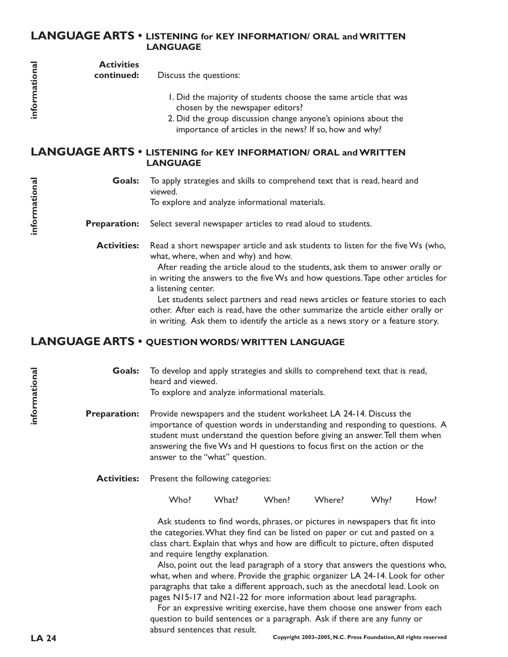#### **LANGUAGE ARTS • LISTENING for KEY INFORMATION/ ORAL and WRITTEN LANGUAGE**

| informational | <b>Activities</b><br>continued:                                                           | Discuss the questions:                                                                                                                                               |  |
|---------------|-------------------------------------------------------------------------------------------|----------------------------------------------------------------------------------------------------------------------------------------------------------------------|--|
|               |                                                                                           | I. Did the majority of students choose the same article that was<br>chosen by the newspaper editors?                                                                 |  |
|               |                                                                                           | 2. Did the group discussion change anyone's opinions about the<br>importance of articles in the news? If so, how and why?                                            |  |
|               | <b>LANGUAGE ARTS • LISTENING for KEY INFORMATION/ ORAL and WRITTEN</b><br><b>LANGUAGE</b> |                                                                                                                                                                      |  |
| informational | <b>Goals:</b>                                                                             | To apply strategies and skills to comprehend text that is read, heard and<br>viewed.                                                                                 |  |
|               |                                                                                           | To explore and analyze informational materials.                                                                                                                      |  |
|               | <b>Preparation:</b>                                                                       | Select several newspaper articles to read aloud to students.                                                                                                         |  |
|               | <b>Activities:</b>                                                                        | Read a short newspaper article and ask students to listen for the five Ws (who,<br>what, where, when and why) and how.                                               |  |
|               |                                                                                           | After reading the article aloud to the students, ask them to answer orally or                                                                                        |  |
|               |                                                                                           | in writing the answers to the five Ws and how questions. Tape other articles for<br>a listening center.                                                              |  |
|               |                                                                                           | Let students select partners and read news articles or feature stories to each                                                                                       |  |
|               |                                                                                           | other. After each is read, have the other summarize the article either orally or<br>in writing. Ask them to identify the article as a news story or a feature story. |  |
|               |                                                                                           | LANGUAGE ARTS . OUESTION WORDS/WRITTEN LANGUAGE                                                                                                                      |  |

#### **LANGUAGE ARTS • QUESTION WORDS/ WRITTEN LANGUAGE**

To develop and apply strategies and skills to comprehend text that is read, heard and viewed. To explore and analyze informational materials. **Goals:**

Provide newspapers and the student worksheet LA 24-14. Discuss the importance of question words in understanding and responding to questions. A student must understand the question before giving an answer.Tell them when answering the five Ws and H questions to focus first on the action or the answer to the "what" question. **Preparation:**

Present the following categories: **Activities:**

Who? What? When? Where? Why? How?

Ask students to find words, phrases, or pictures in newspapers that fit into the categories.What they find can be listed on paper or cut and pasted on a class chart. Explain that whys and how are difficult to picture, often disputed and require lengthy explanation.

Also, point out the lead paragraph of a story that answers the questions who, what, when and where. Provide the graphic organizer LA 24-14. Look for other paragraphs that take a different approach, such as the anecdotal lead. Look on pages N15-17 and N21-22 for more information about lead paragraphs.

For an expressive writing exercise, have them choose one answer from each question to build sentences or a paragraph. Ask if there are any funny or absurd sentences that result.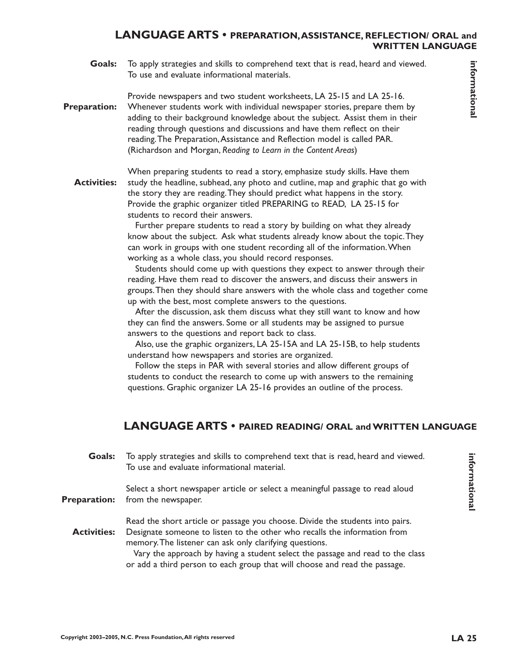#### **LANGUAGE ARTS • PREPARATION,ASSISTANCE, REFLECTION/ ORAL and WRITTEN LANGUAGE**

To apply strategies and skills to comprehend text that is read, heard and viewed. To use and evaluate informational materials. **Goals:**

Provide newspapers and two student worksheets, LA 25-15 and LA 25-16.

- **Coolse To apply threshop and deliver cooling the control to the interaction, and the served of the served of the served of a served of the served of the served of the served of the served of the served of the served of th** Whenever students work with individual newspaper stories, prepare them by adding to their background knowledge about the subject. Assist them in their reading through questions and discussions and have them reflect on their reading.The Preparation,Assistance and Reflection model is called PAR. (Richardson and Morgan, *Reading to Learn in the Content Areas*) **Preparation:**
	- When preparing students to read a story, emphasize study skills. Have them study the headline, subhead, any photo and cutline, map and graphic that go with the story they are reading.They should predict what happens in the story. Provide the graphic organizer titled PREPARING to READ, LA 25-15 for students to record their answers. **Activities:**

Further prepare students to read a story by building on what they already know about the subject. Ask what students already know about the topic.They can work in groups with one student recording all of the information.When working as a whole class, you should record responses.

Students should come up with questions they expect to answer through their reading. Have them read to discover the answers, and discuss their answers in groups.Then they should share answers with the whole class and together come up with the best, most complete answers to the questions.

After the discussion, ask them discuss what they still want to know and how they can find the answers. Some or all students may be assigned to pursue answers to the questions and report back to class.

Also, use the graphic organizers, LA 25-15A and LA 25-15B, to help students understand how newspapers and stories are organized.

Follow the steps in PAR with several stories and allow different groups of students to conduct the research to come up with answers to the remaining questions. Graphic organizer LA 25-16 provides an outline of the process.

# **LANGUAGE ARTS • PAIRED READING/ ORAL and WRITTEN LANGUAGE**

To apply strategies and skills to comprehend text that is read, heard and viewed. To use and evaluate informational material. **Goals:**

Select a short newspaper article or select a meaningful passage to read aloud from the newspaper. **Preparation:**

Read the short article or passage you choose. Divide the students into pairs. Designate someone to listen to the other who recalls the information from **Activities:**

memory.The listener can ask only clarifying questions. Vary the approach by having a student select the passage and read to the class or add a third person to each group that will choose and read the passage.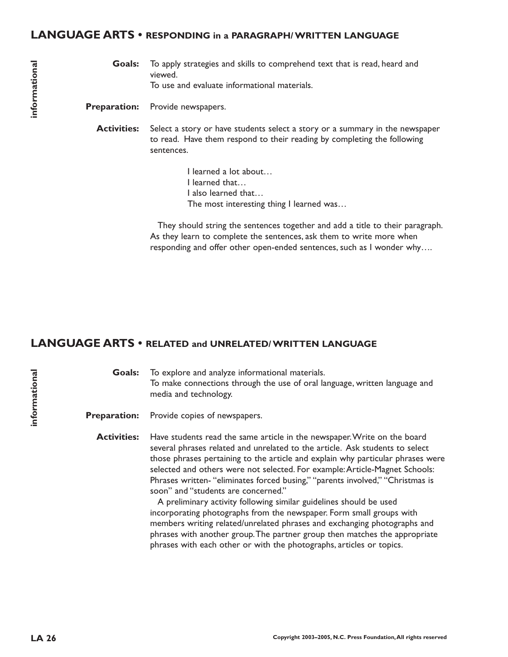#### **LANGUAGE ARTS • RESPONDING in a PARAGRAPH/ WRITTEN LANGUAGE**

To apply strategies and skills to comprehend text that is read, heard and viewed. To use and evaluate informational materials. **Goals:**

Provide newspapers. **Preparation:**

Select a story or have students select a story or a summary in the newspaper to read. Have them respond to their reading by completing the following sentences. **Activities:**

> I learned a lot about… I learned that… I also learned that… The most interesting thing I learned was…

They should string the sentences together and add a title to their paragraph. As they learn to complete the sentences, ask them to write more when responding and offer other open-ended sentences, such as I wonder why….

#### **LANGUAGE ARTS • RELATED and UNRELATED/ WRITTEN LANGUAGE**

To explore and analyze informational materials. To make connections through the use of oral language, written language and media and technology. **Goals:**

Provide copies of newspapers. **Preparation:**

Have students read the same article in the newspaper.Write on the board several phrases related and unrelated to the article. Ask students to select those phrases pertaining to the article and explain why particular phrases were selected and others were not selected. For example:Article-Magnet Schools: Phrases written- "eliminates forced busing," "parents involved," "Christmas is soon" and "students are concerned." **Activities:**

> A preliminary activity following similar guidelines should be used incorporating photographs from the newspaper. Form small groups with members writing related/unrelated phrases and exchanging photographs and phrases with another group.The partner group then matches the appropriate phrases with each other or with the photographs, articles or topics.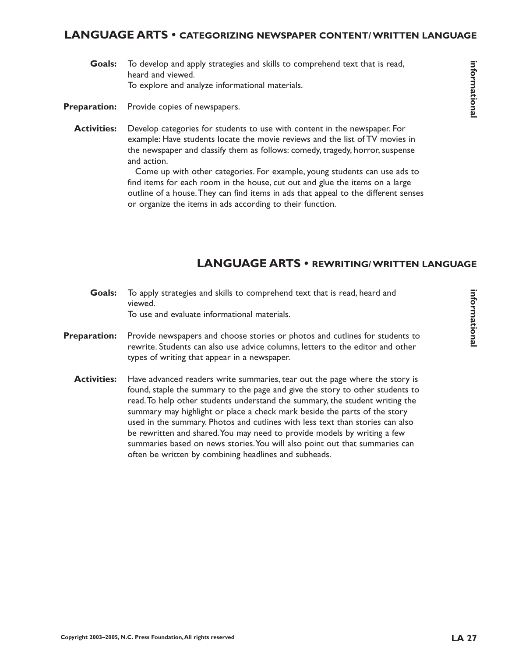#### **LANGUAGE ARTS • CATEGORIZING NEWSPAPER CONTENT/ WRITTEN LANGUAGE**

- To develop and apply strategies and skills to comprehend text that is read, heard and viewed. To explore and analyze informational materials. **Goals:**
- Provide copies of newspapers. **Preparation:**
	- Develop categories for students to use with content in the newspaper. For example: Have students locate the movie reviews and the list of TV movies in the newspaper and classify them as follows: comedy, tragedy, horror, suspense and action. **Activities:**

Come up with other categories. For example, young students can use ads to find items for each room in the house, cut out and glue the items on a large outline of a house.They can find items in ads that appeal to the different senses or organize the items in ads according to their function.

# **LANGUAGE ARTS • REWRITING/ WRITTEN LANGUAGE**

- To apply strategies and skills to comprehend text that is read, heard and viewed. To use and evaluate informational materials. **Goals:**
- Provide newspapers and choose stories or photos and cutlines for students to rewrite. Students can also use advice columns, letters to the editor and other types of writing that appear in a newspaper. **Preparation:**
	- Have advanced readers write summaries, tear out the page where the story is found, staple the summary to the page and give the story to other students to read.To help other students understand the summary, the student writing the summary may highlight or place a check mark beside the parts of the story used in the summary. Photos and cutlines with less text than stories can also be rewritten and shared.You may need to provide models by writing a few summaries based on news stories.You will also point out that summaries can often be written by combining headlines and subheads. **Activities:**

informational **informational**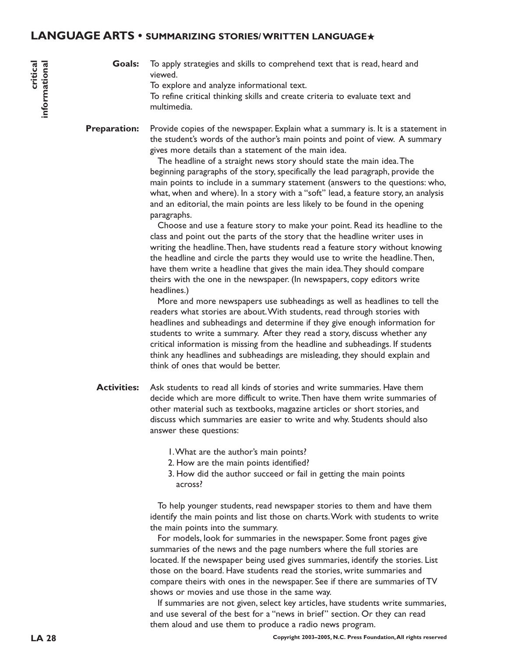#### **LANGUAGE ARTS • SUMMARIZING STORIES/ WRITTEN LANGUAGE**★

To apply strategies and skills to comprehend text that is read, heard and viewed. To explore and analyze informational text. To refine critical thinking skills and create criteria to evaluate text and multimedia. **Goals:**

Provide copies of the newspaper. Explain what a summary is. It is a statement in the student's words of the author's main points and point of view. A summary gives more details than a statement of the main idea. **Preparation:**

> The headline of a straight news story should state the main idea.The beginning paragraphs of the story, specifically the lead paragraph, provide the main points to include in a summary statement (answers to the questions: who, what, when and where). In a story with a "soft" lead, a feature story, an analysis and an editorial, the main points are less likely to be found in the opening paragraphs.

Choose and use a feature story to make your point. Read its headline to the class and point out the parts of the story that the headline writer uses in writing the headline.Then, have students read a feature story without knowing the headline and circle the parts they would use to write the headline.Then, have them write a headline that gives the main idea.They should compare theirs with the one in the newspaper. (In newspapers, copy editors write headlines.)

More and more newspapers use subheadings as well as headlines to tell the readers what stories are about.With students, read through stories with headlines and subheadings and determine if they give enough information for students to write a summary. After they read a story, discuss whether any critical information is missing from the headline and subheadings. If students think any headlines and subheadings are misleading, they should explain and think of ones that would be better.

- Ask students to read all kinds of stories and write summaries. Have them decide which are more difficult to write.Then have them write summaries of other material such as textbooks, magazine articles or short stories, and discuss which summaries are easier to write and why. Students should also answer these questions: **Activities:**
	- 1.What are the author's main points?
	- 2. How are the main points identified?
	- 3. How did the author succeed or fail in getting the main points across?

To help younger students, read newspaper stories to them and have them identify the main points and list those on charts.Work with students to write the main points into the summary.

For models, look for summaries in the newspaper. Some front pages give summaries of the news and the page numbers where the full stories are located. If the newspaper being used gives summaries, identify the stories. List those on the board. Have students read the stories, write summaries and compare theirs with ones in the newspaper. See if there are summaries of TV shows or movies and use those in the same way.

If summaries are not given, select key articles, have students write summaries, and use several of the best for a "news in brief" section. Or they can read them aloud and use them to produce a radio news program.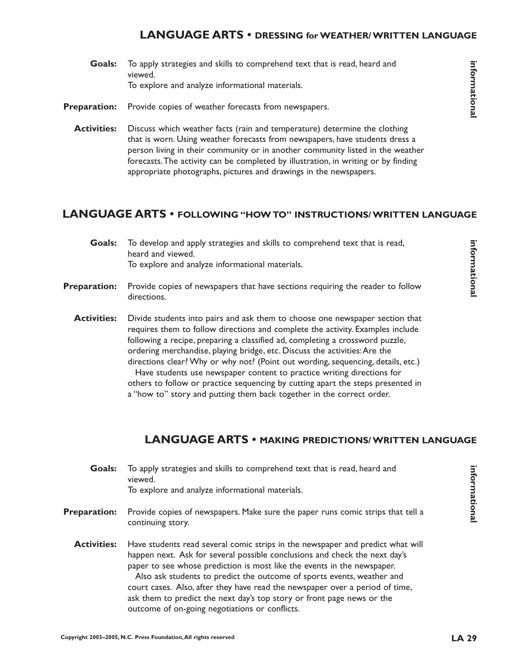#### **LANGUAGE ARTS • DRESSING for WEATHER/ WRITTEN LANGUAGE**

- To apply strategies and skills to comprehend text that is read, heard and viewed. To explore and analyze informational materials. **Goals:**
- Provide copies of weather forecasts from newspapers. **Preparation:**
	- Discuss which weather facts (rain and temperature) determine the clothing that is worn. Using weather forecasts from newspapers, have students dress a person living in their community or in another community listed in the weather forecasts.The activity can be completed by illustration, in writing or by finding appropriate photographs, pictures and drawings in the newspapers. **Activities:**

## **LANGUAGE ARTS • FOLLOWING "HOW TO" INSTRUCTIONS/ WRITTEN LANGUAGE**

To develop and apply strategies and skills to comprehend text that is read, heard and viewed. To explore and analyze informational materials. **Goals:**

Provide copies of newspapers that have sections requiring the reader to follow directions. **Preparation:**

Divide students into pairs and ask them to choose one newspaper section that requires them to follow directions and complete the activity. Examples include following a recipe, preparing a classified ad, completing a crossword puzzle, ordering merchandise, playing bridge, etc. Discuss the activities:Are the directions clear? Why or why not? (Point out wording, sequencing, details, etc.) Have students use newspaper content to practice writing directions for others to follow or practice sequencing by cutting apart the steps presented in a "how to" story and putting them back together in the correct order. **Activities:**

## **LANGUAGE ARTS • MAKING PREDICTIONS/ WRITTEN LANGUAGE**

| Goals:              | To apply strategies and skills to comprehend text that is read, heard and<br>viewed.<br>To explore and analyze informational materials.                                                                                                                                                                                                                                                                                                                                                                                       |
|---------------------|-------------------------------------------------------------------------------------------------------------------------------------------------------------------------------------------------------------------------------------------------------------------------------------------------------------------------------------------------------------------------------------------------------------------------------------------------------------------------------------------------------------------------------|
| <b>Preparation:</b> | Provide copies of newspapers. Make sure the paper runs comic strips that tell a<br>continuing story.                                                                                                                                                                                                                                                                                                                                                                                                                          |
| <b>Activities:</b>  | Have students read several comic strips in the newspaper and predict what will<br>happen next. Ask for several possible conclusions and check the next day's<br>paper to see whose prediction is most like the events in the newspaper.<br>Also ask students to predict the outcome of sports events, weather and<br>court cases. Also, after they have read the newspaper over a period of time,<br>ask them to predict the next day's top story or front page news or the<br>outcome of on-going negotiations or conflicts. |

**informational**

informational

informationa **informational**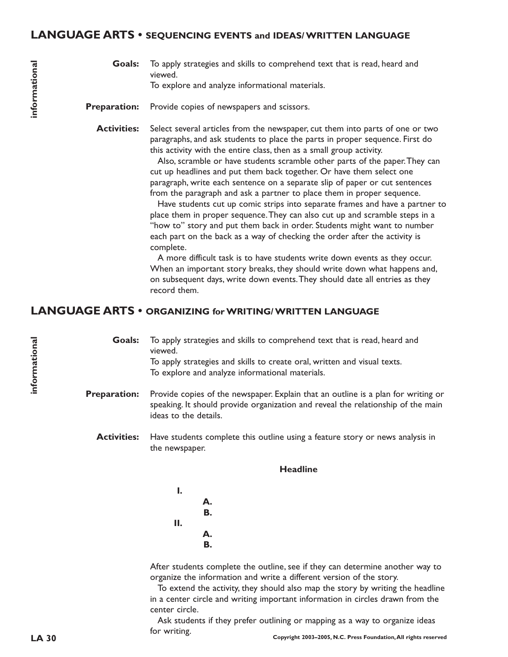#### **LANGUAGE ARTS • SEQUENCING EVENTS and IDEAS/ WRITTEN LANGUAGE**

To apply strategies and skills to comprehend text that is read, heard and viewed. To explore and analyze informational materials. **Goals:**

Provide copies of newspapers and scissors. **Preparation:**

Select several articles from the newspaper, cut them into parts of one or two paragraphs, and ask students to place the parts in proper sequence. First do this activity with the entire class, then as a small group activity. **Activities:**

> Also, scramble or have students scramble other parts of the paper.They can cut up headlines and put them back together. Or have them select one paragraph, write each sentence on a separate slip of paper or cut sentences from the paragraph and ask a partner to place them in proper sequence.

Have students cut up comic strips into separate frames and have a partner to place them in proper sequence.They can also cut up and scramble steps in a "how to" story and put them back in order. Students might want to number each part on the back as a way of checking the order after the activity is complete.

A more difficult task is to have students write down events as they occur. When an important story breaks, they should write down what happens and, on subsequent days, write down events.They should date all entries as they record them.

#### **LANGUAGE ARTS • ORGANIZING for WRITING/ WRITTEN LANGUAGE**

To apply strategies and skills to comprehend text that is read, heard and viewed. To apply strategies and skills to create oral, written and visual texts. To explore and analyze informational materials. **Goals:**

- Provide copies of the newspaper. Explain that an outline is a plan for writing or speaking. It should provide organization and reveal the relationship of the main ideas to the details. **Preparation:**
	- Have students complete this outline using a feature story or news analysis in the newspaper. **Activities:**

#### **Headline**

**I. A. B. II. A. B.**

After students complete the outline, see if they can determine another way to organize the information and write a different version of the story.

To extend the activity, they should also map the story by writing the headline in a center circle and writing important information in circles drawn from the center circle.

**LA 30 Copyright 2003–2005, N.C. Press Foundation,All rights reserved** Ask students if they prefer outlining or mapping as a way to organize ideas for writing.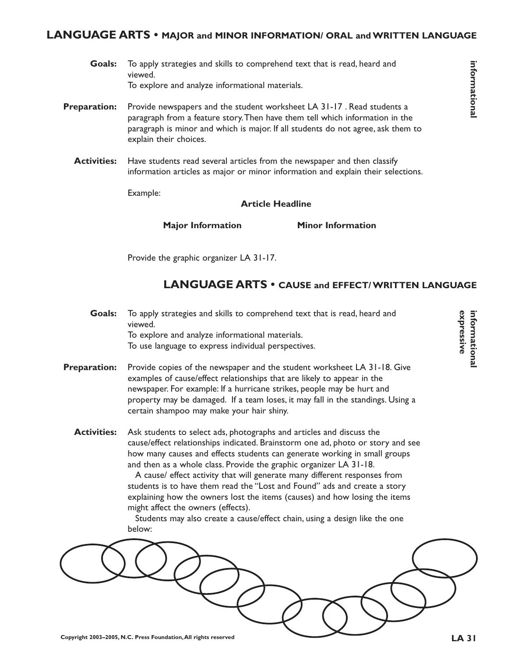#### **LANGUAGE ARTS • MAJOR and MINOR INFORMATION/ ORAL and WRITTEN LANGUAGE**

- To apply strategies and skills to comprehend text that is read, heard and viewed. To explore and analyze informational materials. **Goals:**
- Provide newspapers and the student worksheet LA 31-17 . Read students a paragraph from a feature story.Then have them tell which information in the paragraph is minor and which is major. If all students do not agree, ask them to explain their choices. **Preparation:**
	- Have students read several articles from the newspaper and then classify information articles as major or minor information and explain their selections. **Activities:**

Example:

#### **Article Headline**

**Major Information Minor Information**

Provide the graphic organizer LA 31-17.

# **LANGUAGE ARTS • CAUSE and EFFECT/ WRITTEN LANGUAGE**

- To apply strategies and skills to comprehend text that is read, heard and viewed. To explore and analyze informational materials. To use language to express individual perspectives. **Goals:**
- Provide copies of the newspaper and the student worksheet LA 31-18. Give examples of cause/effect relationships that are likely to appear in the newspaper. For example: If a hurricane strikes, people may be hurt and property may be damaged. If a team loses, it may fall in the standings. Using a certain shampoo may make your hair shiny. **Preparation:**
	- Ask students to select ads, photographs and articles and discuss the cause/effect relationships indicated. Brainstorm one ad, photo or story and see how many causes and effects students can generate working in small groups and then as a whole class. Provide the graphic organizer LA 31-18. **Activities:**

A cause/ effect activity that will generate many different responses from students is to have them read the "Lost and Found" ads and create a story explaining how the owners lost the items (causes) and how losing the items might affect the owners (effects).

Students may also create a cause/effect chain, using a design like the one below:



**informational**

informational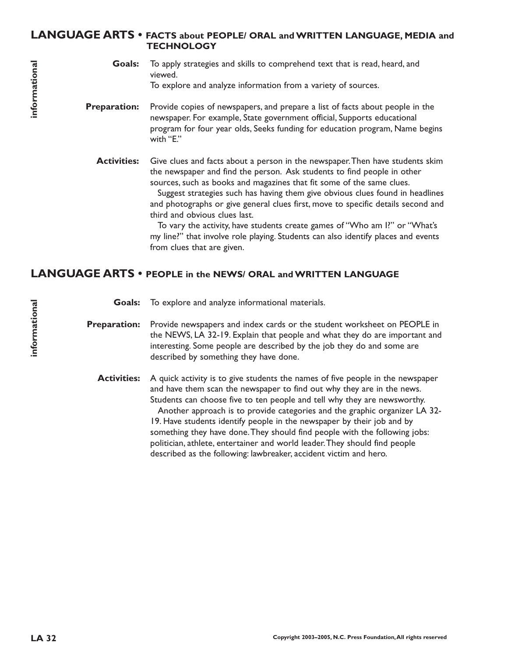#### **LANGUAGE ARTS • FACTS about PEOPLE/ ORAL and WRITTEN LANGUAGE, MEDIA and TECHNOLOGY**

- To apply strategies and skills to comprehend text that is read, heard, and viewed. To explore and analyze information from a variety of sources. **Goals:**
- Provide copies of newspapers, and prepare a list of facts about people in the newspaper. For example, State government official, Supports educational program for four year olds, Seeks funding for education program, Name begins with "E." **Preparation:**

Give clues and facts about a person in the newspaper.Then have students skim the newspaper and find the person. Ask students to find people in other sources, such as books and magazines that fit some of the same clues. **Activities:**

> Suggest strategies such has having them give obvious clues found in headlines and photographs or give general clues first, move to specific details second and third and obvious clues last.

To vary the activity, have students create games of "Who am I?" or "What's my line?" that involve role playing. Students can also identify places and events from clues that are given.

#### **LANGUAGE ARTS • PEOPLE in the NEWS/ ORAL and WRITTEN LANGUAGE**

**Goals:** To explore and analyze informational materials.

**Preparation:** Provide newspapers and index cards or the student worksheet on PEOPLE in the NEWS, LA 32-19. Explain that people and what they do are important and interesting. Some people are described by the job they do and some are described by something they have done.

**Activities:** A quick activity is to give students the names of five people in the newspaper and have them scan the newspaper to find out why they are in the news. Students can choose five to ten people and tell why they are newsworthy. Another approach is to provide categories and the graphic organizer LA 32- 19. Have students identify people in the newspaper by their job and by something they have done.They should find people with the following jobs: politician, athlete, entertainer and world leader.They should find people described as the following: lawbreaker, accident victim and hero.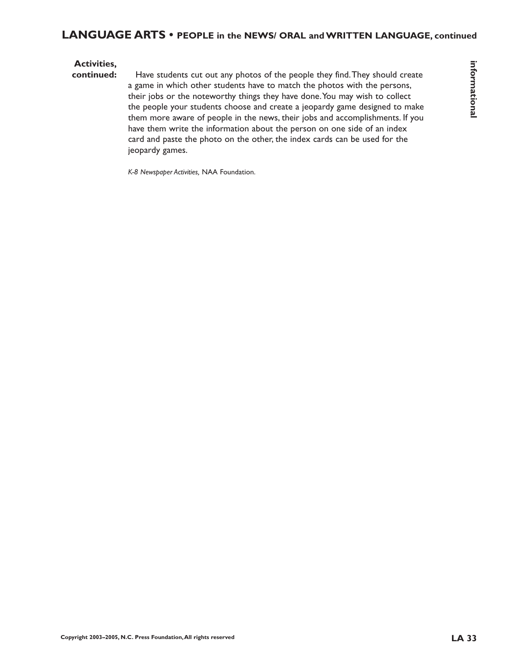#### **Activities,**

**Convictions,**<br>
Contributes 2003–2005, N.C. Press Foundation, All rights response to the photon control control control<br>  $\frac{1}{2}$  ( $\frac{1}{2}$  ( $\frac{1}{2}$  ( $\frac{1}{2}$  ( $\frac{1}{2}$  ( $\frac{1}{2}$  ( $\frac{1}{2}$  ( $\frac{1}{2}$  ( $\frac{1}{2}$  (**continued:** Have students cut out any photos of the people they find.They should create a game in which other students have to match the photos with the persons, their jobs or the noteworthy things they have done.You may wish to collect the people your students choose and create a jeopardy game designed to make them more aware of people in the news, their jobs and accomplishments. If you have them write the information about the person on one side of an index card and paste the photo on the other, the index cards can be used for the jeopardy games.

*K-8 Newspaper Activities,* NAA Foundation.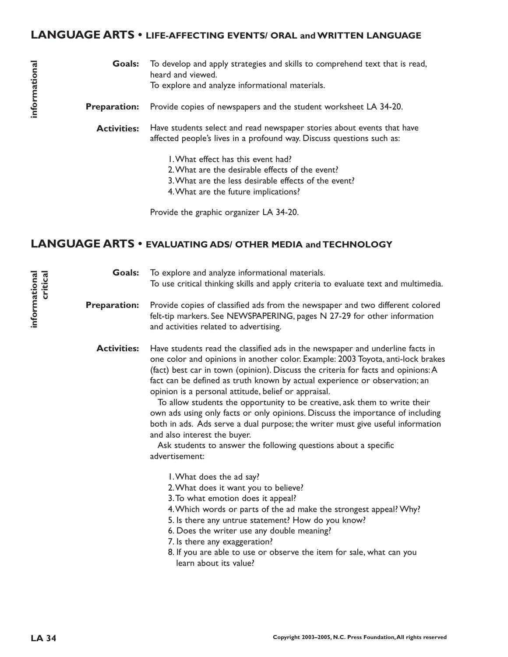#### **LANGUAGE ARTS • LIFE-AFFECTING EVENTS/ ORAL and WRITTEN LANGUAGE**

- To develop and apply strategies and skills to comprehend text that is read, heard and viewed. To explore and analyze informational materials. **Goals:**
- Provide copies of newspapers and the student worksheet LA 34-20. **Preparation:**
	- Have students select and read newspaper stories about events that have affected people's lives in a profound way. Discuss questions such as: **Activities:**
		- 1.What effect has this event had?
		- 2.What are the desirable effects of the event?
		- 3.What are the less desirable effects of the event?

4.What are the future implications?

Provide the graphic organizer LA 34-20.

## **LANGUAGE ARTS • EVALUATING ADS/ OTHER MEDIA and TECHNOLOGY**

| <b>Goals:</b><br>informational<br>critica<br><b>Preparation:</b><br><b>Activities:</b> | To explore and analyze informational materials.<br>To use critical thinking skills and apply criteria to evaluate text and multimedia. |                                                                                                                                                                                                                                                                                                                                                                                                                                                                                                                                                                                                                                                                                                                                                                   |
|----------------------------------------------------------------------------------------|----------------------------------------------------------------------------------------------------------------------------------------|-------------------------------------------------------------------------------------------------------------------------------------------------------------------------------------------------------------------------------------------------------------------------------------------------------------------------------------------------------------------------------------------------------------------------------------------------------------------------------------------------------------------------------------------------------------------------------------------------------------------------------------------------------------------------------------------------------------------------------------------------------------------|
|                                                                                        |                                                                                                                                        | Provide copies of classified ads from the newspaper and two different colored<br>felt-tip markers. See NEWSPAPERING, pages N 27-29 for other information<br>and activities related to advertising.                                                                                                                                                                                                                                                                                                                                                                                                                                                                                                                                                                |
|                                                                                        |                                                                                                                                        | Have students read the classified ads in the newspaper and underline facts in<br>one color and opinions in another color. Example: 2003 Toyota, anti-lock brakes<br>(fact) best car in town (opinion). Discuss the criteria for facts and opinions: A<br>fact can be defined as truth known by actual experience or observation; an<br>opinion is a personal attitude, belief or appraisal.<br>To allow students the opportunity to be creative, ask them to write their<br>own ads using only facts or only opinions. Discuss the importance of including<br>both in ads. Ads serve a dual purpose; the writer must give useful information<br>and also interest the buyer.<br>Ask students to answer the following questions about a specific<br>advertisement: |
|                                                                                        |                                                                                                                                        | I. What does the ad say?<br>2. What does it want you to believe?<br>3. To what emotion does it appeal?<br>4. Which words or parts of the ad make the strongest appeal? Why?<br>5. Is there any untrue statement? How do you know?<br>6. Does the writer use any double meaning?<br>7. Is there any exaggeration?<br>8. If you are able to use or observe the item for sale, what can you<br>learn about its value?                                                                                                                                                                                                                                                                                                                                                |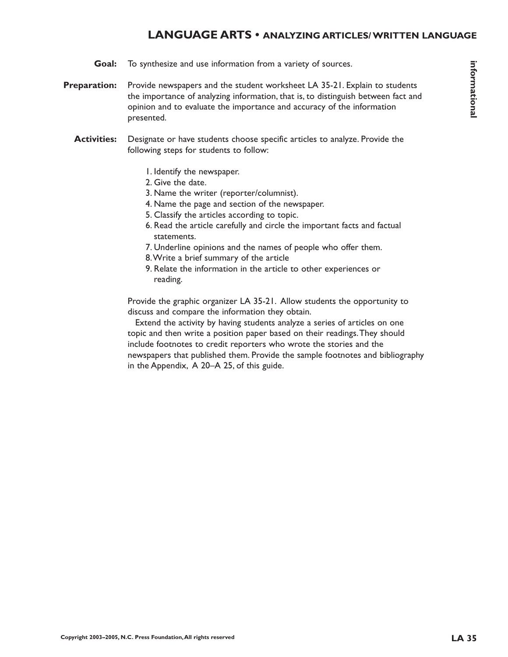### **LANGUAGE ARTS • ANALYZING ARTICLES/ WRITTEN LANGUAGE**

- To synthesize and use information from a variety of sources. **Goal:**
- Provide newspapers and the student worksheet LA 35-21. Explain to students the importance of analyzing information, that is, to distinguish between fact and opinion and to evaluate the importance and accuracy of the information presented. **Preparation:**
	- Designate or have students choose specific articles to analyze. Provide the following steps for students to follow: **Activities:**
		- 1. Identify the newspaper.
		- 2. Give the date.
		- 3. Name the writer (reporter/columnist).
		- 4. Name the page and section of the newspaper.
		- 5. Classify the articles according to topic.
		- 6. Read the article carefully and circle the important facts and factual statements.
		- 7. Underline opinions and the names of people who offer them.
		- 8.Write a brief summary of the article
		- 9. Relate the information in the article to other experiences or reading.

Provide the graphic organizer LA 35-21. Allow students the opportunity to discuss and compare the information they obtain.

Extend the activity by having students analyze a series of articles on one topic and then write a position paper based on their readings.They should include footnotes to credit reporters who wrote the stories and the newspapers that published them. Provide the sample footnotes and bibliography in the Appendix, A 20–A 25, of this guide.

**informational**

informational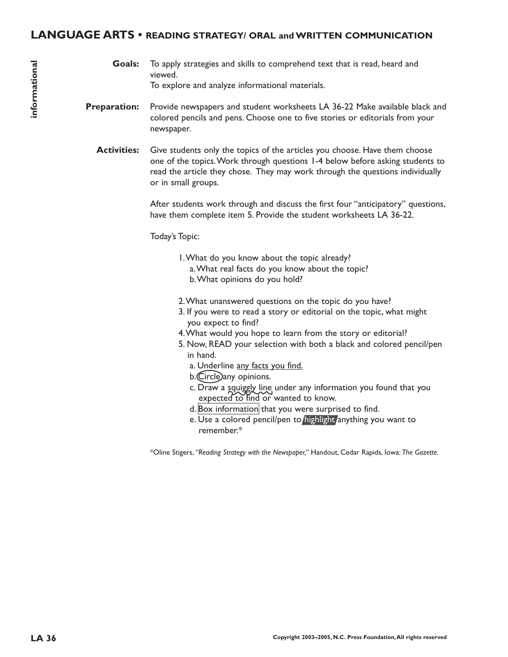### **LANGUAGE ARTS • READING STRATEGY/ ORAL and WRITTEN COMMUNICATION**

- To apply strategies and skills to comprehend text that is read, heard and viewed. To explore and analyze informational materials. **Goals:**
- Provide newspapers and student worksheets LA 36-22 Make available black and colored pencils and pens. Choose one to five stories or editorials from your newspaper. **Preparation:**
	- Give students only the topics of the articles you choose. Have them choose one of the topics.Work through questions 1-4 below before asking students to read the article they chose. They may work through the questions individually or in small groups. **Activities:**

After students work through and discuss the first four "anticipatory" questions, have them complete item 5. Provide the student worksheets LA 36-22.

Today's Topic:

- 1.What do you know about the topic already?
	- a.What real facts do you know about the topic? b.What opinions do you hold?
- 2.What unanswered questions on the topic do you have?
- 3. If you were to read a story or editorial on the topic, what might you expect to find?
- 4.What would you hope to learn from the story or editorial?
- 5. Now, READ your selection with both a black and colored pencil/pen in hand.
	- a. Underline any facts you find.
	- b. Circle any opinions.
	- c. Draw a squiggly line under any information you found that you expected to find or wanted to know.
	- $d.$  Box information that you were surprised to find.
	- e. Use a colored pencil/pen to highlight anything you want to remember.\*

\*Oline Stigers, *"Reading Strategy with the Newspaper,"* Handout, Cedar Rapids, Iowa: *The Gazette.*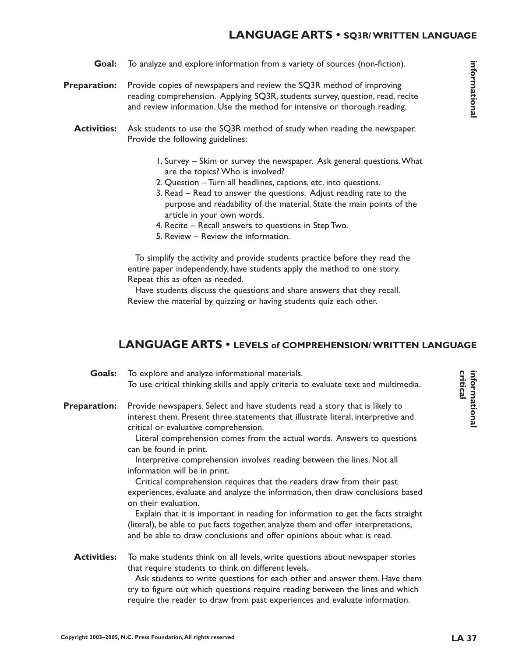### **LANGUAGE ARTS • SQ3R/ WRITTEN LANGUAGE**

- To analyze and explore information from a variety of sources (non-fiction). **Goal:**
- Provide copies of newspapers and review the SQ3R method of improving reading comprehension. Applying SQ3R, students survey, question, read, recite and review information. Use the method for intensive or thorough reading. **Preparation:**
	- Ask students to use the SQ3R method of study when reading the newspaper. Provide the following guidelines: **Activities:**
		- 1. Survey Skim or survey the newspaper. Ask general questions.What are the topics? Who is involved?
		- 2. Question Turn all headlines, captions, etc. into questions.
		- 3. Read Read to answer the questions. Adjust reading rate to the purpose and readability of the material. State the main points of the article in your own words.
		- 4. Recite Recall answers to questions in Step Two.
		- 5. Review Review the information.

To simplify the activity and provide students practice before they read the entire paper independently, have students apply the method to one story. Repeat this as often as needed.

Have students discuss the questions and share answers that they recall. Review the material by quizzing or having students quiz each other.

### **LANGUAGE ARTS • LEVELS of COMPREHENSION/ WRITTEN LANGUAGE**

| Goals:              | To explore and analyze informational materials.                                                                                                                                                                                                                                                                |  |  |
|---------------------|----------------------------------------------------------------------------------------------------------------------------------------------------------------------------------------------------------------------------------------------------------------------------------------------------------------|--|--|
|                     | To use critical thinking skills and apply criteria to evaluate text and multimedia.                                                                                                                                                                                                                            |  |  |
| <b>Preparation:</b> | Provide newspapers. Select and have students read a story that is likely to<br>interest them. Present three statements that illustrate literal, interpretive and<br>critical or evaluative comprehension.<br>Literal comprehension comes from the actual words. Answers to questions<br>can be found in print. |  |  |
|                     | Interpretive comprehension involves reading between the lines. Not all<br>information will be in print.                                                                                                                                                                                                        |  |  |
|                     | Critical comprehension requires that the readers draw from their past<br>experiences, evaluate and analyze the information, then draw conclusions based<br>on their evaluation.                                                                                                                                |  |  |
|                     | Explain that it is important in reading for information to get the facts straight<br>(literal), be able to put facts together, analyze them and offer interpretations,<br>and be able to draw conclusions and offer opinions about what is read.                                                               |  |  |
| <b>Activities:</b>  | To make students think on all levels, write questions about newspaper stories<br>that require students to think on different levels.                                                                                                                                                                           |  |  |
|                     | Ask students to write questions for each other and answer them. Have them<br>try to figure out which questions require reading between the lines and which<br>require the reader to draw from past experiences and evaluate information.                                                                       |  |  |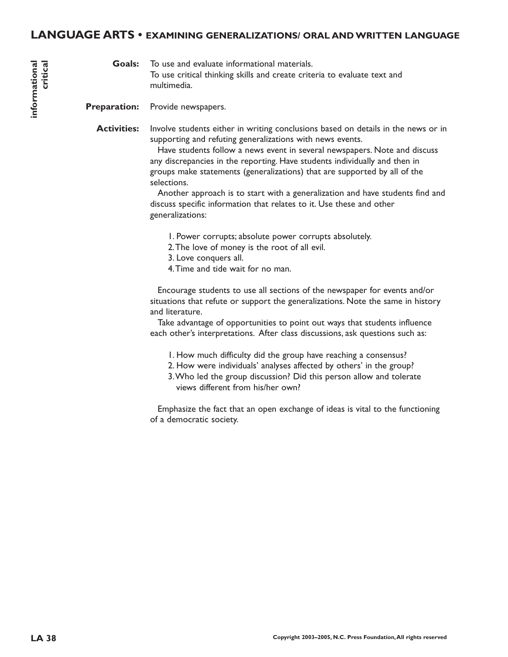### **LANGUAGE ARTS • EXAMINING GENERALIZATIONS/ ORAL AND WRITTEN LANGUAGE**

To use and evaluate informational materials. To use critical thinking skills and create criteria to evaluate text and multimedia. **Goals:**

Provide newspapers. **Preparation:**

Involve students either in writing conclusions based on details in the news or in supporting and refuting generalizations with news events. **Activities:**

> Have students follow a news event in several newspapers. Note and discuss any discrepancies in the reporting. Have students individually and then in groups make statements (generalizations) that are supported by all of the selections.

Another approach is to start with a generalization and have students find and discuss specific information that relates to it. Use these and other generalizations:

- 1. Power corrupts; absolute power corrupts absolutely.
- 2.The love of money is the root of all evil.
- 3. Love conquers all.
- 4.Time and tide wait for no man.

Encourage students to use all sections of the newspaper for events and/or situations that refute or support the generalizations. Note the same in history and literature.

Take advantage of opportunities to point out ways that students influence each other's interpretations. After class discussions, ask questions such as:

- 1. How much difficulty did the group have reaching a consensus?
- 2. How were individuals' analyses affected by others' in the group?
- 3.Who led the group discussion? Did this person allow and tolerate views different from his/her own?

Emphasize the fact that an open exchange of ideas is vital to the functioning of a democratic society.

**informational**

nformational

**critical**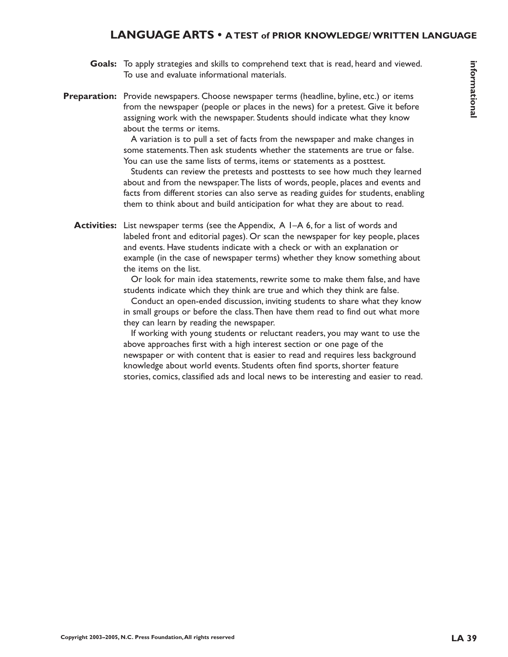### **LANGUAGE ARTS • A TEST of PRIOR KNOWLEDGE/ WRITTEN LANGUAGE**

- Goals: To apply strategies and skills to comprehend text that is read, heard and viewed. To use and evaluate informational materials.
- Preparation: Provide newspapers. Choose newspaper terms (headline, byline, etc.) or items from the newspaper (people or places in the news) for a pretest. Give it before assigning work with the newspaper. Students should indicate what they know about the terms or items.

A variation is to pull a set of facts from the newspaper and make changes in some statements.Then ask students whether the statements are true or false. You can use the same lists of terms, items or statements as a posttest.

Students can review the pretests and posttests to see how much they learned about and from the newspaper.The lists of words, people, places and events and facts from different stories can also serve as reading guides for students, enabling them to think about and build anticipation for what they are about to read.

**Activities:** List newspaper terms (see the Appendix, A I–A 6, for a list of words and labeled front and editorial pages). Or scan the newspaper for key people, places and events. Have students indicate with a check or with an explanation or example (in the case of newspaper terms) whether they know something about the items on the list.

> Or look for main idea statements, rewrite some to make them false, and have students indicate which they think are true and which they think are false.

> Conduct an open-ended discussion, inviting students to share what they know in small groups or before the class.Then have them read to find out what more they can learn by reading the newspaper.

> If working with young students or reluctant readers, you may want to use the above approaches first with a high interest section or one page of the newspaper or with content that is easier to read and requires less background knowledge about world events. Students often find sports, shorter feature stories, comics, classified ads and local news to be interesting and easier to read.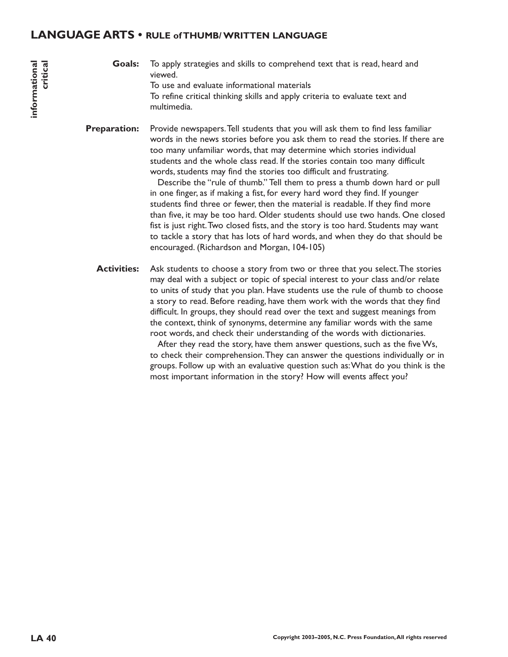### **LANGUAGE ARTS • RULE of THUMB/ WRITTEN LANGUAGE**

To apply strategies and skills to comprehend text that is read, heard and viewed. To use and evaluate informational materials To refine critical thinking skills and apply criteria to evaluate text and multimedia. **Goals:**

Provide newspapers.Tell students that you will ask them to find less familiar words in the news stories before you ask them to read the stories. If there are too many unfamiliar words, that may determine which stories individual students and the whole class read. If the stories contain too many difficult words, students may find the stories too difficult and frustrating. **Preparation:**

Describe the "rule of thumb." Tell them to press a thumb down hard or pull in one finger, as if making a fist, for every hard word they find. If younger students find three or fewer, then the material is readable. If they find more than five, it may be too hard. Older students should use two hands. One closed fist is just right. Two closed fists, and the story is too hard. Students may want to tackle a story that has lots of hard words, and when they do that should be encouraged. (Richardson and Morgan, 104-105)

Ask students to choose a story from two or three that you select.The stories may deal with a subject or topic of special interest to your class and/or relate to units of study that you plan. Have students use the rule of thumb to choose a story to read. Before reading, have them work with the words that they find difficult. In groups, they should read over the text and suggest meanings from the context, think of synonyms, determine any familiar words with the same root words, and check their understanding of the words with dictionaries. **Activities:**

After they read the story, have them answer questions, such as the five Ws, to check their comprehension.They can answer the questions individually or in groups. Follow up with an evaluative question such as:What do you think is the most important information in the story? How will events affect you?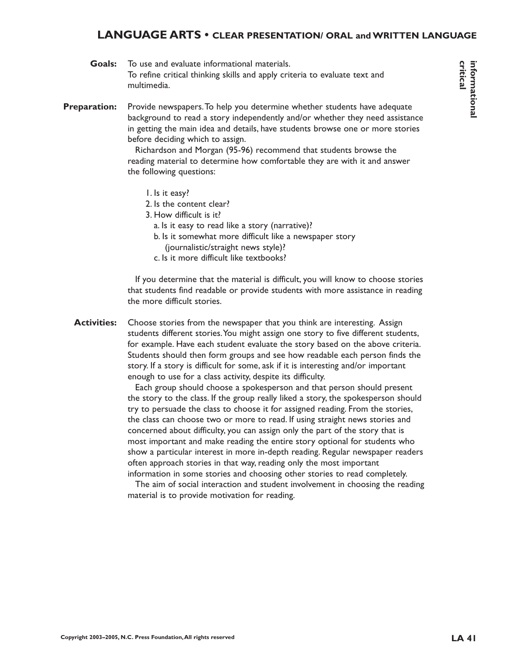## **LANGUAGE ARTS • CLEAR PRESENTATION/ ORAL and WRITTEN LANGUAGE**

| Goals: | To use and evaluate informational materials.                               |  |  |
|--------|----------------------------------------------------------------------------|--|--|
|        | To refine critical thinking skills and apply criteria to evaluate text and |  |  |
|        | multimedia.                                                                |  |  |

Provide newspapers.To help you determine whether students have adequate background to read a story independently and/or whether they need assistance in getting the main idea and details, have students browse one or more stories before deciding which to assign. **Preparation:**

> Richardson and Morgan (95-96) recommend that students browse the reading material to determine how comfortable they are with it and answer the following questions:

- 1. Is it easy?
- 2. Is the content clear?
- 3. How difficult is it?
	- a. Is it easy to read like a story (narrative)?
	- b. Is it somewhat more difficult like a newspaper story (journalistic/straight news style)?
	- c. Is it more difficult like textbooks?

If you determine that the material is difficult, you will know to choose stories that students find readable or provide students with more assistance in reading the more difficult stories.

Choose stories from the newspaper that you think are interesting. Assign students different stories.You might assign one story to five different students, for example. Have each student evaluate the story based on the above criteria. Students should then form groups and see how readable each person finds the story. If a story is difficult for some, ask if it is interesting and/or important enough to use for a class activity, despite its difficulty. **Activities:**

> Each group should choose a spokesperson and that person should present the story to the class. If the group really liked a story, the spokesperson should try to persuade the class to choose it for assigned reading. From the stories, the class can choose two or more to read. If using straight news stories and concerned about difficulty, you can assign only the part of the story that is most important and make reading the entire story optional for students who show a particular interest in more in-depth reading. Regular newspaper readers often approach stories in that way, reading only the most important information in some stories and choosing other stories to read completely.

> The aim of social interaction and student involvement in choosing the reading material is to provide motivation for reading.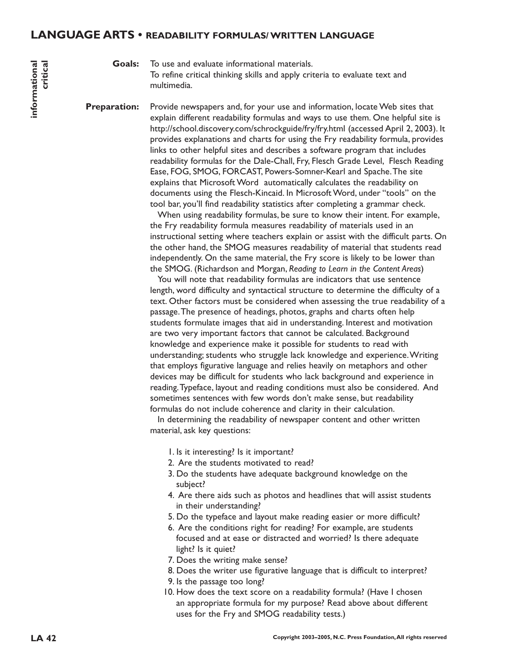### **LANGUAGE ARTS • READABILITY FORMULAS/ WRITTEN LANGUAGE**

To use and evaluate informational materials. **Goals:**

> To refine critical thinking skills and apply criteria to evaluate text and multimedia.

Provide newspapers and, for your use and information, locate Web sites that explain different readability formulas and ways to use them. One helpful site is http://school.discovery.com/schrockguide/fry/fry.html (accessed April 2, 2003). It provides explanations and charts for using the Fry readability formula, provides links to other helpful sites and describes a software program that includes readability formulas for the Dale-Chall, Fry, Flesch Grade Level, Flesch Reading Ease, FOG, SMOG, FORCAST, Powers-Somner-Kearl and Spache.The site explains that Microsoft Word automatically calculates the readability on documents using the Flesch-Kincaid. In Microsoft Word, under "tools" on the tool bar, you'll find readability statistics after completing a grammar check. **Preparation:**

> When using readability formulas, be sure to know their intent. For example, the Fry readability formula measures readability of materials used in an instructional setting where teachers explain or assist with the difficult parts. On the other hand, the SMOG measures readability of material that students read independently. On the same material, the Fry score is likely to be lower than the SMOG. (Richardson and Morgan, *Reading to Learn in the Content Areas*)

> You will note that readability formulas are indicators that use sentence length, word difficulty and syntactical structure to determine the difficulty of a text. Other factors must be considered when assessing the true readability of a passage.The presence of headings, photos, graphs and charts often help students formulate images that aid in understanding. Interest and motivation are two very important factors that cannot be calculated. Background knowledge and experience make it possible for students to read with understanding; students who struggle lack knowledge and experience.Writing that employs figurative language and relies heavily on metaphors and other devices may be difficult for students who lack background and experience in reading.Typeface, layout and reading conditions must also be considered. And sometimes sentences with few words don't make sense, but readability formulas do not include coherence and clarity in their calculation.

In determining the readability of newspaper content and other written material, ask key questions:

- 1. Is it interesting? Is it important?
- 2. Are the students motivated to read?
- 3. Do the students have adequate background knowledge on the subject?
- 4. Are there aids such as photos and headlines that will assist students in their understanding?
- 5. Do the typeface and layout make reading easier or more difficult?
- 6. Are the conditions right for reading? For example, are students focused and at ease or distracted and worried? Is there adequate light? Is it quiet?
- 7. Does the writing make sense?
- 8. Does the writer use figurative language that is difficult to interpret?
- 9. Is the passage too long?
- 10. How does the text score on a readability formula? (Have I chosen an appropriate formula for my purpose? Read above about different uses for the Fry and SMOG readability tests.)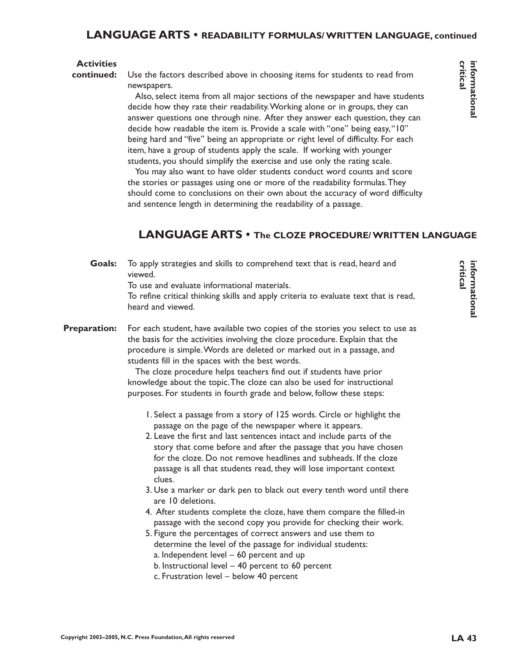### **LANGUAGE ARTS • READABILITY FORMULAS/ WRITTEN LANGUAGE, continued**

### **Activities**

**continued:**

Use the factors described above in choosing items for students to read from newspapers.

Also, select items from all major sections of the newspaper and have students decide how they rate their readability.Working alone or in groups, they can answer questions one through nine. After they answer each question, they can decide how readable the item is. Provide a scale with "one" being easy,"10" being hard and "five" being an appropriate or right level of difficulty. For each item, have a group of students apply the scale. If working with younger students, you should simplify the exercise and use only the rating scale.

You may also want to have older students conduct word counts and score the stories or passages using one or more of the readability formulas.They should come to conclusions on their own about the accuracy of word difficulty and sentence length in determining the readability of a passage.

# **LANGUAGE ARTS • The CLOZE PROCEDURE/ WRITTEN LANGUAGE**

| <b>Goals:</b>       | To apply strategies and skills to comprehend text that is read, heard and<br>viewed.<br>To use and evaluate informational materials.<br>To refine critical thinking skills and apply criteria to evaluate text that is read,<br>heard and viewed.                                                                                                                                                                                                                                                                                                                                                                                                                                                                                                                                                               |
|---------------------|-----------------------------------------------------------------------------------------------------------------------------------------------------------------------------------------------------------------------------------------------------------------------------------------------------------------------------------------------------------------------------------------------------------------------------------------------------------------------------------------------------------------------------------------------------------------------------------------------------------------------------------------------------------------------------------------------------------------------------------------------------------------------------------------------------------------|
| <b>Preparation:</b> | For each student, have available two copies of the stories you select to use as<br>the basis for the activities involving the cloze procedure. Explain that the<br>procedure is simple. Words are deleted or marked out in a passage, and<br>students fill in the spaces with the best words.<br>The cloze procedure helps teachers find out if students have prior<br>knowledge about the topic. The cloze can also be used for instructional<br>purposes. For students in fourth grade and below, follow these steps:                                                                                                                                                                                                                                                                                         |
|                     | 1. Select a passage from a story of 125 words. Circle or highlight the<br>passage on the page of the newspaper where it appears.<br>2. Leave the first and last sentences intact and include parts of the<br>story that come before and after the passage that you have chosen<br>for the cloze. Do not remove headlines and subheads. If the cloze<br>passage is all that students read, they will lose important context<br>clues.<br>3. Use a marker or dark pen to black out every tenth word until there<br>are 10 deletions.<br>4. After students complete the cloze, have them compare the filled-in<br>passage with the second copy you provide for checking their work.<br>5. Figure the percentages of correct answers and use them to<br>determine the level of the passage for individual students: |

- a. Independent level 60 percent and up
- b. Instructional level 40 percent to 60 percent
- c. Frustration level below 40 percent

**critical informational**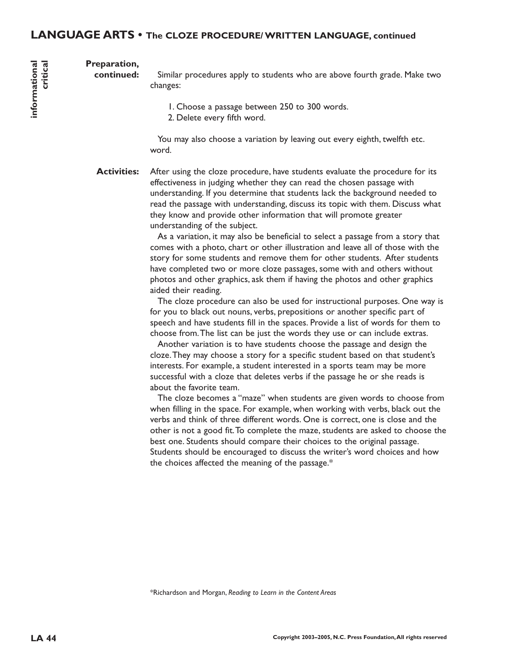### **Preparation,**

**informational**

nformational

**critical**

**continued:**

Similar procedures apply to students who are above fourth grade. Make two changes:

1. Choose a passage between 250 to 300 words.

2. Delete every fifth word.

You may also choose a variation by leaving out every eighth, twelfth etc. word.

After using the cloze procedure, have students evaluate the procedure for its effectiveness in judging whether they can read the chosen passage with understanding. If you determine that students lack the background needed to read the passage with understanding, discuss its topic with them. Discuss what they know and provide other information that will promote greater understanding of the subject. **Activities:**

> As a variation, it may also be beneficial to select a passage from a story that comes with a photo, chart or other illustration and leave all of those with the story for some students and remove them for other students. After students have completed two or more cloze passages, some with and others without photos and other graphics, ask them if having the photos and other graphics aided their reading.

The cloze procedure can also be used for instructional purposes. One way is for you to black out nouns, verbs, prepositions or another specific part of speech and have students fill in the spaces. Provide a list of words for them to choose from.The list can be just the words they use or can include extras.

Another variation is to have students choose the passage and design the cloze.They may choose a story for a specific student based on that student's interests. For example, a student interested in a sports team may be more successful with a cloze that deletes verbs if the passage he or she reads is about the favorite team.

The cloze becomes a "maze" when students are given words to choose from when filling in the space. For example, when working with verbs, black out the verbs and think of three different words. One is correct, one is close and the other is not a good fit.To complete the maze, students are asked to choose the best one. Students should compare their choices to the original passage. Students should be encouraged to discuss the writer's word choices and how the choices affected the meaning of the passage.\*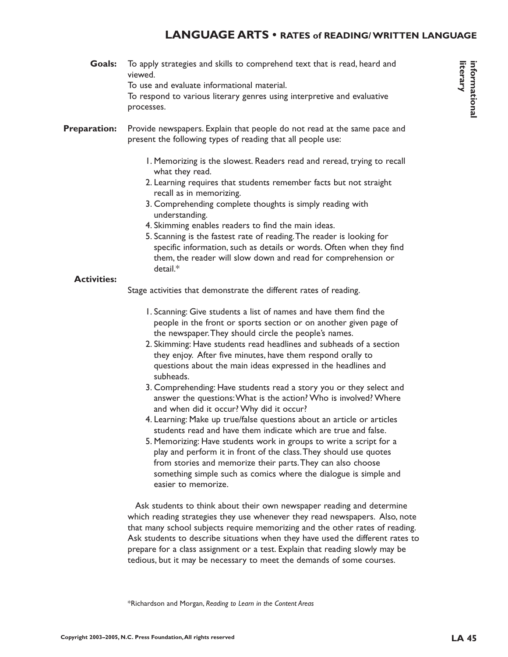## **LANGUAGE ARTS • RATES of READING/ WRITTEN LANGUAGE**

- To apply strategies and skills to comprehend text that is read, heard and viewed. To use and evaluate informational material. To respond to various literary genres using interpretive and evaluative processes. Provide newspapers. Explain that people do not read at the same pace and present the following types of reading that all people use: 1. Memorizing is the slowest. Readers read and reread, trying to recall what they read. 2. Learning requires that students remember facts but not straight recall as in memorizing. 3. Comprehending complete thoughts is simply reading with understanding. 4. Skimming enables readers to find the main ideas. 5. Scanning is the fastest rate of reading.The reader is looking for specific information, such as details or words. Often when they find them, the reader will slow down and read for comprehension or detail.\* Stage activities that demonstrate the different rates of reading. 1. Scanning: Give students a list of names and have them find the people in the front or sports section or on another given page of the newspaper.They should circle the people's names. 2. Skimming: Have students read headlines and subheads of a section they enjoy. After five minutes, have them respond orally to questions about the main ideas expressed in the headlines and subheads. **Goals: Preparation: Activities:**
	- 3. Comprehending: Have students read a story you or they select and answer the questions:What is the action? Who is involved? Where and when did it occur? Why did it occur?
	- 4. Learning: Make up true/false questions about an article or articles students read and have them indicate which are true and false.
	- 5. Memorizing: Have students work in groups to write a script for a play and perform it in front of the class.They should use quotes from stories and memorize their parts.They can also choose something simple such as comics where the dialogue is simple and easier to memorize.

Ask students to think about their own newspaper reading and determine which reading strategies they use whenever they read newspapers. Also, note that many school subjects require memorizing and the other rates of reading. Ask students to describe situations when they have used the different rates to prepare for a class assignment or a test. Explain that reading slowly may be tedious, but it may be necessary to meet the demands of some courses.

\*Richardson and Morgan, *Reading to Learn in the Content Areas*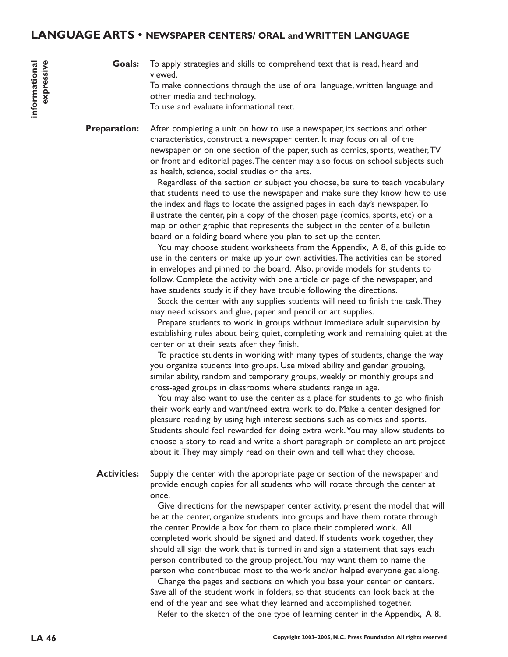### **LANGUAGE ARTS • NEWSPAPER CENTERS/ ORAL and WRITTEN LANGUAGE**

To apply strategies and skills to comprehend text that is read, heard and viewed. To make connections through the use of oral language, written language and other media and technology. To use and evaluate informational text. **Goals:**

After completing a unit on how to use a newspaper, its sections and other characteristics, construct a newspaper center. It may focus on all of the newspaper or on one section of the paper, such as comics, sports, weather,TV or front and editorial pages.The center may also focus on school subjects such as health, science, social studies or the arts. **Preparation:**

> Regardless of the section or subject you choose, be sure to teach vocabulary that students need to use the newspaper and make sure they know how to use the index and flags to locate the assigned pages in each day's newspaper.To illustrate the center, pin a copy of the chosen page (comics, sports, etc) or a map or other graphic that represents the subject in the center of a bulletin board or a folding board where you plan to set up the center.

> You may choose student worksheets from the Appendix, A 8, of this guide to use in the centers or make up your own activities.The activities can be stored in envelopes and pinned to the board. Also, provide models for students to follow. Complete the activity with one article or page of the newspaper, and have students study it if they have trouble following the directions.

Stock the center with any supplies students will need to finish the task.They may need scissors and glue, paper and pencil or art supplies.

Prepare students to work in groups without immediate adult supervision by establishing rules about being quiet, completing work and remaining quiet at the center or at their seats after they finish.

To practice students in working with many types of students, change the way you organize students into groups. Use mixed ability and gender grouping, similar ability, random and temporary groups, weekly or monthly groups and cross-aged groups in classrooms where students range in age.

You may also want to use the center as a place for students to go who finish their work early and want/need extra work to do. Make a center designed for pleasure reading by using high interest sections such as comics and sports. Students should feel rewarded for doing extra work.You may allow students to choose a story to read and write a short paragraph or complete an art project about it.They may simply read on their own and tell what they choose.

Supply the center with the appropriate page or section of the newspaper and provide enough copies for all students who will rotate through the center at once. **Activities:**

> Give directions for the newspaper center activity, present the model that will be at the center, organize students into groups and have them rotate through the center. Provide a box for them to place their completed work. All completed work should be signed and dated. If students work together, they should all sign the work that is turned in and sign a statement that says each person contributed to the group project.You may want them to name the person who contributed most to the work and/or helped everyone get along.

Change the pages and sections on which you base your center or centers. Save all of the student work in folders, so that students can look back at the end of the year and see what they learned and accomplished together.

Refer to the sketch of the one type of learning center in the Appendix, A 8.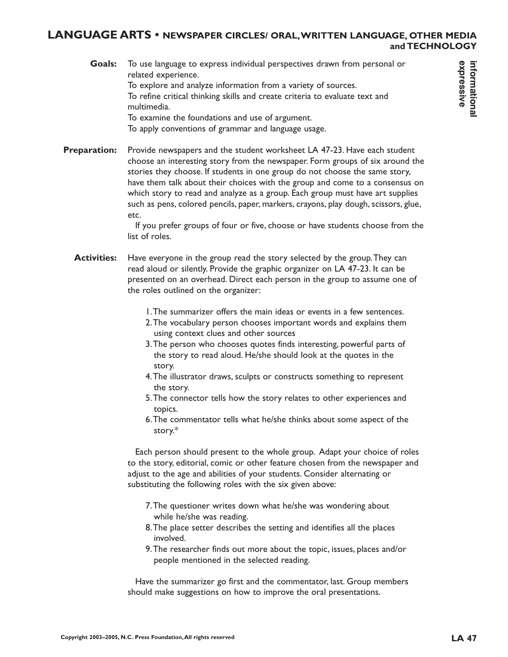### **LANGUAGE ARTS • NEWSPAPER CIRCLES/ ORAL,WRITTEN LANGUAGE, OTHER MEDIA and TECHNOLOGY**

To use language to express individual perspectives drawn from personal or related experience. To explore and analyze information from a variety of sources. To refine critical thinking skills and create criteria to evaluate text and multimedia. To examine the foundations and use of argument. To apply conventions of grammar and language usage. **Goals:**

Provide newspapers and the student worksheet LA 47-23. Have each student choose an interesting story from the newspaper. Form groups of six around the stories they choose. If students in one group do not choose the same story, have them talk about their choices with the group and come to a consensus on which story to read and analyze as a group. Each group must have art supplies such as pens, colored pencils, paper, markers, crayons, play dough, scissors, glue, etc. **Preparation:**

> If you prefer groups of four or five, choose or have students choose from the list of roles.

- Have everyone in the group read the story selected by the group.They can read aloud or silently. Provide the graphic organizer on LA 47-23. It can be presented on an overhead. Direct each person in the group to assume one of the roles outlined on the organizer: **Activities:**
	- 1.The summarizer offers the main ideas or events in a few sentences.
	- 2.The vocabulary person chooses important words and explains them using context clues and other sources
	- 3.The person who chooses quotes finds interesting, powerful parts of the story to read aloud. He/she should look at the quotes in the story.
	- 4.The illustrator draws, sculpts or constructs something to represent the story.
	- 5.The connector tells how the story relates to other experiences and topics.
	- 6.The commentator tells what he/she thinks about some aspect of the story.\*

Each person should present to the whole group. Adapt your choice of roles to the story, editorial, comic or other feature chosen from the newspaper and adjust to the age and abilities of your students. Consider alternating or substituting the following roles with the six given above:

- 7.The questioner writes down what he/she was wondering about while he/she was reading.
- 8.The place setter describes the setting and identifies all the places involved.
- 9.The researcher finds out more about the topic, issues, places and/or people mentioned in the selected reading.

Have the summarizer go first and the commentator, last. Group members should make suggestions on how to improve the oral presentations.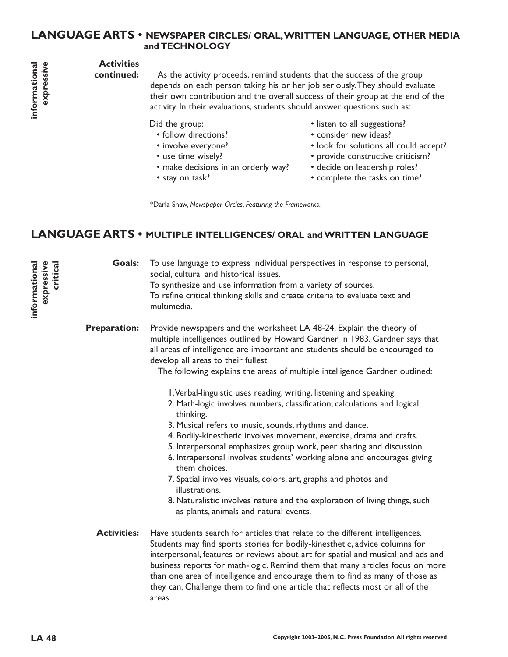### **LANGUAGE ARTS • NEWSPAPER CIRCLES/ ORAL,WRITTEN LANGUAGE, OTHER MEDIA and TECHNOLOGY**

### **Activities**

**continued:**

As the activity proceeds, remind students that the success of the group depends on each person taking his or her job seriously.They should evaluate their own contribution and the overall success of their group at the end of the activity. In their evaluations, students should answer questions such as:

Did the group:

- follow directions?
- involve everyone?
- use time wisely?
- make decisions in an orderly way?
- stay on task?
- listen to all suggestions?
- consider new ideas?
- look for solutions all could accept?
- provide constructive criticism?
- decide on leadership roles?
- complete the tasks on time?

\*Darla Shaw, *Newspaper Circles, Featuring the Frameworks.*

# **LANGUAGE ARTS • MULTIPLE INTELLIGENCES/ ORAL and WRITTEN LANGUAGE**

To use language to express individual perspectives in response to personal, social, cultural and historical issues. To synthesize and use information from a variety of sources. To refine critical thinking skills and create criteria to evaluate text and multimedia. **critical Goals:**

Provide newspapers and the worksheet LA 48-24. Explain the theory of multiple intelligences outlined by Howard Gardner in 1983. Gardner says that all areas of intelligence are important and students should be encouraged to develop all areas to their fullest. **Preparation:**

The following explains the areas of multiple intelligence Gardner outlined:

- 1.Verbal-linguistic uses reading, writing, listening and speaking.
- 2. Math-logic involves numbers, classification, calculations and logical thinking.
- 3. Musical refers to music, sounds, rhythms and dance.
- 4. Bodily-kinesthetic involves movement, exercise, drama and crafts.
- 5. Interpersonal emphasizes group work, peer sharing and discussion.
- 6. Intrapersonal involves students' working alone and encourages giving them choices.
- 7. Spatial involves visuals, colors, art, graphs and photos and illustrations.
- 8. Naturalistic involves nature and the exploration of living things, such as plants, animals and natural events.
- Have students search for articles that relate to the different intelligences. Students may find sports stories for bodily-kinesthetic, advice columns for interpersonal, features or reviews about art for spatial and musical and ads and business reports for math-logic. Remind them that many articles focus on more than one area of intelligence and encourage them to find as many of those as they can. Challenge them to find one article that reflects most or all of the areas. **Activities:**

expressive informational **informational expressive**

**informational expressive**

expressive informational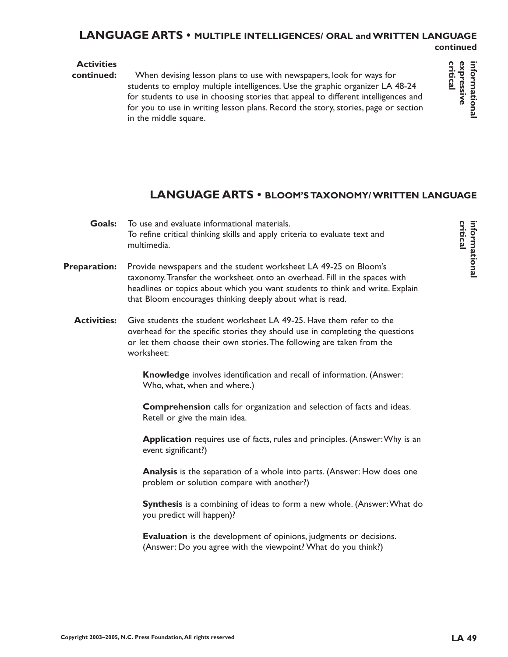### **LANGUAGE ARTS • MULTIPLE INTELLIGENCES/ ORAL and WRITTEN LANGUAGE continued**

### **Activities**

When devising lesson plans to use with newspapers, look for ways for students to employ multiple intelligences. Use the graphic organizer LA 48-24 for students to use in choosing stories that appeal to different intelligences and for you to use in writing lesson plans. Record the story, stories, page or section in the middle square. **continued:**

# **LANGUAGE ARTS • BLOOM'S TAXONOMY/ WRITTEN LANGUAGE**

- To use and evaluate informational materials. To refine critical thinking skills and apply criteria to evaluate text and multimedia. **Goals:**
- Provide newspapers and the student worksheet LA 49-25 on Bloom's taxonomy.Transfer the worksheet onto an overhead. Fill in the spaces with headlines or topics about which you want students to think and write. Explain that Bloom encourages thinking deeply about what is read. **Preparation:**
	- Give students the student worksheet LA 49-25. Have them refer to the overhead for the specific stories they should use in completing the questions or let them choose their own stories.The following are taken from the worksheet: **Activities:**

**Knowledge** involves identification and recall of information. (Answer: Who, what, when and where.)

**Comprehension** calls for organization and selection of facts and ideas. Retell or give the main idea.

**Application** requires use of facts, rules and principles. (Answer:Why is an event significant?)

**Analysis** is the separation of a whole into parts. (Answer: How does one problem or solution compare with another?)

**Synthesis** is a combining of ideas to form a new whole. (Answer:What do you predict will happen)?

**Evaluation** is the development of opinions, judgments or decisions. (Answer: Do you agree with the viewpoint? What do you think?)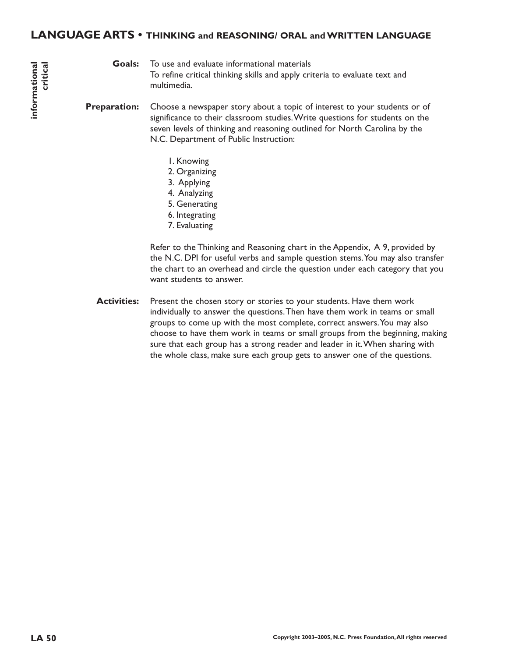### **LANGUAGE ARTS • THINKING and REASONING/ ORAL and WRITTEN LANGUAGE**

#### **Goals:**

To use and evaluate informational materials To refine critical thinking skills and apply criteria to evaluate text and multimedia.

Choose a newspaper story about a topic of interest to your students or of significance to their classroom studies.Write questions for students on the seven levels of thinking and reasoning outlined for North Carolina by the N.C. Department of Public Instruction: **Preparation:**

- 1. Knowing
- 2. Organizing
- 3. Applying
- 4. Analyzing
- 5. Generating
- 6. Integrating
- 7. Evaluating

Refer to the Thinking and Reasoning chart in the Appendix, A 9, provided by the N.C. DPI for useful verbs and sample question stems.You may also transfer the chart to an overhead and circle the question under each category that you want students to answer.

Present the chosen story or stories to your students. Have them work individually to answer the questions.Then have them work in teams or small groups to come up with the most complete, correct answers.You may also choose to have them work in teams or small groups from the beginning, making sure that each group has a strong reader and leader in it.When sharing with the whole class, make sure each group gets to answer one of the questions. **Activities:**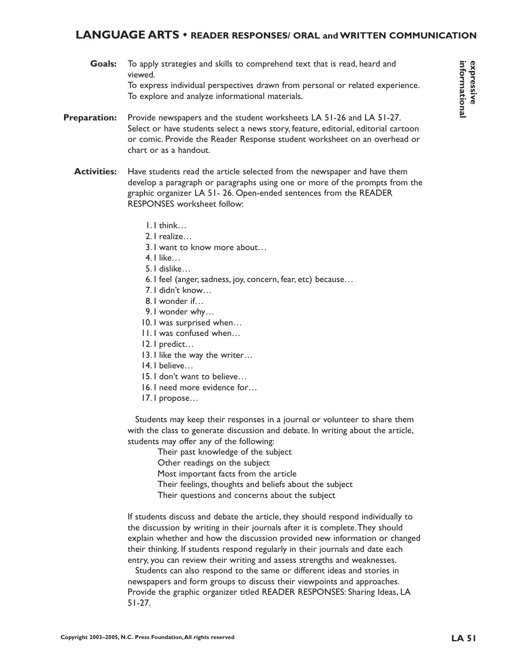### **LANGUAGE ARTS • READER RESPONSES/ ORAL and WRITTEN COMMUNICATION**

- To apply strategies and skills to comprehend text that is read, heard and viewed. To express individual perspectives drawn from personal or related experience. To explore and analyze informational materials. **Goals:**
- Provide newspapers and the student worksheets LA 51-26 and LA 51-27. Select or have students select a news story, feature, editorial, editorial cartoon or comic. Provide the Reader Response student worksheet on an overhead or chart or as a handout. **Preparation:**
	- Have students read the article selected from the newspaper and have them develop a paragraph or paragraphs using one or more of the prompts from the graphic organizer LA 51- 26. Open-ended sentences from the READER RESPONSES worksheet follow: **Activities:**
		- 1. I think…
		- 2. I realize…
		- 3. I want to know more about…
		- 4. I like…
		- 5. I dislike…
		- 6. I feel (anger, sadness, joy, concern, fear, etc) because…
		- 7. I didn't know…
		- 8. I wonder if…
		- 9. I wonder why…
		- 10. I was surprised when…
		- 11. I was confused when…
		- 12. I predict…
		- 13. I like the way the writer...
		- 14. I believe…
		- 15. I don't want to believe…
		- 16. I need more evidence for…
		- 17. I propose…

Students may keep their responses in a journal or volunteer to share them with the class to generate discussion and debate. In writing about the article, students may offer any of the following:

Their past knowledge of the subject

Other readings on the subject

Most important facts from the article

- Their feelings, thoughts and beliefs about the subject
- Their questions and concerns about the subject

If students discuss and debate the article, they should respond individually to the discussion by writing in their journals after it is complete.They should explain whether and how the discussion provided new information or changed their thinking. If students respond regularly in their journals and date each entry, you can review their writing and assess strengths and weaknesses.

Students can also respond to the same or different ideas and stories in newspapers and form groups to discuss their viewpoints and approaches. Provide the graphic organizer titled READER RESPONSES: Sharing Ideas, LA 51-27.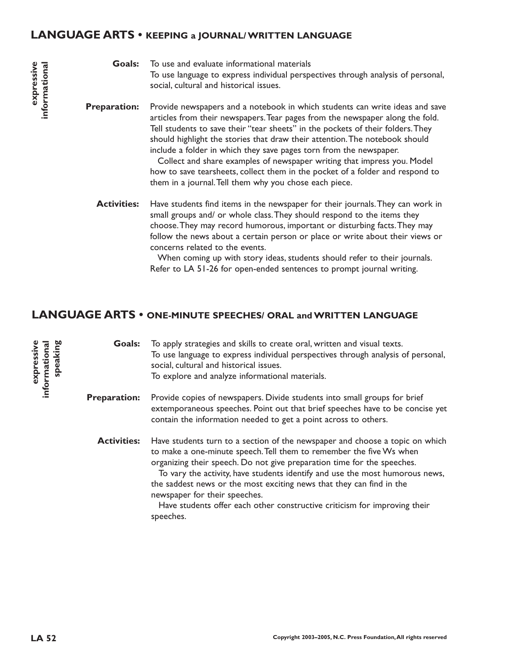### **LANGUAGE ARTS • KEEPING a JOURNAL/ WRITTEN LANGUAGE**

To use and evaluate informational materials To use language to express individual perspectives through analysis of personal, social, cultural and historical issues. **Goals:**

Provide newspapers and a notebook in which students can write ideas and save articles from their newspapers.Tear pages from the newspaper along the fold. Tell students to save their "tear sheets" in the pockets of their folders.They should highlight the stories that draw their attention.The notebook should include a folder in which they save pages torn from the newspaper. **Preparation:**

> Collect and share examples of newspaper writing that impress you. Model how to save tearsheets, collect them in the pocket of a folder and respond to them in a journal.Tell them why you chose each piece.

Have students find items in the newspaper for their journals.They can work in small groups and/ or whole class.They should respond to the items they choose.They may record humorous, important or disturbing facts.They may follow the news about a certain person or place or write about their views or concerns related to the events. **Activities:**

> When coming up with story ideas, students should refer to their journals. Refer to LA 51-26 for open-ended sentences to prompt journal writing.

### **LANGUAGE ARTS • ONE-MINUTE SPEECHES/ ORAL and WRITTEN LANGUAGE**

To apply strategies and skills to create oral, written and visual texts. To use language to express individual perspectives through analysis of personal, social, cultural and historical issues. To explore and analyze informational materials. Provide copies of newspapers. Divide students into small groups for brief extemporaneous speeches. Point out that brief speeches have to be concise yet contain the information needed to get a point across to others. Have students turn to a section of the newspaper and choose a topic on which to make a one-minute speech.Tell them to remember the five Ws when organizing their speech. Do not give preparation time for the speeches. To vary the activity, have students identify and use the most humorous news, the saddest news or the most exciting news that they can find in the newspaper for their speeches. Have students offer each other constructive criticism for improving their speeches. **Goals: Preparation: Activities:**

**expressive informational speaking**

informational expressive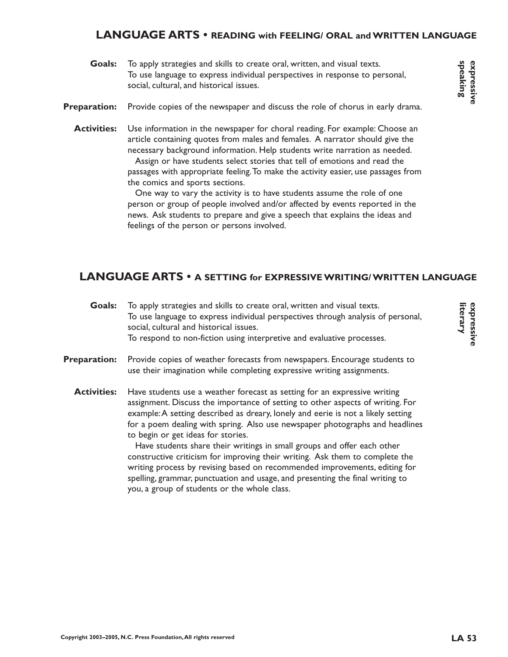### **LANGUAGE ARTS • READING with FEELING/ ORAL and WRITTEN LANGUAGE**

- To apply strategies and skills to create oral, written, and visual texts. To use language to express individual perspectives in response to personal, social, cultural, and historical issues. **Goals:**
- Provide copies of the newspaper and discuss the role of chorus in early drama. **Preparation:**
	- Use information in the newspaper for choral reading. For example: Choose an article containing quotes from males and females. A narrator should give the necessary background information. Help students write narration as needed. **Activities:**

Assign or have students select stories that tell of emotions and read the passages with appropriate feeling.To make the activity easier, use passages from the comics and sports sections.

One way to vary the activity is to have students assume the role of one person or group of people involved and/or affected by events reported in the news. Ask students to prepare and give a speech that explains the ideas and feelings of the person or persons involved.

# **LANGUAGE ARTS • A SETTING for EXPRESSIVE WRITING/ WRITTEN LANGUAGE**

| <b>Goals:</b>       | To apply strategies and skills to create oral, written and visual texts.<br>To use language to express individual perspectives through analysis of personal,<br>social, cultural and historical issues.<br>To respond to non-fiction using interpretive and evaluative processes.                                                                                                                                                                                                                                                                                                                                                                                                                                                               |
|---------------------|-------------------------------------------------------------------------------------------------------------------------------------------------------------------------------------------------------------------------------------------------------------------------------------------------------------------------------------------------------------------------------------------------------------------------------------------------------------------------------------------------------------------------------------------------------------------------------------------------------------------------------------------------------------------------------------------------------------------------------------------------|
| <b>Preparation:</b> | Provide copies of weather forecasts from newspapers. Encourage students to<br>use their imagination while completing expressive writing assignments.                                                                                                                                                                                                                                                                                                                                                                                                                                                                                                                                                                                            |
| <b>Activities:</b>  | Have students use a weather forecast as setting for an expressive writing<br>assignment. Discuss the importance of setting to other aspects of writing. For<br>example: A setting described as dreary, lonely and eerie is not a likely setting<br>for a poem dealing with spring. Also use newspaper photographs and headlines<br>to begin or get ideas for stories.<br>Have students share their writings in small groups and offer each other<br>constructive criticism for improving their writing. Ask them to complete the<br>writing process by revising based on recommended improvements, editing for<br>spelling, grammar, punctuation and usage, and presenting the final writing to<br>you, a group of students or the whole class. |

**speaking expressive**

**literary expressive**

expressive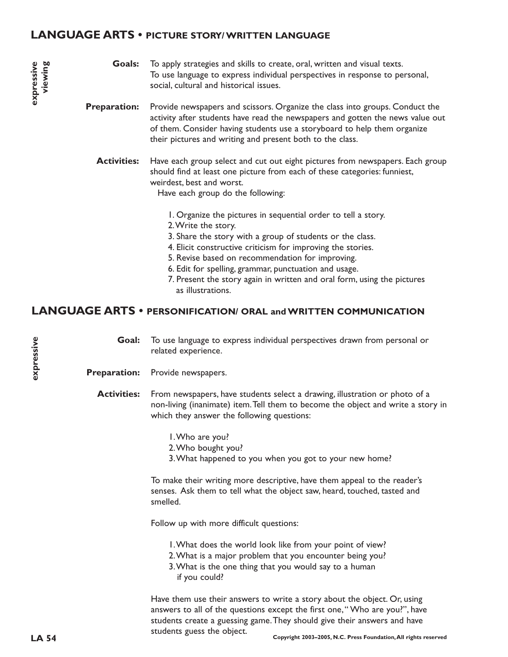### **LANGUAGE ARTS • PICTURE STORY/ WRITTEN LANGUAGE**

To apply strategies and skills to create, oral, written and visual texts. To use language to express individual perspectives in response to personal, social, cultural and historical issues. **Goals:**

Provide newspapers and scissors. Organize the class into groups. Conduct the activity after students have read the newspapers and gotten the news value out of them. Consider having students use a storyboard to help them organize their pictures and writing and present both to the class. **Preparation:**

Have each group select and cut out eight pictures from newspapers. Each group should find at least one picture from each of these categories: funniest, weirdest, best and worst. **Activities:**

Have each group do the following:

- 1. Organize the pictures in sequential order to tell a story.
- 2.Write the story.
- 3. Share the story with a group of students or the class.
- 4. Elicit constructive criticism for improving the stories.
- 5. Revise based on recommendation for improving.
- 6. Edit for spelling, grammar, punctuation and usage.
- 7. Present the story again in written and oral form, using the pictures as illustrations.

### **LANGUAGE ARTS • PERSONIFICATION/ ORAL and WRITTEN COMMUNICATION**

To use language to express individual perspectives drawn from personal or related experience. **Goal:**

Provide newspapers. **Preparation:**

From newspapers, have students select a drawing, illustration or photo of a non-living (inanimate) item.Tell them to become the object and write a story in which they answer the following questions: **Activities:**

- 1.Who are you?
- 2.Who bought you?
- 3.What happened to you when you got to your new home?

To make their writing more descriptive, have them appeal to the reader's senses. Ask them to tell what the object saw, heard, touched, tasted and smelled.

Follow up with more difficult questions:

- 1.What does the world look like from your point of view?
- 2.What is a major problem that you encounter being you?
- 3.What is the one thing that you would say to a human if you could?

Have them use their answers to write a story about the object. Or, using answers to all of the questions except the first one," Who are you?", have students create a guessing game.They should give their answers and have students guess the object.

**expressive**

expressive

**expressive viewing**

expressive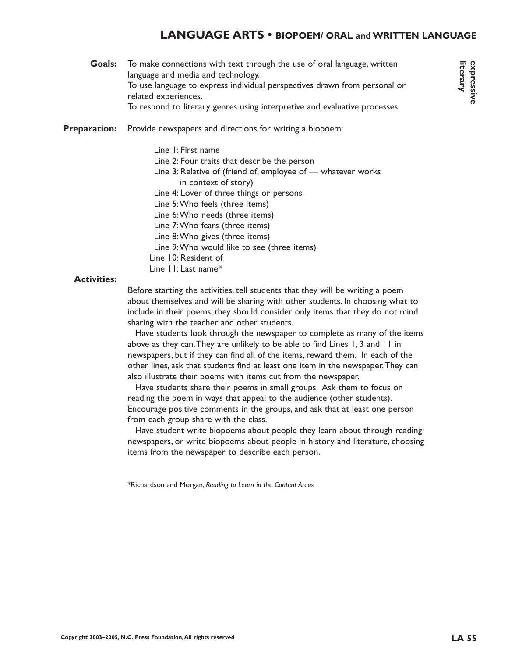### **LANGUAGE ARTS • BIOPOEM/ ORAL and WRITTEN LANGUAGE**

To make connections with text through the use of oral language, written language and media and technology. To use language to express individual perspectives drawn from personal or related experiences. To respond to literary genres using interpretive and evaluative processes. **Goals:**

Provide newspapers and directions for writing a biopoem: **Preparation:**

> Line 1: First name Line 2: Four traits that describe the person Line 3: Relative of (friend of, employee of — whatever works in context of story) Line 4: Lover of three things or persons Line 5:Who feels (three items) Line 6:Who needs (three items) Line 7:Who fears (three items) Line 8:Who gives (three items) Line 9:Who would like to see (three items) Line 10: Resident of Line 11: Last name\*

#### **Activities:**

Before starting the activities, tell students that they will be writing a poem about themselves and will be sharing with other students. In choosing what to include in their poems, they should consider only items that they do not mind sharing with the teacher and other students.

Have students look through the newspaper to complete as many of the items above as they can.They are unlikely to be able to find Lines 1, 3 and 11 in newspapers, but if they can find all of the items, reward them. In each of the other lines, ask that students find at least one item in the newspaper.They can also illustrate their poems with items cut from the newspaper.

Have students share their poems in small groups. Ask them to focus on reading the poem in ways that appeal to the audience (other students). Encourage positive comments in the groups, and ask that at least one person from each group share with the class.

Have student write biopoems about people they learn about through reading newspapers, or write biopoems about people in history and literature, choosing items from the newspaper to describe each person.

\*Richardson and Morgan, *Reading to Learn in the Content Areas*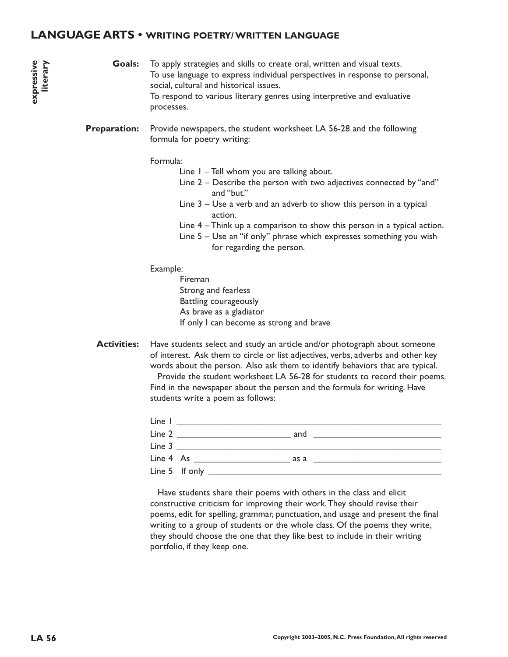### **LANGUAGE ARTS • WRITING POETRY/ WRITTEN LANGUAGE**

#### To apply strategies and skills to create oral, written and visual texts. To use language to express individual perspectives in response to personal, social, cultural and historical issues. To respond to various literary genres using interpretive and evaluative processes. **Goals:**

Provide newspapers, the student worksheet LA 56-28 and the following formula for poetry writing: **Preparation:**

#### Formula:

- Line 1 Tell whom you are talking about.
- Line 2 Describe the person with two adjectives connected by "and" and "but."
- Line 3 Use a verb and an adverb to show this person in a typical action.
- Line 4 Think up a comparison to show this person in a typical action.
- Line 5 Use an "if only" phrase which expresses something you wish for regarding the person.

#### Example:

Fireman Strong and fearless Battling courageously As brave as a gladiator If only I can become as strong and brave

Have students select and study an article and/or photograph about someone of interest. Ask them to circle or list adjectives, verbs, adverbs and other key words about the person. Also ask them to identify behaviors that are typical. Provide the student worksheet LA 56-28 for students to record their poems. Find in the newspaper about the person and the formula for writing. Have students write a poem as follows: **Activities:**

| Line I |                     |                                                                                         |
|--------|---------------------|-----------------------------------------------------------------------------------------|
| Line 2 |                     | and                                                                                     |
| Line 3 |                     |                                                                                         |
|        | $Line 4 As _______$ | as a<br>the contract of the contract of the contract of the contract of the contract of |
|        | Line 5 If only      |                                                                                         |

Have students share their poems with others in the class and elicit constructive criticism for improving their work.They should revise their poems, edit for spelling, grammar, punctuation, and usage and present the final writing to a group of students or the whole class. Of the poems they write, they should choose the one that they like best to include in their writing portfolio, if they keep one.

**expressive literary**

avizsandxe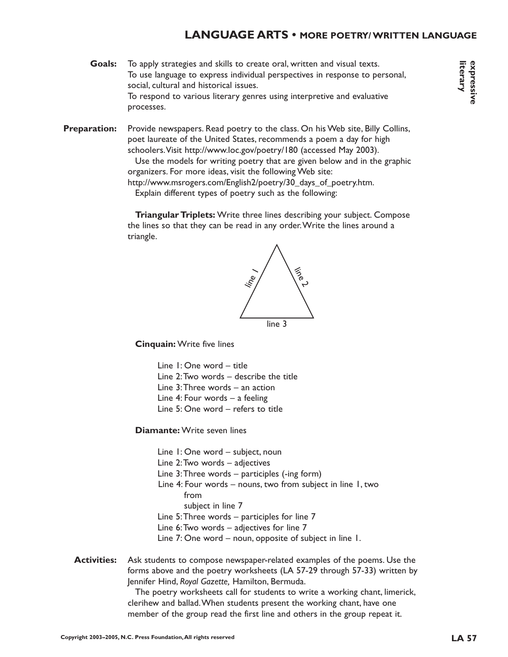### **LANGUAGE ARTS • MORE POETRY/ WRITTEN LANGUAGE**

- **Goals:** To apply strategies and skills to create oral, written and visual texts. To use language to express individual perspectives in response to personal, social, cultural and historical issues. To respond to various literary genres using interpretive and evaluative processes.
- **Preparation:** Provide newspapers. Read poetry to the class. On his Web site, Billy Collins, poet laureate of the United States, recommends a poem a day for high schoolers.Visit http://www.loc.gov/poetry/180 (accessed May 2003).

Use the models for writing poetry that are given below and in the graphic organizers. For more ideas, visit the following Web site:

http://www.msrogers.com/English2/poetry/30\_days\_of\_poetry.htm.

Explain different types of poetry such as the following:

**Triangular Triplets:** Write three lines describing your subject. Compose the lines so that they can be read in any order.Write the lines around a triangle.



**Cinquain:** Write five lines

Line 1: One word – title Line 2:Two words – describe the title Line 3:Three words – an action Line 4: Four words – a feeling Line 5: One word – refers to title

**Diamante:** Write seven lines

Line 1: One word – subject, noun

Line 2:Two words – adjectives

Line 3:Three words – participles (-ing form)

- Line 4: Four words nouns, two from subject in line 1, two from subject in line 7
- Line 5:Three words participles for line 7
- Line 6:Two words adjectives for line 7
- Line 7: One word noun, opposite of subject in line 1.

**Activities:** Ask students to compose newspaper-related examples of the poems. Use the forms above and the poetry worksheets (LA 57-29 through 57-33) written by Jennifer Hind, *Royal Gazette,* Hamilton, Bermuda.

> The poetry worksheets call for students to write a working chant, limerick, clerihew and ballad.When students present the working chant, have one member of the group read the first line and others in the group repeat it.

**literary expressive**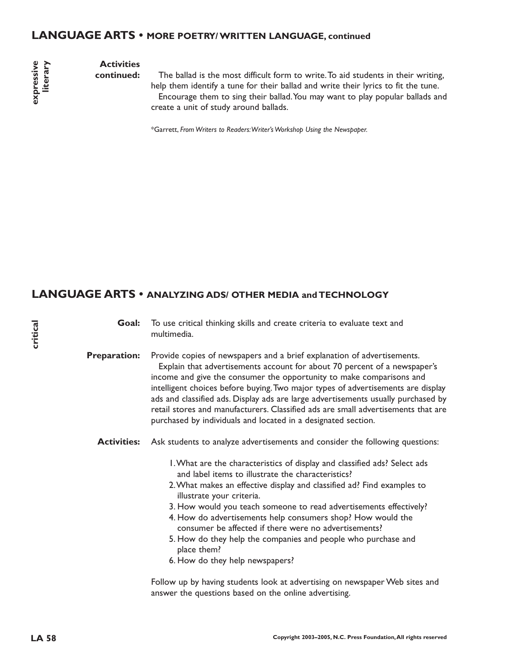### **LANGUAGE ARTS • MORE POETRY/ WRITTEN LANGUAGE, continued**

axpressive **literary expressive**

# **Activities**

**continued:**

The ballad is the most difficult form to write.To aid students in their writing, help them identify a tune for their ballad and write their lyrics to fit the tune. Encourage them to sing their ballad.You may want to play popular ballads and create a unit of study around ballads.

\*Garrett, *From Writers to Readers:Writer's Workshop Using the Newspaper.*

### **LANGUAGE ARTS • ANALYZING ADS/ OTHER MEDIA and TECHNOLOGY**

To use critical thinking skills and create criteria to evaluate text and multimedia. **Goal:**

Provide copies of newspapers and a brief explanation of advertisements. Explain that advertisements account for about 70 percent of a newspaper's income and give the consumer the opportunity to make comparisons and intelligent choices before buying.Two major types of advertisements are display ads and classified ads. Display ads are large advertisements usually purchased by retail stores and manufacturers. Classified ads are small advertisements that are purchased by individuals and located in a designated section. **Preparation:**

Activities: Ask students to analyze advertisements and consider the following questions:

- 1.What are the characteristics of display and classified ads? Select ads and label items to illustrate the characteristics?
- 2.What makes an effective display and classified ad? Find examples to illustrate your criteria.
- 3. How would you teach someone to read advertisements effectively?
- 4. How do advertisements help consumers shop? How would the consumer be affected if there were no advertisements?
- 5. How do they help the companies and people who purchase and place them?
- 6. How do they help newspapers?

Follow up by having students look at advertising on newspaper Web sites and answer the questions based on the online advertising.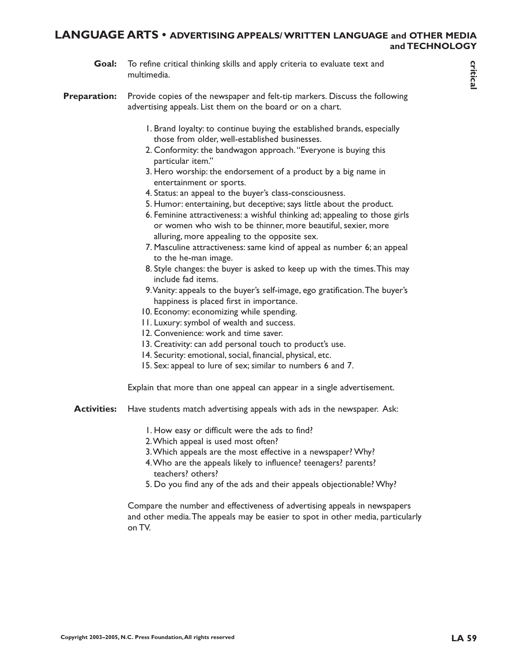### **LANGUAGE ARTS • ADVERTISING APPEALS/ WRITTEN LANGUAGE and OTHER MEDIA and TECHNOLOGY**

To refine critical thinking skills and apply criteria to evaluate text and multimedia. **Goal:**

Provide copies of the newspaper and felt-tip markers. Discuss the following advertising appeals. List them on the board or on a chart. **Preparation:**

- 1. Brand loyalty: to continue buying the established brands, especially those from older, well-established businesses.
- 2. Conformity: the bandwagon approach."Everyone is buying this particular item."
- 3. Hero worship: the endorsement of a product by a big name in entertainment or sports.
- 4. Status: an appeal to the buyer's class-consciousness.
- 5. Humor: entertaining, but deceptive; says little about the product.
- 6. Feminine attractiveness: a wishful thinking ad; appealing to those girls or women who wish to be thinner, more beautiful, sexier, more alluring, more appealing to the opposite sex.
- 7. Masculine attractiveness: same kind of appeal as number 6; an appeal to the he-man image.
- 8. Style changes: the buyer is asked to keep up with the times.This may include fad items.
- 9.Vanity: appeals to the buyer's self-image, ego gratification.The buyer's happiness is placed first in importance.
- 10. Economy: economizing while spending.
- 11. Luxury: symbol of wealth and success.
- 12. Convenience: work and time saver.
- 13. Creativity: can add personal touch to product's use.
- 14. Security: emotional, social, financial, physical, etc.
- 15. Sex: appeal to lure of sex; similar to numbers 6 and 7.

Explain that more than one appeal can appear in a single advertisement.

- Have students match advertising appeals with ads in the newspaper. Ask: **Activities:**
	- 1. How easy or difficult were the ads to find?
	- 2.Which appeal is used most often?
	- 3.Which appeals are the most effective in a newspaper? Why?
	- 4.Who are the appeals likely to influence? teenagers? parents? teachers? others?
	- 5. Do you find any of the ads and their appeals objectionable? Why?

Compare the number and effectiveness of advertising appeals in newspapers and other media.The appeals may be easier to spot in other media, particularly on TV.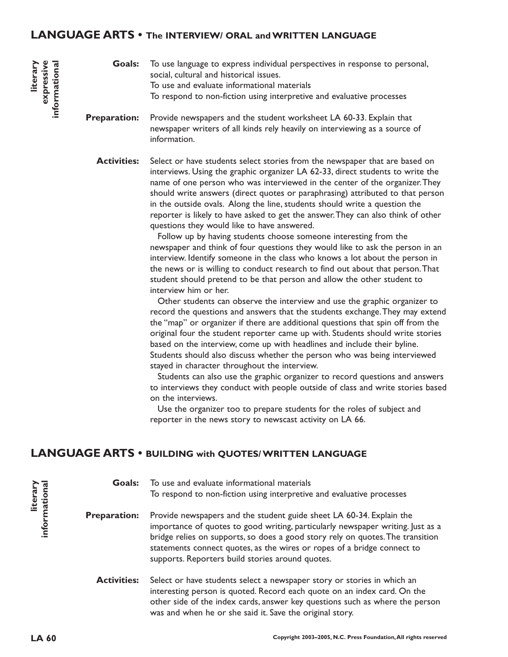### **LANGUAGE ARTS • The INTERVIEW/ ORAL and WRITTEN LANGUAGE**

To use language to express individual perspectives in response to personal, social, cultural and historical issues. To use and evaluate informational materials To respond to non-fiction using interpretive and evaluative processes **Goals:**

Provide newspapers and the student worksheet LA 60-33. Explain that newspaper writers of all kinds rely heavily on interviewing as a source of information. **Preparation:**

Select or have students select stories from the newspaper that are based on interviews. Using the graphic organizer LA 62-33, direct students to write the name of one person who was interviewed in the center of the organizer.They should write answers (direct quotes or paraphrasing) attributed to that person in the outside ovals. Along the line, students should write a question the reporter is likely to have asked to get the answer.They can also think of other questions they would like to have answered. **Activities:**

> Follow up by having students choose someone interesting from the newspaper and think of four questions they would like to ask the person in an interview. Identify someone in the class who knows a lot about the person in the news or is willing to conduct research to find out about that person.That student should pretend to be that person and allow the other student to interview him or her.

Other students can observe the interview and use the graphic organizer to record the questions and answers that the students exchange.They may extend the "map" or organizer if there are additional questions that spin off from the original four the student reporter came up with. Students should write stories based on the interview, come up with headlines and include their byline. Students should also discuss whether the person who was being interviewed stayed in character throughout the interview.

Students can also use the graphic organizer to record questions and answers to interviews they conduct with people outside of class and write stories based on the interviews.

Use the organizer too to prepare students for the roles of subject and reporter in the news story to newscast activity on LA 66.

# **LANGUAGE ARTS • BUILDING with QUOTES/ WRITTEN LANGUAGE**

To use and evaluate informational materials To respond to non-fiction using interpretive and evaluative processes **Goals:**

Provide newspapers and the student guide sheet LA 60-34. Explain the importance of quotes to good writing, particularly newspaper writing. Just as a bridge relies on supports, so does a good story rely on quotes.The transition statements connect quotes, as the wires or ropes of a bridge connect to supports. Reporters build stories around quotes. **Preparation:**

Select or have students select a newspaper story or stories in which an interesting person is quoted. Record each quote on an index card. On the other side of the index cards, answer key questions such as where the person was and when he or she said it. Save the original story. **Activities:**

**literary informational**

informational

**literary**<br>expressive **expressive informational**

nformational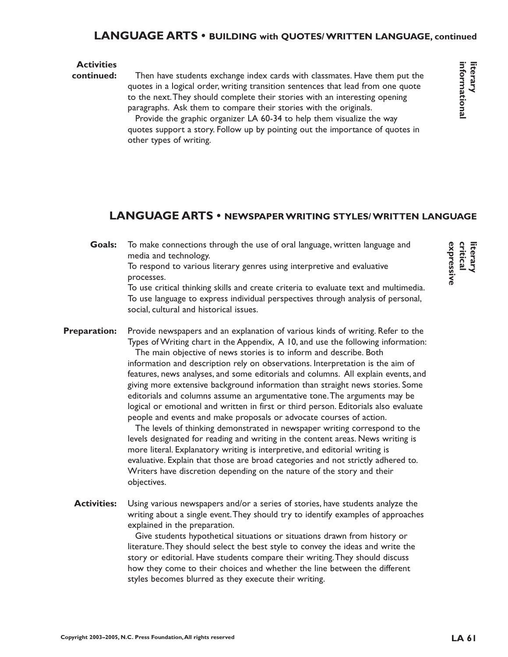# **LANGUAGE ARTS • BUILDING with QUOTES/ WRITTEN LANGUAGE, continued**

### **Activities**

#### Then have students exchange index cards with classmates. Have them put the quotes in a logical order, writing transition sentences that lead from one quote to the next.They should complete their stories with an interesting opening paragraphs. Ask them to compare their stories with the originals. **continued:**

Provide the graphic organizer LA 60-34 to help them visualize the way quotes support a story. Follow up by pointing out the importance of quotes in other types of writing.

# **LANGUAGE ARTS • NEWSPAPER WRITING STYLES/ WRITTEN LANGUAGE**

To make connections through the use of oral language, written language and media and technology. **Goals:**

To respond to various literary genres using interpretive and evaluative processes.

To use critical thinking skills and create criteria to evaluate text and multimedia. To use language to express individual perspectives through analysis of personal, social, cultural and historical issues.

Provide newspapers and an explanation of various kinds of writing. Refer to the Types of Writing chart in the Appendix, A 10, and use the following information: **Preparation:**

The main objective of news stories is to inform and describe. Both information and description rely on observations. Interpretation is the aim of features, news analyses, and some editorials and columns. All explain events, and giving more extensive background information than straight news stories. Some editorials and columns assume an argumentative tone.The arguments may be logical or emotional and written in first or third person. Editorials also evaluate people and events and make proposals or advocate courses of action.

The levels of thinking demonstrated in newspaper writing correspond to the levels designated for reading and writing in the content areas. News writing is more literal. Explanatory writing is interpretive, and editorial writing is evaluative. Explain that those are broad categories and not strictly adhered to. Writers have discretion depending on the nature of the story and their objectives.

Using various newspapers and/or a series of stories, have students analyze the writing about a single event.They should try to identify examples of approaches explained in the preparation. **Activities:**

> Give students hypothetical situations or situations drawn from history or literature.They should select the best style to convey the ideas and write the story or editorial. Have students compare their writing.They should discuss how they come to their choices and whether the line between the different styles becomes blurred as they execute their writing.

expressiv **expressive critical literary**

**informational literary**

informational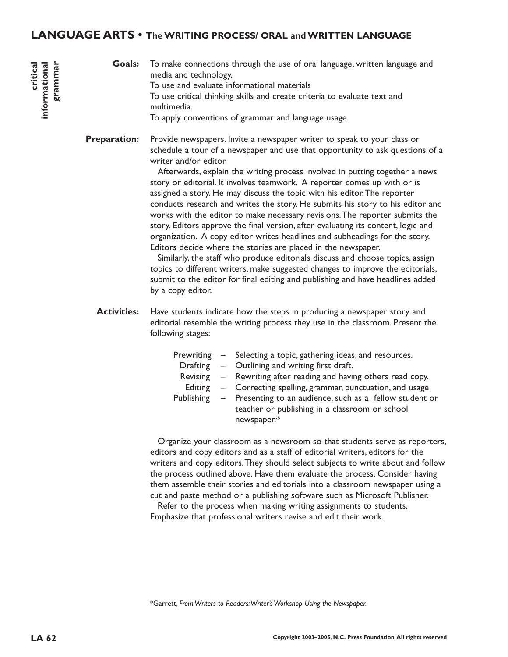### **LANGUAGE ARTS • The WRITING PROCESS/ ORAL and WRITTEN LANGUAGE**

To make connections through the use of oral language, written language and media and technology. To use and evaluate informational materials To use critical thinking skills and create criteria to evaluate text and multimedia. To apply conventions of grammar and language usage. **Goals:**

Provide newspapers. Invite a newspaper writer to speak to your class or schedule a tour of a newspaper and use that opportunity to ask questions of a writer and/or editor. **Preparation:**

> Afterwards, explain the writing process involved in putting together a news story or editorial. It involves teamwork. A reporter comes up with or is assigned a story. He may discuss the topic with his editor.The reporter conducts research and writes the story. He submits his story to his editor and works with the editor to make necessary revisions.The reporter submits the story. Editors approve the final version, after evaluating its content, logic and organization. A copy editor writes headlines and subheadings for the story. Editors decide where the stories are placed in the newspaper.

Similarly, the staff who produce editorials discuss and choose topics, assign topics to different writers, make suggested changes to improve the editorials, submit to the editor for final editing and publishing and have headlines added by a copy editor.

Have students indicate how the steps in producing a newspaper story and editorial resemble the writing process they use in the classroom. Present the following stages: **Activities:**

|  | Prewriting – Selecting a topic, gathering ideas, and resources.     |
|--|---------------------------------------------------------------------|
|  | Drafting - Outlining and writing first draft.                       |
|  | Revising $-$ Rewriting after reading and having others read copy.   |
|  | Editing $-$ Correcting spelling, grammar, punctuation, and usage.   |
|  | Publishing - Presenting to an audience, such as a fellow student or |
|  | teacher or publishing in a classroom or school                      |
|  | newspaper.*                                                         |

Organize your classroom as a newsroom so that students serve as reporters, editors and copy editors and as a staff of editorial writers, editors for the writers and copy editors.They should select subjects to write about and follow the process outlined above. Have them evaluate the process. Consider having them assemble their stories and editorials into a classroom newspaper using a cut and paste method or a publishing software such as Microsoft Publisher.

Refer to the process when making writing assignments to students. Emphasize that professional writers revise and edit their work.

\*Garrett, *From Writers to Readers:Writer's Workshop Using the Newspaper.*

**critical**

**informational grammar**

informational grammar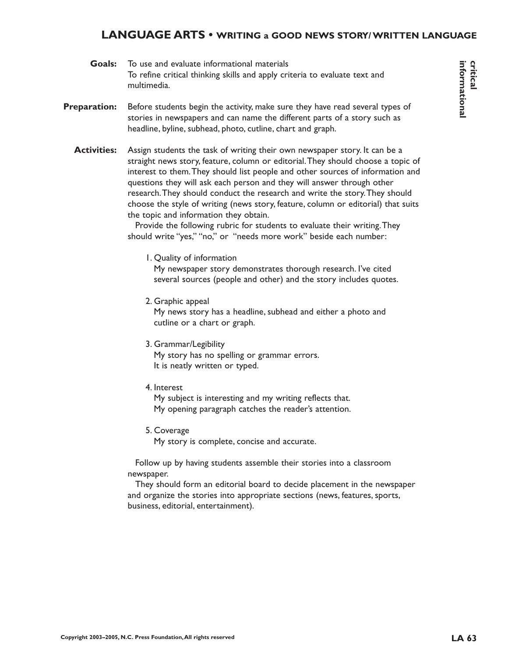### **LANGUAGE ARTS • WRITING a GOOD NEWS STORY/ WRITTEN LANGUAGE**

- To use and evaluate informational materials To refine critical thinking skills and apply criteria to evaluate text and multimedia. **Goals:**
- Before students begin the activity, make sure they have read several types of stories in newspapers and can name the different parts of a story such as headline, byline, subhead, photo, cutline, chart and graph. **Preparation:**
	- Assign students the task of writing their own newspaper story. It can be a straight news story, feature, column or editorial.They should choose a topic of interest to them.They should list people and other sources of information and questions they will ask each person and they will answer through other research.They should conduct the research and write the story.They should choose the style of writing (news story, feature, column or editorial) that suits the topic and information they obtain. **Activities:**

Provide the following rubric for students to evaluate their writing.They should write "yes," "no," or "needs more work" beside each number:

1. Quality of information

My newspaper story demonstrates thorough research. I've cited several sources (people and other) and the story includes quotes.

2. Graphic appeal

My news story has a headline, subhead and either a photo and cutline or a chart or graph.

3. Grammar/Legibility

My story has no spelling or grammar errors. It is neatly written or typed.

4. Interest

My subject is interesting and my writing reflects that. My opening paragraph catches the reader's attention.

5. Coverage

My story is complete, concise and accurate.

Follow up by having students assemble their stories into a classroom newspaper.

They should form an editorial board to decide placement in the newspaper and organize the stories into appropriate sections (news, features, sports, business, editorial, entertainment).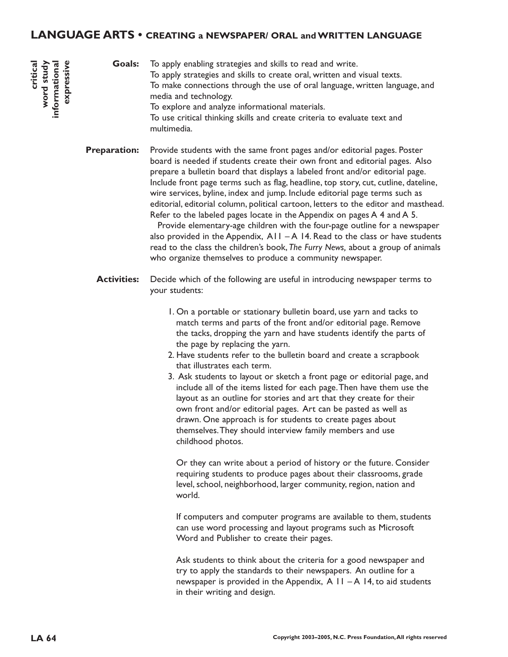### **LANGUAGE ARTS • CREATING a NEWSPAPER/ ORAL and WRITTEN LANGUAGE**

To apply enabling strategies and skills to read and write. To apply strategies and skills to create oral, written and visual texts. To make connections through the use of oral language, written language, and media and technology. To explore and analyze informational materials. To use critical thinking skills and create criteria to evaluate text and multimedia. **Goals:**

Provide students with the same front pages and/or editorial pages. Poster board is needed if students create their own front and editorial pages. Also prepare a bulletin board that displays a labeled front and/or editorial page. Include front page terms such as flag, headline, top story, cut, cutline, dateline, wire services, byline, index and jump. Include editorial page terms such as editorial, editorial column, political cartoon, letters to the editor and masthead. Refer to the labeled pages locate in the Appendix on pages A 4 and A 5. **Preparation:**

> Provide elementary-age children with the four-page outline for a newspaper also provided in the Appendix,  $A11 - A14$ . Read to the class or have students read to the class the children's book, *The Furry News,* about a group of animals who organize themselves to produce a community newspaper.

- Decide which of the following are useful in introducing newspaper terms to your students: **Activities:**
	- 1. On a portable or stationary bulletin board, use yarn and tacks to match terms and parts of the front and/or editorial page. Remove the tacks, dropping the yarn and have students identify the parts of the page by replacing the yarn.
	- 2. Have students refer to the bulletin board and create a scrapbook that illustrates each term.
	- 3. Ask students to layout or sketch a front page or editorial page, and include all of the items listed for each page.Then have them use the layout as an outline for stories and art that they create for their own front and/or editorial pages. Art can be pasted as well as drawn. One approach is for students to create pages about themselves.They should interview family members and use childhood photos.

Or they can write about a period of history or the future. Consider requiring students to produce pages about their classrooms, grade level, school, neighborhood, larger community, region, nation and world.

If computers and computer programs are available to them, students can use word processing and layout programs such as Microsoft Word and Publisher to create their pages.

Ask students to think about the criteria for a good newspaper and try to apply the standards to their newspapers. An outline for a newspaper is provided in the Appendix,  $A \mid I - A \mid 4$ , to aid students in their writing and design.

**critical word study informational expressive**

word study nformational expressive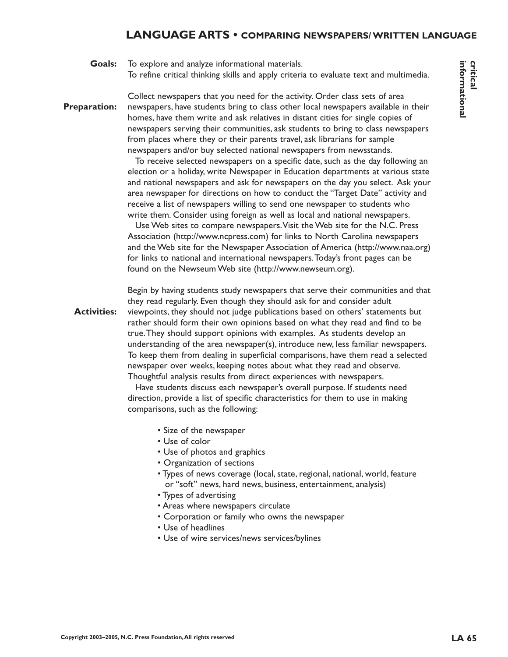### **LANGUAGE ARTS • COMPARING NEWSPAPERS/ WRITTEN LANGUAGE**

To explore and analyze informational materials. To refine critical thinking skills and apply criteria to evaluate text and multimedia. **Goals:**

Collect newspapers that you need for the activity. Order class sets of area newspapers, have students bring to class other local newspapers available in their homes, have them write and ask relatives in distant cities for single copies of newspapers serving their communities, ask students to bring to class newspapers from places where they or their parents travel, ask librarians for sample newspapers and/or buy selected national newspapers from newsstands. **Preparation:**

> To receive selected newspapers on a specific date, such as the day following an election or a holiday, write Newspaper in Education departments at various state and national newspapers and ask for newspapers on the day you select. Ask your area newspaper for directions on how to conduct the "Target Date" activity and receive a list of newspapers willing to send one newspaper to students who write them. Consider using foreign as well as local and national newspapers.

> Use Web sites to compare newspapers.Visit the Web site for the N.C. Press Association (http://www.ncpress.com) for links to North Carolina newspapers and the Web site for the Newspaper Association of America (http://www.naa.org) for links to national and international newspapers.Today's front pages can be found on the Newseum Web site (http://www.newseum.org).

Begin by having students study newspapers that serve their communities and that they read regularly. Even though they should ask for and consider adult viewpoints, they should not judge publications based on others' statements but rather should form their own opinions based on what they read and find to be true.They should support opinions with examples. As students develop an understanding of the area newspaper(s), introduce new, less familiar newspapers. To keep them from dealing in superficial comparisons, have them read a selected newspaper over weeks, keeping notes about what they read and observe. Thoughtful analysis results from direct experiences with newspapers. **Activities:**

> Have students discuss each newspaper's overall purpose. If students need direction, provide a list of specific characteristics for them to use in making comparisons, such as the following:

- Size of the newspaper
- Use of color
- Use of photos and graphics
- Organization of sections
- Types of news coverage (local, state, regional, national, world, feature or "soft" news, hard news, business, entertainment, analysis)
- Types of advertising
- Areas where newspapers circulate
- Corporation or family who owns the newspaper
- Use of headlines
- Use of wire services/news services/bylines

**informational critical**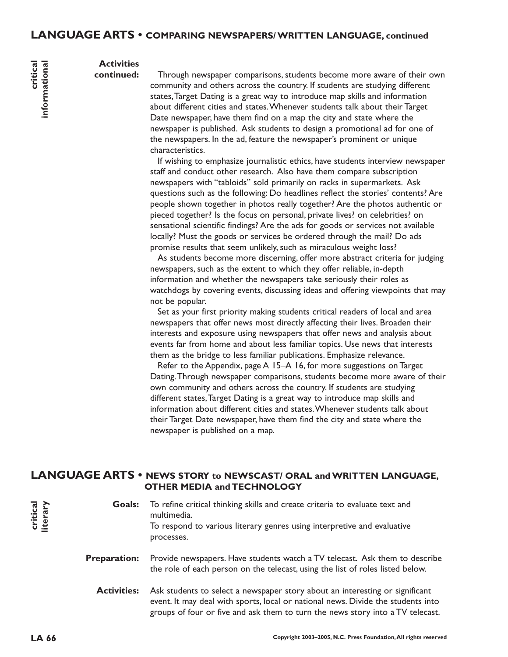#### **Activities continued:**

**critical**

**informational**

informational

Through newspaper comparisons, students become more aware of their own community and others across the country. If students are studying different states,Target Dating is a great way to introduce map skills and information about different cities and states.Whenever students talk about their Target Date newspaper, have them find on a map the city and state where the newspaper is published. Ask students to design a promotional ad for one of the newspapers. In the ad, feature the newspaper's prominent or unique characteristics.

If wishing to emphasize journalistic ethics, have students interview newspaper staff and conduct other research. Also have them compare subscription newspapers with "tabloids" sold primarily on racks in supermarkets. Ask questions such as the following: Do headlines reflect the stories' contents? Are people shown together in photos really together? Are the photos authentic or pieced together? Is the focus on personal, private lives? on celebrities? on sensational scientific findings? Are the ads for goods or services not available locally? Must the goods or services be ordered through the mail? Do ads promise results that seem unlikely, such as miraculous weight loss?

As students become more discerning, offer more abstract criteria for judging newspapers, such as the extent to which they offer reliable, in-depth information and whether the newspapers take seriously their roles as watchdogs by covering events, discussing ideas and offering viewpoints that may not be popular.

Set as your first priority making students critical readers of local and area newspapers that offer news most directly affecting their lives. Broaden their interests and exposure using newspapers that offer news and analysis about events far from home and about less familiar topics. Use news that interests them as the bridge to less familiar publications. Emphasize relevance.

Refer to the Appendix, page A 15–A 16, for more suggestions on Target Dating.Through newspaper comparisons, students become more aware of their own community and others across the country. If students are studying different states,Target Dating is a great way to introduce map skills and information about different cities and states.Whenever students talk about their Target Date newspaper, have them find the city and state where the newspaper is published on a map.

### **LANGUAGE ARTS • NEWS STORY to NEWSCAST/ ORAL and WRITTEN LANGUAGE, OTHER MEDIA and TECHNOLOGY**

To refine critical thinking skills and create criteria to evaluate text and multimedia. To respond to various literary genres using interpretive and evaluative processes. **Goals:**

Provide newspapers. Have students watch a TV telecast. Ask them to describe the role of each person on the telecast, using the list of roles listed below. **Preparation:**

Ask students to select a newspaper story about an interesting or significant event. It may deal with sports, local or national news. Divide the students into groups of four or five and ask them to turn the news story into a TV telecast. **Activities:**

**critical literary**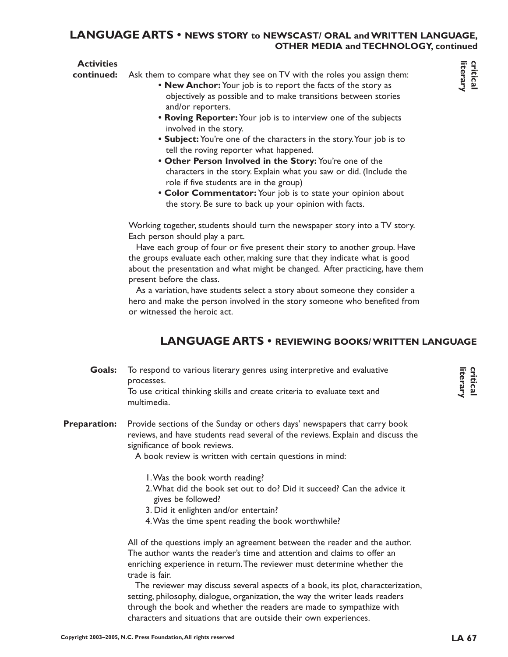### **LANGUAGE ARTS • NEWS STORY to NEWSCAST/ ORAL and WRITTEN LANGUAGE, OTHER MEDIA and TECHNOLOGY, continued**

### **Activities**

Ask them to compare what they see on TV with the roles you assign them: **continued:**

- **New Anchor:** Your job is to report the facts of the story as objectively as possible and to make transitions between stories and/or reporters.
- **Roving Reporter:** Your job is to interview one of the subjects involved in the story.
- **Subject:** You're one of the characters in the story.Your job is to tell the roving reporter what happened.
- **Other Person Involved in the Story:** You're one of the characters in the story. Explain what you saw or did. (Include the role if five students are in the group)
- **Color Commentator:** Your job is to state your opinion about the story. Be sure to back up your opinion with facts.

Working together, students should turn the newspaper story into a TV story. Each person should play a part.

Have each group of four or five present their story to another group. Have the groups evaluate each other, making sure that they indicate what is good about the presentation and what might be changed. After practicing, have them present before the class.

As a variation, have students select a story about someone they consider a hero and make the person involved in the story someone who benefited from or witnessed the heroic act.

# **LANGUAGE ARTS • REVIEWING BOOKS/ WRITTEN LANGUAGE**

To respond to various literary genres using interpretive and evaluative processes. **Goals:**

To use critical thinking skills and create criteria to evaluate text and multimedia.

#### Provide sections of the Sunday or others days' newspapers that carry book reviews, and have students read several of the reviews. Explain and discuss the significance of book reviews. **Preparation:**

A book review is written with certain questions in mind:

- 1.Was the book worth reading?
- 2.What did the book set out to do? Did it succeed? Can the advice it gives be followed?
- 3. Did it enlighten and/or entertain?
- 4.Was the time spent reading the book worthwhile?

All of the questions imply an agreement between the reader and the author. The author wants the reader's time and attention and claims to offer an enriching experience in return.The reviewer must determine whether the trade is fair.

The reviewer may discuss several aspects of a book, its plot, characterization, setting, philosophy, dialogue, organization, the way the writer leads readers through the book and whether the readers are made to sympathize with characters and situations that are outside their own experiences.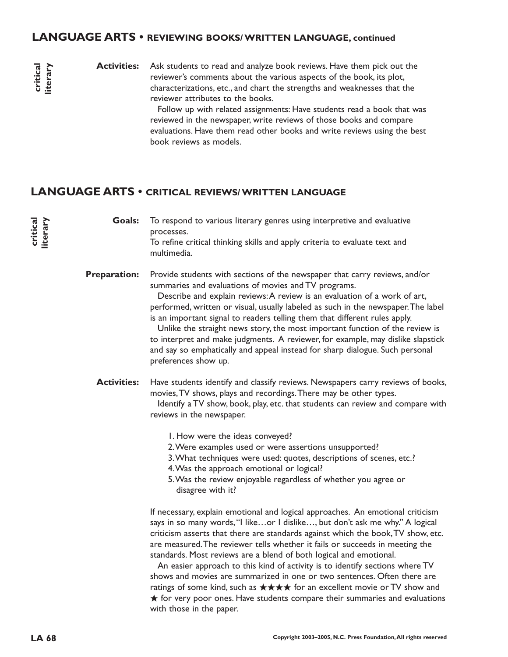### **LANGUAGE ARTS • REVIEWING BOOKS/ WRITTEN LANGUAGE, continued**

**critical literary**

**critical literary**

Ask students to read and analyze book reviews. Have them pick out the reviewer's comments about the various aspects of the book, its plot, characterizations, etc., and chart the strengths and weaknesses that the reviewer attributes to the books. **Activities:**

> Follow up with related assignments: Have students read a book that was reviewed in the newspaper, write reviews of those books and compare evaluations. Have them read other books and write reviews using the best book reviews as models.

# **LANGUAGE ARTS • CRITICAL REVIEWS/ WRITTEN LANGUAGE**

To respond to various literary genres using interpretive and evaluative processes. To refine critical thinking skills and apply criteria to evaluate text and multimedia. **Goals:**

Provide students with sections of the newspaper that carry reviews, and/or summaries and evaluations of movies and TV programs. **Preparation:**

Describe and explain reviews:A review is an evaluation of a work of art, performed, written or visual, usually labeled as such in the newspaper.The label is an important signal to readers telling them that different rules apply.

Unlike the straight news story, the most important function of the review is to interpret and make judgments. A reviewer, for example, may dislike slapstick and say so emphatically and appeal instead for sharp dialogue. Such personal preferences show up.

Have students identify and classify reviews. Newspapers carry reviews of books, movies,TV shows, plays and recordings.There may be other types. Identify a TV show, book, play, etc. that students can review and compare with reviews in the newspaper. **Activities:**

1. How were the ideas conveyed?

- 2.Were examples used or were assertions unsupported?
- 3.What techniques were used: quotes, descriptions of scenes, etc.?
- 4.Was the approach emotional or logical?
- 5.Was the review enjoyable regardless of whether you agree or disagree with it?

If necessary, explain emotional and logical approaches. An emotional criticism says in so many words, "I like...or I dislike..., but don't ask me why." A logical criticism asserts that there are standards against which the book,TV show, etc. are measured.The reviewer tells whether it fails or succeeds in meeting the standards. Most reviews are a blend of both logical and emotional.

An easier approach to this kind of activity is to identify sections where TV shows and movies are summarized in one or two sentences. Often there are ratings of some kind, such as ★★★★ for an excellent movie or TV show and  $\bigstar$  for very poor ones. Have students compare their summaries and evaluations with those in the paper.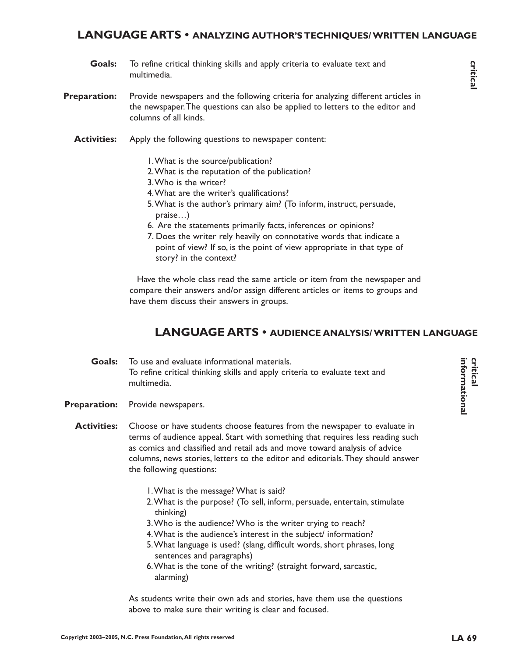### **LANGUAGE ARTS • ANALYZING AUTHOR'S TECHNIQUES/ WRITTEN LANGUAGE**

- **Goals:** To refine critical thinking skills and apply criteria to evaluate text and multimedia.
- **Preparation:** Provide newspapers and the following criteria for analyzing different articles in the newspaper.The questions can also be applied to letters to the editor and columns of all kinds.
	- **Activities:** Apply the following questions to newspaper content:
		- 1.What is the source/publication?
		- 2.What is the reputation of the publication?
		- 3.Who is the writer?
		- 4.What are the writer's qualifications?
		- 5.What is the author's primary aim? (To inform, instruct, persuade, praise…)
		- 6. Are the statements primarily facts, inferences or opinions?
		- 7. Does the writer rely heavily on connotative words that indicate a point of view? If so, is the point of view appropriate in that type of story? in the context?

Have the whole class read the same article or item from the newspaper and compare their answers and/or assign different articles or items to groups and have them discuss their answers in groups.

### **LANGUAGE ARTS • AUDIENCE ANALYSIS/ WRITTEN LANGUAGE**

- To use and evaluate informational materials. To refine critical thinking skills and apply criteria to evaluate text and multimedia. **Goals:**
- Provide newspapers. **Preparation:**
	- Choose or have students choose features from the newspaper to evaluate in terms of audience appeal. Start with something that requires less reading such as comics and classified and retail ads and move toward analysis of advice columns, news stories, letters to the editor and editorials.They should answer the following questions: **Activities:**
		- 1.What is the message? What is said?
		- 2.What is the purpose? (To sell, inform, persuade, entertain, stimulate thinking)
		- 3.Who is the audience? Who is the writer trying to reach?
		- 4.What is the audience's interest in the subject/ information?
		- 5.What language is used? (slang, difficult words, short phrases, long sentences and paragraphs)
		- 6.What is the tone of the writing? (straight forward, sarcastic, alarming)

As students write their own ads and stories, have them use the questions above to make sure their writing is clear and focused.

**critical**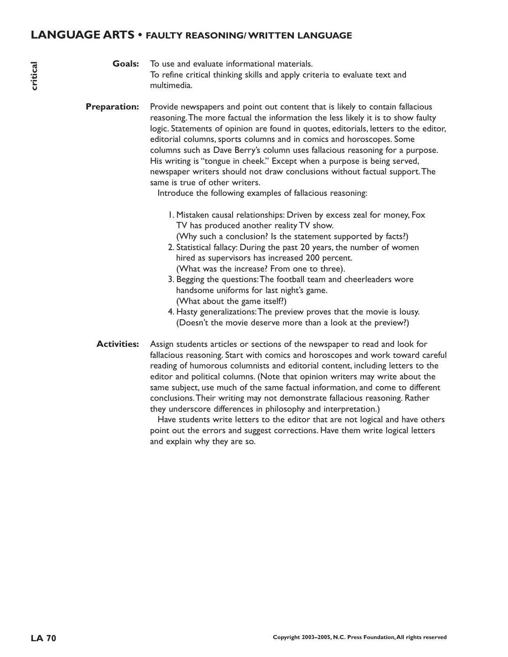### **LANGUAGE ARTS • FAULTY REASONING/ WRITTEN LANGUAGE**

To use and evaluate informational materials. To refine critical thinking skills and apply criteria to evaluate text and multimedia. **Goals:**

Provide newspapers and point out content that is likely to contain fallacious reasoning.The more factual the information the less likely it is to show faulty logic. Statements of opinion are found in quotes, editorials, letters to the editor, editorial columns, sports columns and in comics and horoscopes. Some columns such as Dave Berry's column uses fallacious reasoning for a purpose. His writing is "tongue in cheek." Except when a purpose is being served, newspaper writers should not draw conclusions without factual support.The same is true of other writers. **Preparation:**

Introduce the following examples of fallacious reasoning:

- 1. Mistaken causal relationships: Driven by excess zeal for money, Fox TV has produced another reality TV show. (Why such a conclusion? Is the statement supported by facts?)
- 2. Statistical fallacy: During the past 20 years, the number of women hired as supervisors has increased 200 percent. (What was the increase? From one to three).
- 3. Begging the questions:The football team and cheerleaders wore handsome uniforms for last night's game. (What about the game itself?)
- 4. Hasty generalizations:The preview proves that the movie is lousy. (Doesn't the movie deserve more than a look at the preview?)
- Assign students articles or sections of the newspaper to read and look for fallacious reasoning. Start with comics and horoscopes and work toward careful reading of humorous columnists and editorial content, including letters to the editor and political columns. (Note that opinion writers may write about the same subject, use much of the same factual information, and come to different conclusions.Their writing may not demonstrate fallacious reasoning. Rather they underscore differences in philosophy and interpretation.) **Activities:**

Have students write letters to the editor that are not logical and have others point out the errors and suggest corrections. Have them write logical letters and explain why they are so.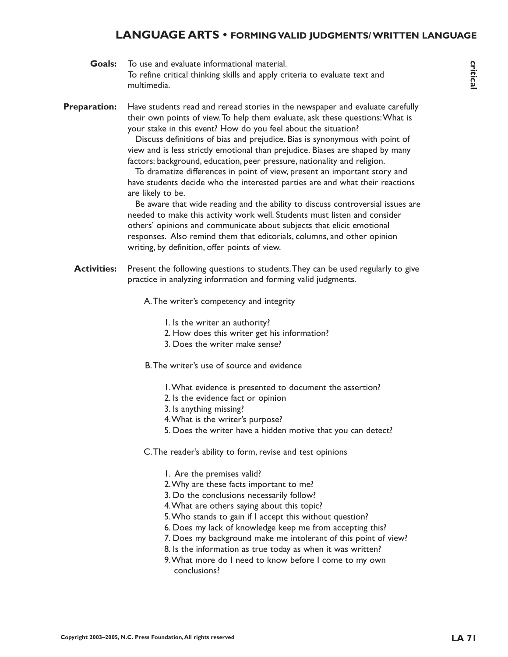### **LANGUAGE ARTS • FORMING VALID JUDGMENTS/ WRITTEN LANGUAGE**

| Goals:              | To use and evaluate informational material.                                                                                                                                                                                                                                                                                                                                                                                                                                                                                                                                                                                                                                                                                                                                                                                                                                                                                                                                                                                        |
|---------------------|------------------------------------------------------------------------------------------------------------------------------------------------------------------------------------------------------------------------------------------------------------------------------------------------------------------------------------------------------------------------------------------------------------------------------------------------------------------------------------------------------------------------------------------------------------------------------------------------------------------------------------------------------------------------------------------------------------------------------------------------------------------------------------------------------------------------------------------------------------------------------------------------------------------------------------------------------------------------------------------------------------------------------------|
|                     | To refine critical thinking skills and apply criteria to evaluate text and<br>multimedia.                                                                                                                                                                                                                                                                                                                                                                                                                                                                                                                                                                                                                                                                                                                                                                                                                                                                                                                                          |
| <b>Preparation:</b> | Have students read and reread stories in the newspaper and evaluate carefully<br>their own points of view. To help them evaluate, ask these questions: What is<br>your stake in this event? How do you feel about the situation?<br>Discuss definitions of bias and prejudice. Bias is synonymous with point of<br>view and is less strictly emotional than prejudice. Biases are shaped by many<br>factors: background, education, peer pressure, nationality and religion.<br>To dramatize differences in point of view, present an important story and<br>have students decide who the interested parties are and what their reactions<br>are likely to be.<br>Be aware that wide reading and the ability to discuss controversial issues are<br>needed to make this activity work well. Students must listen and consider<br>others' opinions and communicate about subjects that elicit emotional<br>responses. Also remind them that editorials, columns, and other opinion<br>writing, by definition, offer points of view. |
| <b>Activities:</b>  | Present the following questions to students. They can be used regularly to give<br>practice in analyzing information and forming valid judgments.                                                                                                                                                                                                                                                                                                                                                                                                                                                                                                                                                                                                                                                                                                                                                                                                                                                                                  |

A.The writer's competency and integrity

- 1. Is the writer an authority?
- 2. How does this writer get his information?
- 3. Does the writer make sense?
- B.The writer's use of source and evidence
	- 1.What evidence is presented to document the assertion?
	- 2. Is the evidence fact or opinion
	- 3. Is anything missing?
	- 4.What is the writer's purpose?
	- 5. Does the writer have a hidden motive that you can detect?
- C.The reader's ability to form, revise and test opinions
	- 1. Are the premises valid?
	- 2.Why are these facts important to me?
	- 3. Do the conclusions necessarily follow?
	- 4.What are others saying about this topic?
	- 5.Who stands to gain if I accept this without question?
	- 6. Does my lack of knowledge keep me from accepting this?
	- 7. Does my background make me intolerant of this point of view?
	- 8. Is the information as true today as when it was written?
	- 9.What more do I need to know before I come to my own conclusions?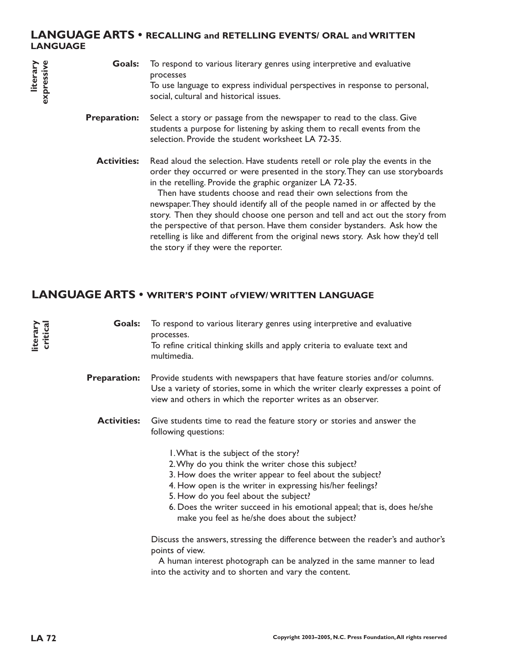#### **LANGUAGE ARTS • RECALLING and RETELLING EVENTS/ ORAL and WRITTEN LANGUAGE**

| expressive | Goals:              | To respond to various literary genres using interpretive and evaluative<br>processes<br>To use language to express individual perspectives in response to personal,<br>social, cultural and historical issues.                                                                                                                                                                                                                                                                                                                                                                                                                                                              |
|------------|---------------------|-----------------------------------------------------------------------------------------------------------------------------------------------------------------------------------------------------------------------------------------------------------------------------------------------------------------------------------------------------------------------------------------------------------------------------------------------------------------------------------------------------------------------------------------------------------------------------------------------------------------------------------------------------------------------------|
|            | <b>Preparation:</b> | Select a story or passage from the newspaper to read to the class. Give<br>students a purpose for listening by asking them to recall events from the<br>selection. Provide the student worksheet LA 72-35.                                                                                                                                                                                                                                                                                                                                                                                                                                                                  |
|            | <b>Activities:</b>  | Read aloud the selection. Have students retell or role play the events in the<br>order they occurred or were presented in the story. They can use storyboards<br>in the retelling. Provide the graphic organizer LA 72-35.<br>Then have students choose and read their own selections from the<br>newspaper. They should identify all of the people named in or affected by the<br>story. Then they should choose one person and tell and act out the story from<br>the perspective of that person. Have them consider bystanders. Ask how the<br>retelling is like and different from the original news story. Ask how they'd tell<br>the story if they were the reporter. |

# **LANGUAGE ARTS • WRITER'S POINT of VIEW/ WRITTEN LANGUAGE**

To respond to various literary genres using interpretive and evaluative processes. To refine critical thinking skills and apply criteria to evaluate text and multimedia. **Goals:**

- Provide students with newspapers that have feature stories and/or columns. Use a variety of stories, some in which the writer clearly expresses a point of view and others in which the reporter writes as an observer. **Preparation:**
	- Give students time to read the feature story or stories and answer the following questions: **Activities:**
		- 1.What is the subject of the story?
		- 2.Why do you think the writer chose this subject?
		- 3. How does the writer appear to feel about the subject?
		- 4. How open is the writer in expressing his/her feelings?
		- 5. How do you feel about the subject?
		- 6. Does the writer succeed in his emotional appeal; that is, does he/she make you feel as he/she does about the subject?

Discuss the answers, stressing the difference between the reader's and author's points of view.

A human interest photograph can be analyzed in the same manner to lead into the activity and to shorten and vary the content.

**literary critical**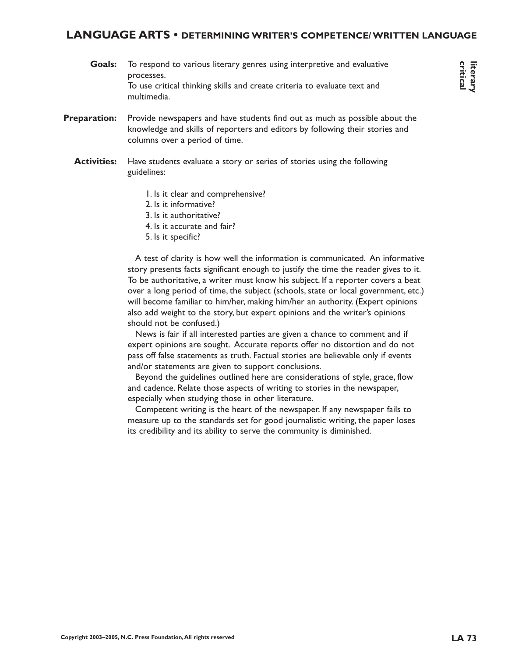#### **LANGUAGE ARTS • DETERMINING WRITER'S COMPETENCE/ WRITTEN LANGUAGE**

- To respond to various literary genres using interpretive and evaluative processes. To use critical thinking skills and create criteria to evaluate text and multimedia. **Goals:**
- Provide newspapers and have students find out as much as possible about the knowledge and skills of reporters and editors by following their stories and columns over a period of time. **Preparation:**
	- Have students evaluate a story or series of stories using the following guidelines: **Activities:**
		- 1. Is it clear and comprehensive?
		- 2. Is it informative?
		- 3. Is it authoritative?
		- 4. Is it accurate and fair?
		- 5. Is it specific?

A test of clarity is how well the information is communicated. An informative story presents facts significant enough to justify the time the reader gives to it. To be authoritative, a writer must know his subject. If a reporter covers a beat over a long period of time, the subject (schools, state or local government, etc.) will become familiar to him/her, making him/her an authority. (Expert opinions also add weight to the story, but expert opinions and the writer's opinions should not be confused.)

News is fair if all interested parties are given a chance to comment and if expert opinions are sought. Accurate reports offer no distortion and do not pass off false statements as truth. Factual stories are believable only if events and/or statements are given to support conclusions.

Beyond the guidelines outlined here are considerations of style, grace, flow and cadence. Relate those aspects of writing to stories in the newspaper, especially when studying those in other literature.

Competent writing is the heart of the newspaper. If any newspaper fails to measure up to the standards set for good journalistic writing, the paper loses its credibility and its ability to serve the community is diminished.

**critical literary**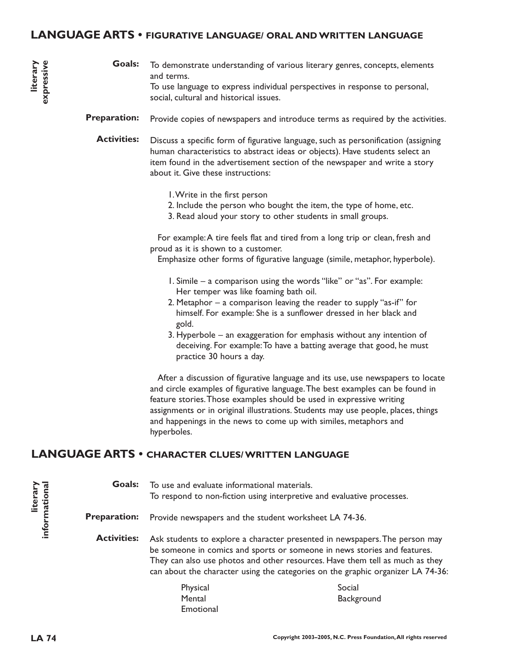#### **LANGUAGE ARTS • FIGURATIVE LANGUAGE/ ORAL AND WRITTEN LANGUAGE**

- To demonstrate understanding of various literary genres, concepts, elements and terms. To use language to express individual perspectives in response to personal, social, cultural and historical issues. **Goals:**
- Provide copies of newspapers and introduce terms as required by the activities. **Preparation:**
	- Discuss a specific form of figurative language, such as personification (assigning human characteristics to abstract ideas or objects). Have students select an item found in the advertisement section of the newspaper and write a story about it. Give these instructions: **Activities:**
		- 1.Write in the first person
		- 2. Include the person who bought the item, the type of home, etc.
		- 3. Read aloud your story to other students in small groups.

For example:A tire feels flat and tired from a long trip or clean, fresh and proud as it is shown to a customer.

Emphasize other forms of figurative language (simile, metaphor, hyperbole).

- 1. Simile a comparison using the words "like" or "as". For example: Her temper was like foaming bath oil.
- 2. Metaphor a comparison leaving the reader to supply "as-if" for himself. For example: She is a sunflower dressed in her black and gold.
- 3. Hyperbole an exaggeration for emphasis without any intention of deceiving. For example:To have a batting average that good, he must practice 30 hours a day.

After a discussion of figurative language and its use, use newspapers to locate and circle examples of figurative language.The best examples can be found in feature stories.Those examples should be used in expressive writing assignments or in original illustrations. Students may use people, places, things and happenings in the news to come up with similes, metaphors and hyperboles.

#### **LANGUAGE ARTS • CHARACTER CLUES/ WRITTEN LANGUAGE**

| informational | <b>Goals:</b>       | To use and evaluate informational materials.           | To respond to non-fiction using interpretive and evaluative processes.                                                                                                                                                                                                                                                     |
|---------------|---------------------|--------------------------------------------------------|----------------------------------------------------------------------------------------------------------------------------------------------------------------------------------------------------------------------------------------------------------------------------------------------------------------------------|
|               | <b>Preparation:</b> | Provide newspapers and the student worksheet LA 74-36. |                                                                                                                                                                                                                                                                                                                            |
|               | <b>Activities:</b>  |                                                        | Ask students to explore a character presented in newspapers. The person may<br>be someone in comics and sports or someone in news stories and features.<br>They can also use photos and other resources. Have them tell as much as they<br>can about the character using the categories on the graphic organizer LA 74-36: |
|               |                     | Physical<br>Mental                                     | Social<br>Background                                                                                                                                                                                                                                                                                                       |
|               |                     | Emotional                                              |                                                                                                                                                                                                                                                                                                                            |

**literary**

**literary**<br>expressive **expressive**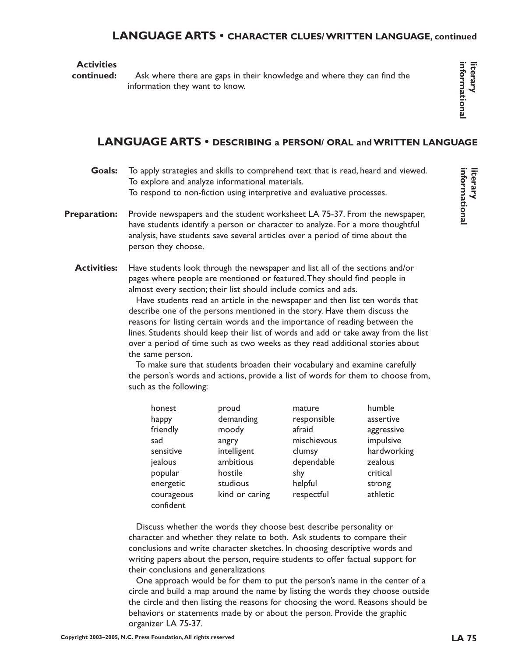# **LANGUAGE ARTS • CHARACTER CLUES/ WRITTEN LANGUAGE, continued**

#### **Activities**

**continued:**

Ask where there are gaps in their knowledge and where they can find the information they want to know.

**informational literary**

informationa

# **LANGUAGE ARTS • DESCRIBING a PERSON/ ORAL and WRITTEN LANGUAGE**

- To apply strategies and skills to comprehend text that is read, heard and viewed. To explore and analyze informational materials. To respond to non-fiction using interpretive and evaluative processes. **Goals:**
- Provide newspapers and the student worksheet LA 75-37. From the newspaper, have students identify a person or character to analyze. For a more thoughtful analysis, have students save several articles over a period of time about the person they choose. **Preparation:**
	- Have students look through the newspaper and list all of the sections and/or pages where people are mentioned or featured.They should find people in almost every section; their list should include comics and ads. **Activities:**

Have students read an article in the newspaper and then list ten words that describe one of the persons mentioned in the story. Have them discuss the reasons for listing certain words and the importance of reading between the lines. Students should keep their list of words and add or take away from the list over a period of time such as two weeks as they read additional stories about the same person.

To make sure that students broaden their vocabulary and examine carefully the person's words and actions, provide a list of words for them to choose from, such as the following:

| honest                  | proud          | mature      | humble      |
|-------------------------|----------------|-------------|-------------|
| happy                   | demanding      | responsible | assertive   |
| friendly                | moody          | afraid      | aggressive  |
| sad                     | angry          | mischievous | impulsive   |
| sensitive               | intelligent    | clumsy      | hardworking |
| jealous                 | ambitious      | dependable  | zealous     |
| popular                 | hostile        | shy         | critical    |
| energetic               | studious       | helpful     | strong      |
| courageous<br>confident | kind or caring | respectful  | athletic    |

Discuss whether the words they choose best describe personality or character and whether they relate to both. Ask students to compare their conclusions and write character sketches. In choosing descriptive words and writing papers about the person, require students to offer factual support for their conclusions and generalizations

One approach would be for them to put the person's name in the center of a circle and build a map around the name by listing the words they choose outside the circle and then listing the reasons for choosing the word. Reasons should be behaviors or statements made by or about the person. Provide the graphic organizer LA 75-37.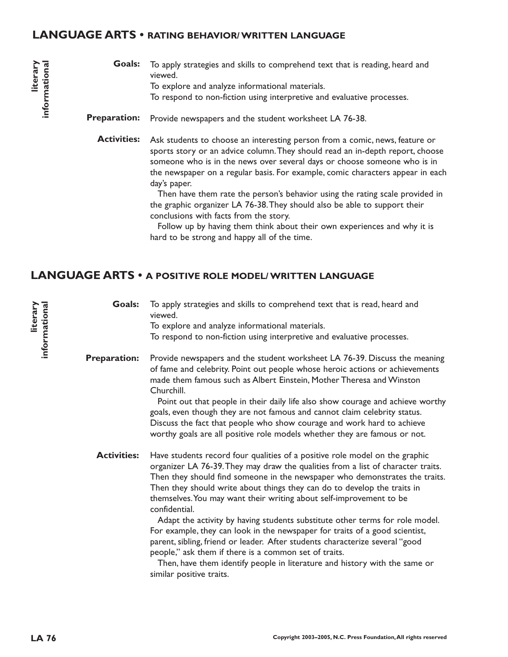#### **LANGUAGE ARTS • RATING BEHAVIOR/ WRITTEN LANGUAGE**

- To apply strategies and skills to comprehend text that is reading, heard and viewed. To explore and analyze informational materials. To respond to non-fiction using interpretive and evaluative processes. **Goals:**
- Provide newspapers and the student worksheet LA 76-38. **Preparation:**

Ask students to choose an interesting person from a comic, news, feature or sports story or an advice column.They should read an in-depth report, choose someone who is in the news over several days or choose someone who is in the newspaper on a regular basis. For example, comic characters appear in each day's paper. **Activities:**

> Then have them rate the person's behavior using the rating scale provided in the graphic organizer LA 76-38.They should also be able to support their conclusions with facts from the story.

Follow up by having them think about their own experiences and why it is hard to be strong and happy all of the time.

# **LANGUAGE ARTS • A POSITIVE ROLE MODEL/ WRITTEN LANGUAGE**

To apply strategies and skills to comprehend text that is read, heard and viewed. **Goals:**

To explore and analyze informational materials. To respond to non-fiction using interpretive and evaluative processes.

Provide newspapers and the student worksheet LA 76-39. Discuss the meaning of fame and celebrity. Point out people whose heroic actions or achievements made them famous such as Albert Einstein, Mother Theresa and Winston Churchill. **Preparation:**

> Point out that people in their daily life also show courage and achieve worthy goals, even though they are not famous and cannot claim celebrity status. Discuss the fact that people who show courage and work hard to achieve worthy goals are all positive role models whether they are famous or not.

Have students record four qualities of a positive role model on the graphic organizer LA 76-39.They may draw the qualities from a list of character traits. Then they should find someone in the newspaper who demonstrates the traits. Then they should write about things they can do to develop the traits in themselves.You may want their writing about self-improvement to be confidential. **Activities:**

> Adapt the activity by having students substitute other terms for role model. For example, they can look in the newspaper for traits of a good scientist, parent, sibling, friend or leader. After students characterize several "good people," ask them if there is a common set of traits.

Then, have them identify people in literature and history with the same or similar positive traits.

**literary**

**informational**

informational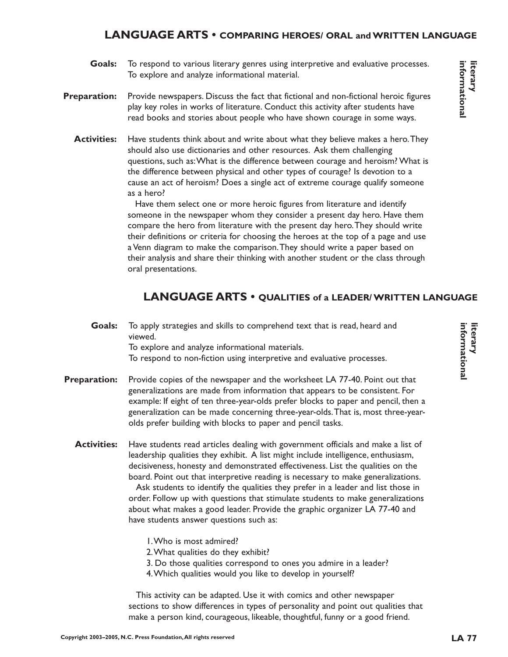## **LANGUAGE ARTS • COMPARING HEROES/ ORAL and WRITTEN LANGUAGE**

- To respond to various literary genres using interpretive and evaluative processes. To explore and analyze informational material. **Goals:**
- Provide newspapers. Discuss the fact that fictional and non-fictional heroic figures play key roles in works of literature. Conduct this activity after students have read books and stories about people who have shown courage in some ways. **Preparation:**
	- Have students think about and write about what they believe makes a hero.They should also use dictionaries and other resources. Ask them challenging questions, such as:What is the difference between courage and heroism? What is the difference between physical and other types of courage? Is devotion to a cause an act of heroism? Does a single act of extreme courage qualify someone as a hero? **Activities:**

Have them select one or more heroic figures from literature and identify someone in the newspaper whom they consider a present day hero. Have them compare the hero from literature with the present day hero.They should write their definitions or criteria for choosing the heroes at the top of a page and use a Venn diagram to make the comparison.They should write a paper based on their analysis and share their thinking with another student or the class through oral presentations.

# **LANGUAGE ARTS • QUALITIES of a LEADER/ WRITTEN LANGUAGE**

- To apply strategies and skills to comprehend text that is read, heard and viewed. To explore and analyze informational materials. To respond to non-fiction using interpretive and evaluative processes. **Goals:**
- Provide copies of the newspaper and the worksheet LA 77-40. Point out that generalizations are made from information that appears to be consistent. For example: If eight of ten three-year-olds prefer blocks to paper and pencil, then a generalization can be made concerning three-year-olds.That is, most three-yearolds prefer building with blocks to paper and pencil tasks. **Preparation:**
	- Have students read articles dealing with government officials and make a list of leadership qualities they exhibit. A list might include intelligence, enthusiasm, decisiveness, honesty and demonstrated effectiveness. List the qualities on the board. Point out that interpretive reading is necessary to make generalizations. **Activities:**

Ask students to identify the qualities they prefer in a leader and list those in order. Follow up with questions that stimulate students to make generalizations about what makes a good leader. Provide the graphic organizer LA 77-40 and have students answer questions such as:

- 1.Who is most admired?
- 2.What qualities do they exhibit?
- 3. Do those qualities correspond to ones you admire in a leader?
- 4.Which qualities would you like to develop in yourself?

This activity can be adapted. Use it with comics and other newspaper sections to show differences in types of personality and point out qualities that make a person kind, courageous, likeable, thoughtful, funny or a good friend.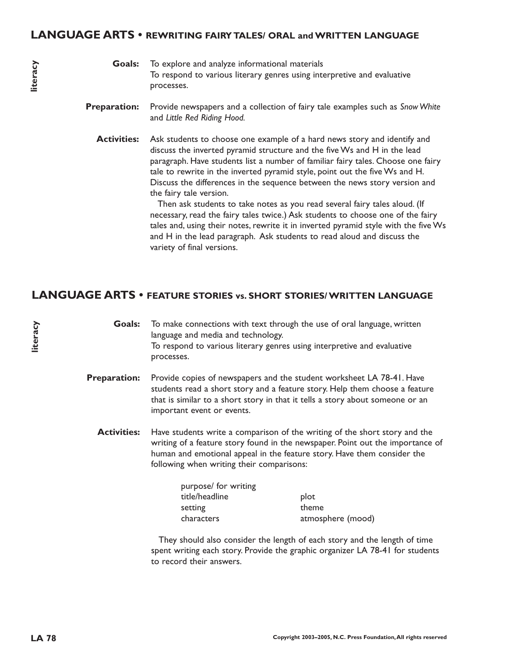- Provide newspapers and a collection of fairy tale examples such as *Snow White* and *Little Red Riding Hood.* **Preparation:**
	- Ask students to choose one example of a hard news story and identify and discuss the inverted pyramid structure and the five Ws and H in the lead paragraph. Have students list a number of familiar fairy tales. Choose one fairy tale to rewrite in the inverted pyramid style, point out the five Ws and H. Discuss the differences in the sequence between the news story version and the fairy tale version. **Activities:**

Then ask students to take notes as you read several fairy tales aloud. (If necessary, read the fairy tales twice.) Ask students to choose one of the fairy tales and, using their notes, rewrite it in inverted pyramid style with the five Ws and H in the lead paragraph. Ask students to read aloud and discuss the variety of final versions.

# **LANGUAGE ARTS • FEATURE STORIES vs. SHORT STORIES/ WRITTEN LANGUAGE**

To make connections with text through the use of oral language, written language and media and technology. To respond to various literary genres using interpretive and evaluative processes. **Goals:**

- Provide copies of newspapers and the student worksheet LA 78-41. Have students read a short story and a feature story. Help them choose a feature that is similar to a short story in that it tells a story about someone or an important event or events. **Preparation:**
	- Have students write a comparison of the writing of the short story and the writing of a feature story found in the newspaper. Point out the importance of human and emotional appeal in the feature story. Have them consider the following when writing their comparisons: **Activities:**

| purpose/ for writing |                   |
|----------------------|-------------------|
| title/headline       | plot              |
| setting              | theme             |
| characters           | atmosphere (mood) |

They should also consider the length of each story and the length of time spent writing each story. Provide the graphic organizer LA 78-41 for students to record their answers.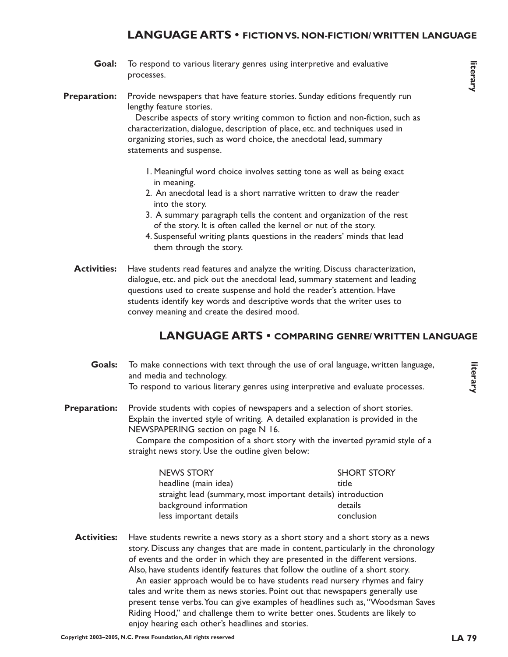# **LANGUAGE ARTS • FICTION VS. NON-FICTION/ WRITTEN LANGUAGE**

- To respond to various literary genres using interpretive and evaluative processes. **Goal:**
- Provide newspapers that have feature stories. Sunday editions frequently run lengthy feature stories. **Preparation:**

Describe aspects of story writing common to fiction and non-fiction, such as characterization, dialogue, description of place, etc. and techniques used in organizing stories, such as word choice, the anecdotal lead, summary statements and suspense.

- 1. Meaningful word choice involves setting tone as well as being exact in meaning.
- 2. An anecdotal lead is a short narrative written to draw the reader into the story.
- 3. A summary paragraph tells the content and organization of the rest of the story. It is often called the kernel or nut of the story.
- 4. Suspenseful writing plants questions in the readers' minds that lead them through the story.
- Have students read features and analyze the writing. Discuss characterization, dialogue, etc. and pick out the anecdotal lead, summary statement and leading questions used to create suspense and hold the reader's attention. Have students identify key words and descriptive words that the writer uses to convey meaning and create the desired mood. **Activities:**

#### **LANGUAGE ARTS • COMPARING GENRE/ WRITTEN LANGUAGE**

- To make connections with text through the use of oral language, written language, and media and technology. To respond to various literary genres using interpretive and evaluate processes. **Goals:**
- Provide students with copies of newspapers and a selection of short stories. Explain the inverted style of writing. A detailed explanation is provided in the NEWSPAPERING section on page N 16. **Preparation:**

Compare the composition of a short story with the inverted pyramid style of a straight news story. Use the outline given below:

| <b>NEWS STORY</b>                                            | <b>SHORT STORY</b> |
|--------------------------------------------------------------|--------------------|
| headline (main idea)                                         | title              |
| straight lead (summary, most important details) introduction |                    |
| background information                                       | details            |
| less important details                                       | conclusion         |

Have students rewrite a news story as a short story and a short story as a news story. Discuss any changes that are made in content, particularly in the chronology of events and the order in which they are presented in the different versions. Also, have students identify features that follow the outline of a short story. **Activities:**

> An easier approach would be to have students read nursery rhymes and fairy tales and write them as news stories. Point out that newspapers generally use present tense verbs.You can give examples of headlines such as,"Woodsman Saves Riding Hood," and challenge them to write better ones. Students are likely to enjoy hearing each other's headlines and stories.

**literary**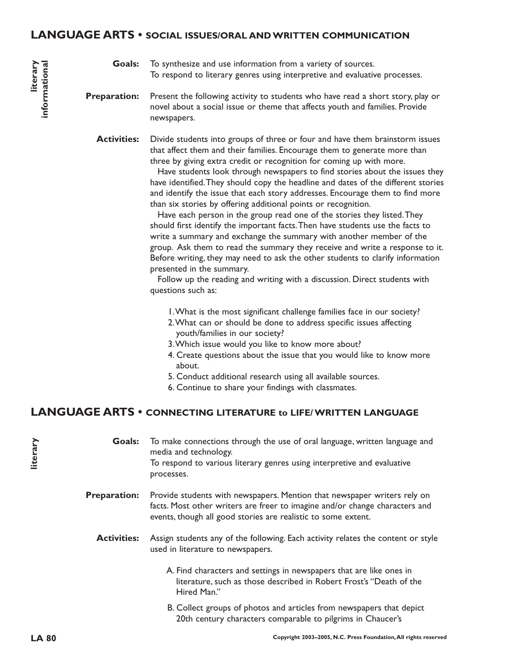#### **LANGUAGE ARTS • SOCIAL ISSUES/ORAL AND WRITTEN COMMUNICATION**

To synthesize and use information from a variety of sources. To respond to literary genres using interpretive and evaluative processes. **Goals:**

Present the following activity to students who have read a short story, play or novel about a social issue or theme that affects youth and families. Provide newspapers. **Preparation:**

Divide students into groups of three or four and have them brainstorm issues that affect them and their families. Encourage them to generate more than three by giving extra credit or recognition for coming up with more. **Activities:**

> Have students look through newspapers to find stories about the issues they have identified.They should copy the headline and dates of the different stories and identify the issue that each story addresses. Encourage them to find more than six stories by offering additional points or recognition.

> Have each person in the group read one of the stories they listed.They should first identify the important facts.Then have students use the facts to write a summary and exchange the summary with another member of the group. Ask them to read the summary they receive and write a response to it. Before writing, they may need to ask the other students to clarify information presented in the summary.

Follow up the reading and writing with a discussion. Direct students with questions such as:

- 1.What is the most significant challenge families face in our society?
- 2.What can or should be done to address specific issues affecting youth/families in our society?
- 3.Which issue would you like to know more about?
- 4. Create questions about the issue that you would like to know more about.
- 5. Conduct additional research using all available sources.
- 6. Continue to share your findings with classmates.

# **LANGUAGE ARTS • CONNECTING LITERATURE to LIFE/ WRITTEN LANGUAGE**

To make connections through the use of oral language, written language and media and technology. To respond to various literary genres using interpretive and evaluative processes. Provide students with newspapers. Mention that newspaper writers rely on **Goals: Preparation:**

facts. Most other writers are freer to imagine and/or change characters and events, though all good stories are realistic to some extent.

Assign students any of the following. Each activity relates the content or style used in literature to newspapers. **Activities:**

> A. Find characters and settings in newspapers that are like ones in literature, such as those described in Robert Frost's "Death of the Hired Man."

> B. Collect groups of photos and articles from newspapers that depict 20th century characters comparable to pilgrims in Chaucer's

**literary**

**literary informational**

informational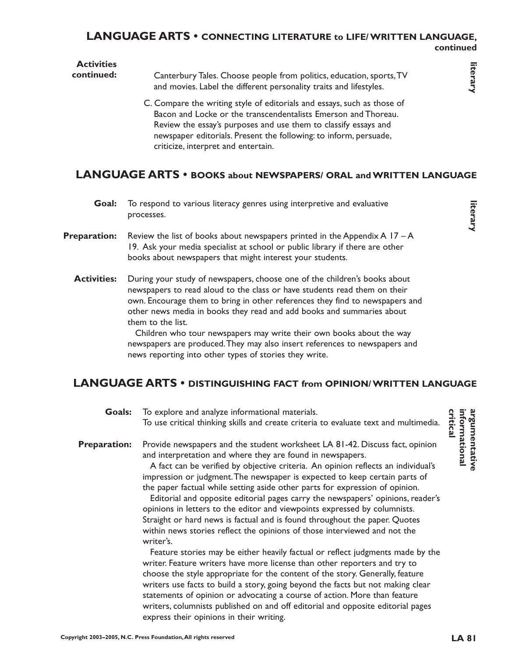#### **LANGUAGE ARTS • CONNECTING LITERATURE to LIFE/ WRITTEN LANGUAGE, continued**

#### **Activities continued:**

Canterbury Tales. Choose people from politics, education, sports,TV and movies. Label the different personality traits and lifestyles.

C. Compare the writing style of editorials and essays, such as those of Bacon and Locke or the transcendentalists Emerson and Thoreau. Review the essay's purposes and use them to classify essays and newspaper editorials. Present the following: to inform, persuade, criticize, interpret and entertain.

# **LANGUAGE ARTS • BOOKS about NEWSPAPERS/ ORAL and WRITTEN LANGUAGE**

- To respond to various literacy genres using interpretive and evaluative processes. **Goal:**
- Review the list of books about newspapers printed in the Appendix  $A$  17 A 19. Ask your media specialist at school or public library if there are other books about newspapers that might interest your students. **Preparation:**
	- During your study of newspapers, choose one of the children's books about newspapers to read aloud to the class or have students read them on their own. Encourage them to bring in other references they find to newspapers and other news media in books they read and add books and summaries about them to the list. **Activities:**

Children who tour newspapers may write their own books about the way newspapers are produced.They may also insert references to newspapers and news reporting into other types of stories they write.

# **LANGUAGE ARTS • DISTINGUISHING FACT from OPINION/ WRITTEN LANGUAGE**

To explore and analyze informational materials. To use critical thinking skills and create criteria to evaluate text and multimedia. Provide newspapers and the student worksheet LA 81-42. Discuss fact, opinion and interpretation and where they are found in newspapers. A fact can be verified by objective criteria. An opinion reflects an individual's impression or judgment.The newspaper is expected to keep certain parts of the paper factual while setting aside other parts for expression of opinion. Editorial and opposite editorial pages carry the newspapers' opinions, reader's opinions in letters to the editor and viewpoints expressed by columnists. Straight or hard news is factual and is found throughout the paper. Quotes within news stories reflect the opinions of those interviewed and not the writer's. Feature stories may be either heavily factual or reflect judgments made by the writer. Feature writers have more license than other reporters and try to choose the style appropriate for the content of the story. Generally, feature writers use facts to build a story, going beyond the facts but not making clear statements of opinion or advocating a course of action. More than feature writers, columnists published on and off editorial and opposite editorial pages express their opinions in their writing. **Goals: Preparation:**

argumentative<br>informational<br>critical **informational argumentative**

**literary**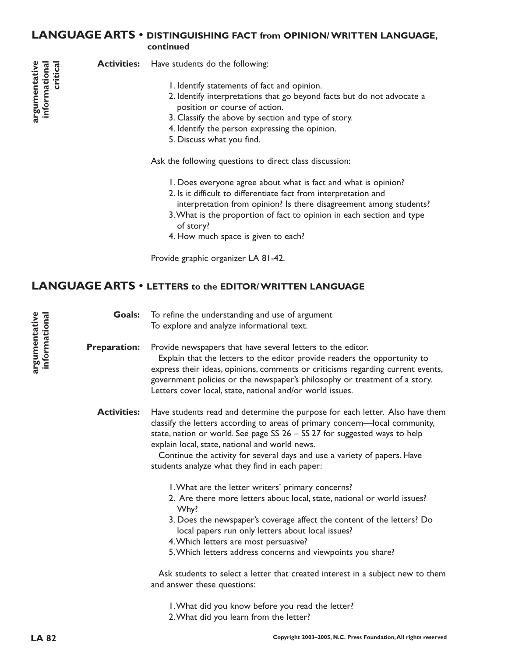# **LANGUAGE ARTS • DISTINGUISHING FACT from OPINION/ WRITTEN LANGUAGE, continued**

Have students do the following: **Activities:**

- 1. Identify statements of fact and opinion.
- 2. Identify interpretations that go beyond facts but do not advocate a position or course of action.
- 3. Classify the above by section and type of story.
- 4. Identify the person expressing the opinion.
- 5. Discuss what you find.

Ask the following questions to direct class discussion:

- 1. Does everyone agree about what is fact and what is opinion?
- 2. Is it difficult to differentiate fact from interpretation and
- interpretation from opinion? Is there disagreement among students?
- 3.What is the proportion of fact to opinion in each section and type of story?
- 4. How much space is given to each?

Provide graphic organizer LA 81-42.

# **LANGUAGE ARTS • LETTERS to the EDITOR/ WRITTEN LANGUAGE**

To refine the understanding and use of argument To explore and analyze informational text. **Goals:**

Provide newspapers that have several letters to the editor. Explain that the letters to the editor provide readers the opportunity to express their ideas, opinions, comments or criticisms regarding current events, government policies or the newspaper's philosophy or treatment of a story. Letters cover local, state, national and/or world issues. **Preparation:**

Have students read and determine the purpose for each letter. Also have them classify the letters according to areas of primary concern—local community, state, nation or world. See page SS 26 – SS 27 for suggested ways to help explain local, state, national and world news. **Activities:**

> Continue the activity for several days and use a variety of papers. Have students analyze what they find in each paper:

- 1.What are the letter writers' primary concerns?
- 2. Are there more letters about local, state, national or world issues? Why?
- 3. Does the newspaper's coverage affect the content of the letters? Do local papers run only letters about local issues?
- 4.Which letters are most persuasive?
- 5.Which letters address concerns and viewpoints you share?

Ask students to select a letter that created interest in a subject new to them and answer these questions:

1.What did you know before you read the letter? 2.What did you learn from the letter?

**argumentative informational**

argumentative informational

**critical**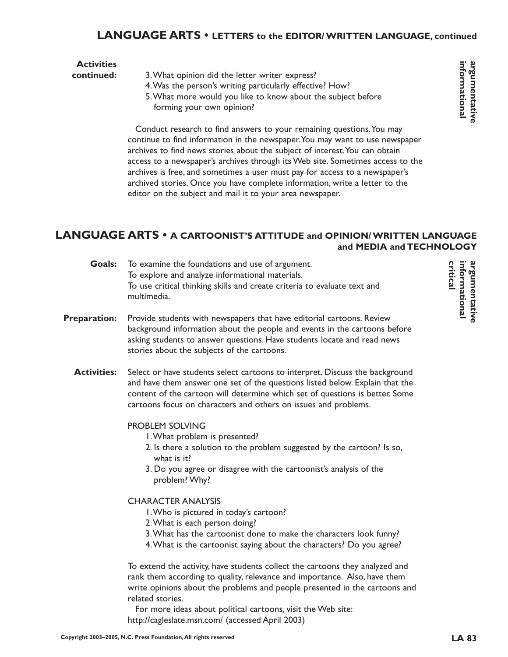# **LANGUAGE ARTS • LETTERS to the EDITOR/ WRITTEN LANGUAGE, continued**

| <b>Activities</b> |                                                              |
|-------------------|--------------------------------------------------------------|
| continued:        | 3. What opinion did the letter writer express?               |
|                   | 4. Was the person's writing particularly effective? How?     |
|                   | 5. What more would you like to know about the subject before |
|                   | forming your own opinion?                                    |

Conduct research to find answers to your remaining questions.You may continue to find information in the newspaper.You may want to use newspaper archives to find news stories about the subject of interest. You can obtain access to a newspaper's archives through its Web site. Sometimes access to the archives is free, and sometimes a user must pay for access to a newspaper's archived stories. Once you have complete information, write a letter to the editor on the subject and mail it to your area newspaper.

## **LANGUAGE ARTS • A CARTOONIST'S ATTITUDE and OPINION/ WRITTEN LANGUAGE and MEDIA and TECHNOLOGY**

|                     | <b>Goals:</b> To examine the foundations and use of argument.<br>To explore and analyze informational materials.<br>To use critical thinking skills and create criteria to evaluate text and<br>multimedia.                                                                                                     |
|---------------------|-----------------------------------------------------------------------------------------------------------------------------------------------------------------------------------------------------------------------------------------------------------------------------------------------------------------|
| <b>Preparation:</b> | Provide students with newspapers that have editorial cartoons. Review<br>background information about the people and events in the cartoons before<br>asking students to answer questions. Have students locate and read news<br>stories about the subjects of the cartoons.                                    |
| <b>Activities:</b>  | Select or have students select cartoons to interpret. Discuss the background<br>and have them answer one set of the questions listed below. Explain that the<br>content of the cartoon will determine which set of questions is better. Some<br>cartoons focus on characters and others on issues and problems. |
|                     | <b>PROBLEM SOLVING</b><br>I. What problem is presented?<br>2. Is there a solution to the problem suggested by the cartoon? Is so,<br>what is it?<br>3. Do you agree or disagree with the cartoonist's analysis of the                                                                                           |

# CHARACTER ANALYSIS

problem? Why?

- 1.Who is pictured in today's cartoon?
- 2.What is each person doing?
- 3.What has the cartoonist done to make the characters look funny?
- 4.What is the cartoonist saying about the characters? Do you agree?

To extend the activity, have students collect the cartoons they analyzed and rank them according to quality, relevance and importance. Also, have them write opinions about the problems and people presented in the cartoons and related stories.

For more ideas about political cartoons, visit the Web site: http://cagleslate.msn.com/ (accessed April 2003)

**critical** informational argumentative **informational argumentative**

informational argumentative **informational argumentative**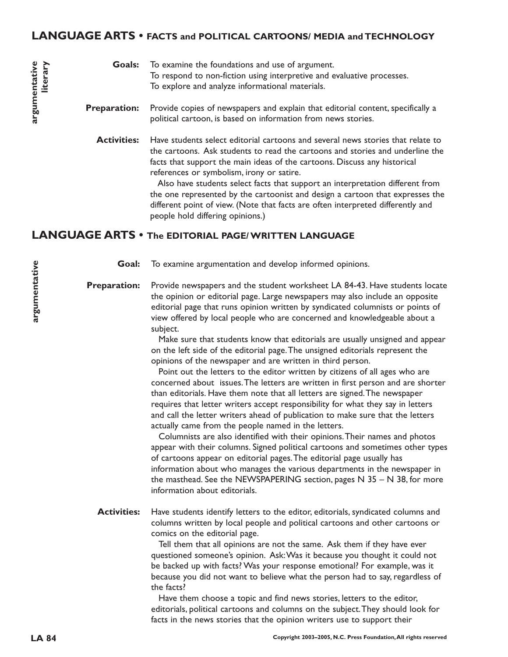# **LANGUAGE ARTS • FACTS and POLITICAL CARTOONS/ MEDIA and TECHNOLOGY**

#### To examine the foundations and use of argument. To respond to non-fiction using interpretive and evaluative processes. To explore and analyze informational materials. **Goals:**

- Provide copies of newspapers and explain that editorial content, specifically a political cartoon, is based on information from news stories. **Preparation:**
	- Have students select editorial cartoons and several news stories that relate to the cartoons. Ask students to read the cartoons and stories and underline the facts that support the main ideas of the cartoons. Discuss any historical references or symbolism, irony or satire. **Activities:**

Also have students select facts that support an interpretation different from the one represented by the cartoonist and design a cartoon that expresses the different point of view. (Note that facts are often interpreted differently and people hold differing opinions.)

#### **LANGUAGE ARTS • The EDITORIAL PAGE/ WRITTEN LANGUAGE**

To examine argumentation and develop informed opinions. **Goal:**

**Preparation:**

Provide newspapers and the student worksheet LA 84-43. Have students locate the opinion or editorial page. Large newspapers may also include an opposite editorial page that runs opinion written by syndicated columnists or points of view offered by local people who are concerned and knowledgeable about a subject.

Make sure that students know that editorials are usually unsigned and appear on the left side of the editorial page.The unsigned editorials represent the opinions of the newspaper and are written in third person.

Point out the letters to the editor written by citizens of all ages who are concerned about issues.The letters are written in first person and are shorter than editorials. Have them note that all letters are signed.The newspaper requires that letter writers accept responsibility for what they say in letters and call the letter writers ahead of publication to make sure that the letters actually came from the people named in the letters.

Columnists are also identified with their opinions.Their names and photos appear with their columns. Signed political cartoons and sometimes other types of cartoons appear on editorial pages.The editorial page usually has information about who manages the various departments in the newspaper in the masthead. See the NEWSPAPERING section, pages N  $35 - N 38$ , for more information about editorials.

Have students identify letters to the editor, editorials, syndicated columns and columns written by local people and political cartoons and other cartoons or comics on the editorial page. **Activities:**

> Tell them that all opinions are not the same. Ask them if they have ever questioned someone's opinion. Ask:Was it because you thought it could not be backed up with facts? Was your response emotional? For example, was it because you did not want to believe what the person had to say, regardless of the facts?

> Have them choose a topic and find news stories, letters to the editor, editorials, political cartoons and columns on the subject.They should look for facts in the news stories that the opinion writers use to support their

**argumentative**

argumentative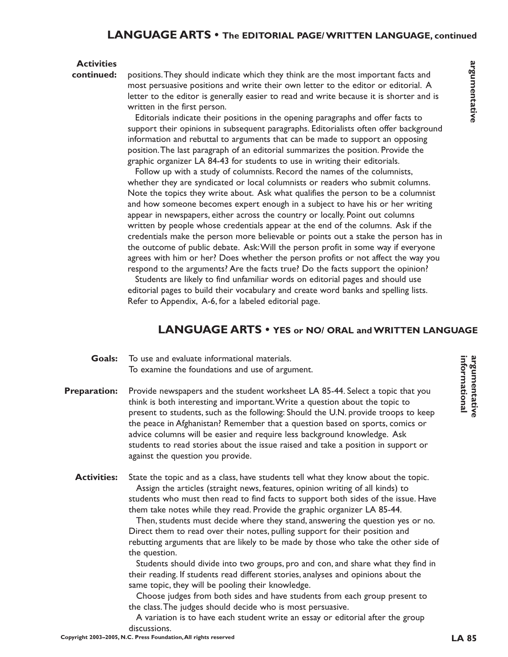## **LANGUAGE ARTS • The EDITORIAL PAGE/ WRITTEN LANGUAGE, continued**

#### **Activities**

**continued:**

positions.They should indicate which they think are the most important facts and most persuasive positions and write their own letter to the editor or editorial. A letter to the editor is generally easier to read and write because it is shorter and is written in the first person.

Editorials indicate their positions in the opening paragraphs and offer facts to support their opinions in subsequent paragraphs. Editorialists often offer background information and rebuttal to arguments that can be made to support an opposing position.The last paragraph of an editorial summarizes the position. Provide the graphic organizer LA 84-43 for students to use in writing their editorials.

Follow up with a study of columnists. Record the names of the columnists, whether they are syndicated or local columnists or readers who submit columns. Note the topics they write about. Ask what qualifies the person to be a columnist and how someone becomes expert enough in a subject to have his or her writing appear in newspapers, either across the country or locally. Point out columns written by people whose credentials appear at the end of the columns. Ask if the credentials make the person more believable or points out a stake the person has in the outcome of public debate. Ask:Will the person profit in some way if everyone agrees with him or her? Does whether the person profits or not affect the way you respond to the arguments? Are the facts true? Do the facts support the opinion?

Students are likely to find unfamiliar words on editorial pages and should use editorial pages to build their vocabulary and create word banks and spelling lists. Refer to Appendix, A-6, for a labeled editorial page.

# **LANGUAGE ARTS • YES or NO/ ORAL and WRITTEN LANGUAGE**

#### To use and evaluate informational materials. To examine the foundations and use of argument. **Goals:**

- Provide newspapers and the student worksheet LA 85-44. Select a topic that you think is both interesting and important.Write a question about the topic to present to students, such as the following: Should the U.N. provide troops to keep the peace in Afghanistan? Remember that a question based on sports, comics or advice columns will be easier and require less background knowledge. Ask students to read stories about the issue raised and take a position in support or against the question you provide. **Preparation:**
	- State the topic and as a class, have students tell what they know about the topic. Assign the articles (straight news, features, opinion writing of all kinds) to students who must then read to find facts to support both sides of the issue. Have them take notes while they read. Provide the graphic organizer LA 85-44. **Activities:**

Then, students must decide where they stand, answering the question yes or no. Direct them to read over their notes, pulling support for their position and rebutting arguments that are likely to be made by those who take the other side of the question.

Students should divide into two groups, pro and con, and share what they find in their reading. If students read different stories, analyses and opinions about the same topic, they will be pooling their knowledge.

Choose judges from both sides and have students from each group present to the class.The judges should decide who is most persuasive.

A variation is to have each student write an essay or editorial after the group discussions.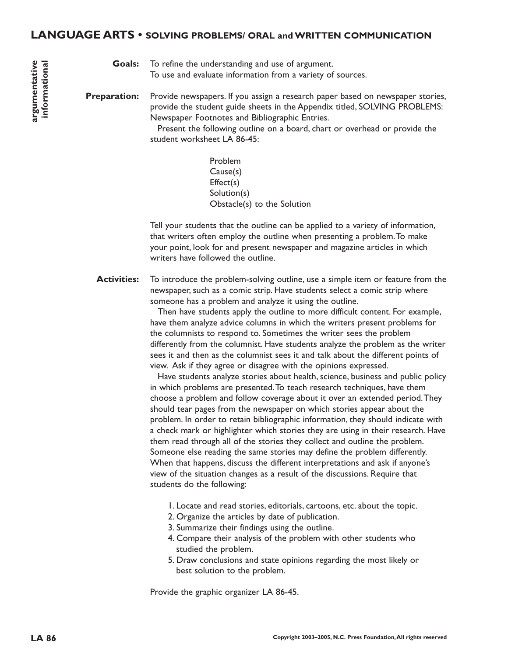#### **LANGUAGE ARTS • SOLVING PROBLEMS/ ORAL and WRITTEN COMMUNICATION**

Goals: To refine the understanding and use of argument. To use and evaluate information from a variety of sources.

Provide newspapers. If you assign a research paper based on newspaper stories, provide the student guide sheets in the Appendix titled, SOLVING PROBLEMS: Newspaper Footnotes and Bibliographic Entries. **Preparation:**

Present the following outline on a board, chart or overhead or provide the student worksheet LA 86-45:

> Problem Cause(s) Effect(s) Solution(s) Obstacle(s) to the Solution

Tell your students that the outline can be applied to a variety of information, that writers often employ the outline when presenting a problem.To make your point, look for and present newspaper and magazine articles in which writers have followed the outline.

To introduce the problem-solving outline, use a simple item or feature from the newspaper, such as a comic strip. Have students select a comic strip where someone has a problem and analyze it using the outline. **Activities:**

> Then have students apply the outline to more difficult content. For example, have them analyze advice columns in which the writers present problems for the columnists to respond to. Sometimes the writer sees the problem differently from the columnist. Have students analyze the problem as the writer sees it and then as the columnist sees it and talk about the different points of view. Ask if they agree or disagree with the opinions expressed.

> Have students analyze stories about health, science, business and public policy in which problems are presented.To teach research techniques, have them choose a problem and follow coverage about it over an extended period.They should tear pages from the newspaper on which stories appear about the problem. In order to retain bibliographic information, they should indicate with a check mark or highlighter which stories they are using in their research. Have them read through all of the stories they collect and outline the problem. Someone else reading the same stories may define the problem differently. When that happens, discuss the different interpretations and ask if anyone's view of the situation changes as a result of the discussions. Require that students do the following:

- 1. Locate and read stories, editorials, cartoons, etc. about the topic.
- 2. Organize the articles by date of publication.
- 3. Summarize their findings using the outline.
- 4. Compare their analysis of the problem with other students who studied the problem.
- 5. Draw conclusions and state opinions regarding the most likely or best solution to the problem.

Provide the graphic organizer LA 86-45.

**argumentative informational**

argumentative informational